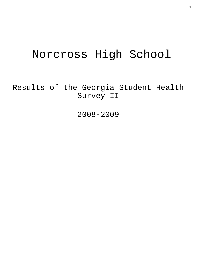# Norcross High School

Results of the Georgia Student Health Survey II

2008-2009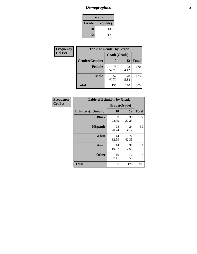# *Demographics* **2**

| Grade                    |     |  |  |  |
|--------------------------|-----|--|--|--|
| <b>Grade   Frequency</b> |     |  |  |  |
| 10                       | 135 |  |  |  |
| 12                       | 170 |  |  |  |

| Frequency      | <b>Table of Gender by Grade</b> |              |             |              |  |
|----------------|---------------------------------|--------------|-------------|--------------|--|
| <b>Col Pct</b> |                                 | Grade(Grade) |             |              |  |
|                | Gender(Gender)                  | 10           | 12          | <b>Total</b> |  |
|                | <b>Female</b>                   | 78<br>57.78  | 92<br>54.12 | 170          |  |
|                | <b>Male</b>                     | 57<br>42.22  | 78<br>45.88 | 135          |  |
|                | <b>Total</b>                    | 135          | 170         | 305          |  |

| Frequency<br>Col Pct |
|----------------------|

| <b>Table of Ethnicity by Grade</b> |              |             |              |  |  |  |
|------------------------------------|--------------|-------------|--------------|--|--|--|
|                                    | Grade(Grade) |             |              |  |  |  |
| <b>Ethnicity</b> (Ethnicity)       | 10           | 12          | <b>Total</b> |  |  |  |
| <b>Black</b>                       | 39<br>28.89  | 38<br>22.35 | 77           |  |  |  |
| <b>Hispanic</b>                    | 28<br>20.74  | 24<br>14.12 | 52           |  |  |  |
| White                              | 44<br>32.59  | 72<br>42.35 | 116          |  |  |  |
| <b>Asian</b>                       | 14<br>10.37  | 30<br>17.65 | 44           |  |  |  |
| <b>Other</b>                       | 10<br>7.41   | 6<br>3.53   | 16           |  |  |  |
| <b>Total</b>                       | 135          | 170         | 305          |  |  |  |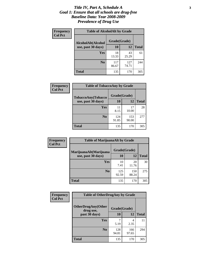### *Title IV, Part A, Schedule A* **3** *Goal 1: Ensure that all schools are drug-free Baseline Data: Year 2008-2009 Prevalence of Drug Use*

| Frequency<br><b>Col Pct</b> | <b>Table of AlcoholAlt by Grade</b> |              |              |              |  |
|-----------------------------|-------------------------------------|--------------|--------------|--------------|--|
|                             | AlcoholAlt(Alcohol                  | Grade(Grade) |              |              |  |
|                             | use, past 30 days)                  | <b>10</b>    | 12           | <b>Total</b> |  |
|                             | <b>Yes</b>                          | 18<br>13.33  | 43<br>25.29  | 61           |  |
|                             | N <sub>0</sub>                      | 117<br>86.67 | 127<br>74.71 | 244          |  |
|                             | Total                               | 135          | 170          | 305          |  |

| Frequency<br><b>Col Pct</b> | <b>Table of TobaccoAny by Grade</b> |              |              |              |  |  |
|-----------------------------|-------------------------------------|--------------|--------------|--------------|--|--|
|                             | TobaccoAny(Tobacco                  | Grade(Grade) |              |              |  |  |
|                             | use, past 30 days)                  | 10           | 12           | <b>Total</b> |  |  |
|                             | Yes                                 | 11<br>8.15   | 17<br>10.00  | 28           |  |  |
|                             | N <sub>0</sub>                      | 124<br>91.85 | 153<br>90.00 | 277          |  |  |
|                             | <b>Total</b>                        | 135          | 170          | 305          |  |  |

| Frequency<br><b>Col Pct</b> | <b>Table of MarijuanaAlt by Grade</b> |              |              |              |  |
|-----------------------------|---------------------------------------|--------------|--------------|--------------|--|
|                             | MarijuanaAlt(Marijuana                | Grade(Grade) |              |              |  |
|                             | use, past 30 days)                    | 10           | 12           | <b>Total</b> |  |
|                             | <b>Yes</b>                            | 10<br>7.41   | 20<br>11.76  | 30           |  |
|                             | N <sub>0</sub>                        | 125<br>92.59 | 150<br>88.24 | 275          |  |
|                             | <b>Total</b>                          | 135          | 170          | 305          |  |

| Frequency<br><b>Col Pct</b> | <b>Table of OtherDrugAny by Grade</b>  |              |              |     |  |
|-----------------------------|----------------------------------------|--------------|--------------|-----|--|
|                             | <b>OtherDrugAny(Other</b><br>drug use, | Grade(Grade) |              |     |  |
| past 30 days)               | 10                                     | 12           | <b>Total</b> |     |  |
|                             | Yes                                    | 5.19         | 4<br>2.35    | 11  |  |
|                             | N <sub>0</sub>                         | 128<br>94.81 | 166<br>97.65 | 294 |  |
|                             | <b>Total</b>                           | 135          | 170          | 305 |  |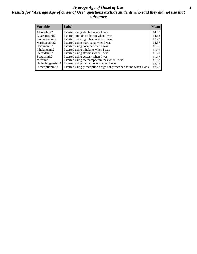### *Average Age of Onset of Use* **4** *Results for "Average Age of Onset of Use" questions exclude students who said they did not use that substance*

| <b>Variable</b>    | Label                                                              | <b>Mean</b> |
|--------------------|--------------------------------------------------------------------|-------------|
| Alcoholinit2       | I started using alcohol when I was                                 | 14.00       |
| Cigarettesinit2    | I started smoking tobacco when I was                               | 14.13       |
| Smokelessinit2     | I started chewing tobacco when I was                               | 13.73       |
| Marijuanainit2     | I started using marijuana when I was                               | 14.67       |
| Cocaineinit2       | I started using cocaine when I was                                 | 11.75       |
| Inhalantsinit2     | I started using inhalants when I was                               | 11.86       |
| Steroidsinit2      | I started using steroids when I was                                | 11.71       |
| Ecstasyinit2       | I started using ecstasy when I was                                 | 11.67       |
| Methinit2          | I started using methamphetamines when I was                        | 11.50       |
| Hallucinogensinit2 | I started using hallucinogens when I was                           | 12.38       |
| Prescriptioninit2  | I started using prescription drugs not prescribed to me when I was | 12.20       |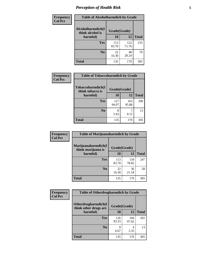# *Perception of Health Risk* **5**

| Frequency      | <b>Table of Alcoholharmdich by Grade</b> |              |              |              |  |
|----------------|------------------------------------------|--------------|--------------|--------------|--|
| <b>Col Pct</b> | Alcoholharmdich(I<br>think alcohol is    | Grade(Grade) |              |              |  |
|                | harmful)                                 | 10           | 12           | <b>Total</b> |  |
|                | <b>Yes</b>                               | 113<br>83.70 | 122<br>71.76 | 235          |  |
|                | N <sub>0</sub>                           | 22<br>16.30  | 48<br>28.24  | 70           |  |
|                | <b>Total</b>                             | 135          | 170          | 305          |  |

| Frequency      | <b>Table of Tobaccoharmdich by Grade</b>          |              |              |              |  |
|----------------|---------------------------------------------------|--------------|--------------|--------------|--|
| <b>Col Pct</b> | Tobaccoharmdich(I<br>think tobacco is<br>harmful) | Grade(Grade) |              |              |  |
|                |                                                   | 10           | 12           | <b>Total</b> |  |
|                | <b>Yes</b>                                        | 127<br>94.07 | 163<br>95.88 | 290          |  |
|                | N <sub>0</sub>                                    | 5.93         | 4.12         | 15           |  |
|                | <b>Total</b>                                      | 135          | 170          | 305          |  |

| Frequency      | <b>Table of Marijuanaharmdich by Grade</b> |              |              |              |  |  |
|----------------|--------------------------------------------|--------------|--------------|--------------|--|--|
| <b>Col Pct</b> | Marijuanaharmdich(I<br>think marijuana is  | Grade(Grade) |              |              |  |  |
|                | harmful)                                   | <b>10</b>    | 12           | <b>Total</b> |  |  |
|                | <b>Yes</b>                                 | 113<br>83.70 | 134<br>78.82 | 247          |  |  |
|                | N <sub>0</sub>                             | 22<br>16.30  | 36<br>21.18  | 58           |  |  |
|                | <b>Total</b>                               | 135          | 170          | 305          |  |  |

| <b>Frequency</b> | <b>Table of Otherdrugharmdich by Grade</b>   |              |              |              |  |  |  |
|------------------|----------------------------------------------|--------------|--------------|--------------|--|--|--|
| <b>Col Pct</b>   | Otherdrugharmdich(I<br>think other drugs are | Grade(Grade) |              |              |  |  |  |
|                  | harmful)                                     | 10           | 12           | <b>Total</b> |  |  |  |
|                  | Yes                                          | 126<br>93.33 | 166<br>97.65 | 292          |  |  |  |
|                  | N <sub>0</sub>                               | Q<br>6.67    | 4<br>2.35    | 13           |  |  |  |
|                  | <b>Total</b>                                 | 135          | 170          | 305          |  |  |  |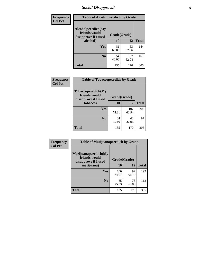# *Social Disapproval* **6**

| <b>Frequency</b> | <b>Table of Alcoholpeerdich by Grade</b>                    |              |              |              |
|------------------|-------------------------------------------------------------|--------------|--------------|--------------|
| <b>Col Pct</b>   | Alcoholpeerdich(My<br>friends would<br>disapprove if I used | Grade(Grade) |              |              |
|                  | alcohol)                                                    | 10<br>12     |              | <b>Total</b> |
|                  | <b>Yes</b>                                                  | 81<br>60.00  | 63<br>37.06  | 144          |
|                  | N <sub>0</sub>                                              | 54<br>40.00  | 107<br>62.94 | 161          |
|                  | <b>Total</b>                                                | 135          | 170          | 305          |

| <b>Frequency</b> |
|------------------|
| <b>Col Pct</b>   |

| <b>Table of Tobaccopeerdich by Grade</b>                            |              |              |              |  |  |  |  |
|---------------------------------------------------------------------|--------------|--------------|--------------|--|--|--|--|
| <b>Tobaccopeerdich</b> (My<br>friends would<br>disapprove if I used | Grade(Grade) |              |              |  |  |  |  |
| tobacco)                                                            | 10           | 12           | <b>Total</b> |  |  |  |  |
| Yes                                                                 | 101<br>74.81 | 107<br>62.94 | 208          |  |  |  |  |
| N <sub>0</sub>                                                      | 34<br>25.19  | 63<br>37.06  | 97           |  |  |  |  |
| <b>Total</b>                                                        | 135          | 170          | 305          |  |  |  |  |

| <b>Frequency</b> | <b>Table of Marijuanapeerdich by Grade</b>                    |              |             |              |  |  |  |
|------------------|---------------------------------------------------------------|--------------|-------------|--------------|--|--|--|
| <b>Col Pct</b>   | Marijuanapeerdich(My<br>friends would<br>disapprove if I used | Grade(Grade) |             |              |  |  |  |
|                  | marijuana)                                                    | 10           | 12          | <b>Total</b> |  |  |  |
|                  | <b>Yes</b>                                                    | 100<br>74.07 | 92<br>54.12 | 192          |  |  |  |
|                  | N <sub>0</sub>                                                | 35<br>25.93  | 78<br>45.88 | 113          |  |  |  |
|                  | <b>Total</b>                                                  | 135          | 170         | 305          |  |  |  |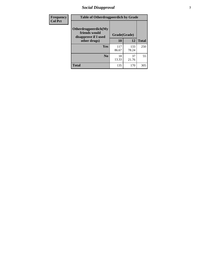# *Social Disapproval* **7**

| Frequency      | <b>Table of Otherdrugpeerdich by Grade</b>                    |              |              |              |  |  |  |
|----------------|---------------------------------------------------------------|--------------|--------------|--------------|--|--|--|
| <b>Col Pct</b> | Otherdrugpeerdich(My<br>friends would<br>disapprove if I used | Grade(Grade) |              |              |  |  |  |
|                | other drugs)                                                  | 10           | 12           | <b>Total</b> |  |  |  |
|                | Yes                                                           | 117<br>86.67 | 133<br>78.24 | 250          |  |  |  |
|                | N <sub>0</sub>                                                | 18<br>13.33  | 37<br>21.76  | 55           |  |  |  |
|                | <b>Total</b>                                                  | 135          | 170          | 305          |  |  |  |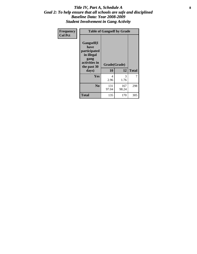### Title IV, Part A, Schedule A **8** *Goal 2: To help ensure that all schools are safe and disciplined Baseline Data: Year 2008-2009 Student Involvement in Gang Activity*

| Frequency      | <b>Table of Gangself by Grade</b>                                                                 |                    |              |              |
|----------------|---------------------------------------------------------------------------------------------------|--------------------|--------------|--------------|
| <b>Col Pct</b> | Gangself(I<br>have<br>participated<br>in illegal<br>gang<br>activities in<br>the past 30<br>days) | Grade(Grade)<br>10 | 12           | <b>Total</b> |
|                | Yes                                                                                               | 4<br>2.96          | 3<br>1.76    | 7            |
|                | N <sub>0</sub>                                                                                    | 131<br>97.04       | 167<br>98.24 | 298          |
|                | <b>Total</b>                                                                                      | 135                | 170          | 305          |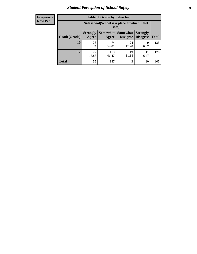# *Student Perception of School Safety* **9**

| <b>Frequency</b><br>Row Pct |
|-----------------------------|
|                             |

| <b>Table of Grade by Safeschool</b> |                                                        |              |                                 |                                    |              |  |  |
|-------------------------------------|--------------------------------------------------------|--------------|---------------------------------|------------------------------------|--------------|--|--|
|                                     | Safeschool (School is a place at which I feel<br>safe) |              |                                 |                                    |              |  |  |
| Grade(Grade)                        | <b>Strongly</b><br>Agree                               | Agree        | Somewhat   Somewhat<br>Disagree | <b>Strongly</b><br><b>Disagree</b> | <b>Total</b> |  |  |
| 10                                  | 28<br>20.74                                            | 74<br>54.81  | 24<br>17.78                     | 9<br>6.67                          | 135          |  |  |
| 12                                  | 27<br>15.88                                            | 113<br>66.47 | 19<br>11.18                     | 11<br>6.47                         | 170          |  |  |
| <b>Total</b>                        | 55                                                     | 187          | 43                              | 20                                 | 305          |  |  |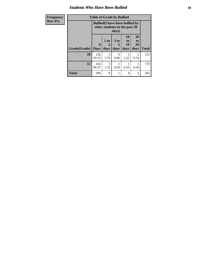### *Students Who Have Been Bullied* **10**

| <b>Frequency</b> |  |
|------------------|--|
| <b>Row Pct</b>   |  |

# **Table of Grade by Bullied**

| vy. | Table of Graue by Dunieu |                                                                                  |                   |                   |                        |                        |              |
|-----|--------------------------|----------------------------------------------------------------------------------|-------------------|-------------------|------------------------|------------------------|--------------|
|     |                          | <b>Bullied</b> (I have been bullied by<br>other students in the past 30<br>days) |                   |                   |                        |                        |              |
|     | Grade(Grade)             | $\mathbf{0}$<br><b>Days</b>                                                      | 1 or<br>2<br>days | 3 to<br>5<br>days | 10<br>to<br>19<br>days | 20<br>to<br>29<br>days | <b>Total</b> |
|     | 10                       | 126<br>93.33                                                                     | 5<br>3.70         | 0<br>0.00         | 3<br>2.22              | 0.74                   | 135          |
|     | 12                       | 164<br>96.47                                                                     | 3<br>1.76         | 0.59              | 0.59                   | 0.59                   | 170          |
|     | Total                    | 290                                                                              | 8                 |                   | 4                      | 2                      | 305          |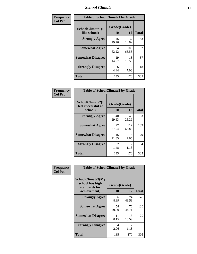### *School Climate* **11**

| <b>Frequency</b> | <b>Table of SchoolClimate1 by Grade</b> |                    |              |              |  |  |  |
|------------------|-----------------------------------------|--------------------|--------------|--------------|--|--|--|
| <b>Col Pct</b>   | SchoolClimate1(I<br>like school)        | Grade(Grade)<br>10 | 12           | <b>Total</b> |  |  |  |
|                  | <b>Strongly Agree</b>                   | 26<br>19.26        | 32<br>18.82  | 58           |  |  |  |
|                  | <b>Somewhat Agree</b>                   | 84<br>62.22        | 108<br>63.53 | 192          |  |  |  |
|                  | <b>Somewhat Disagree</b>                | 19<br>14.07        | 18<br>10.59  | 37           |  |  |  |
|                  | <b>Strongly Disagree</b>                | 6<br>4.44          | 12<br>7.06   | 18           |  |  |  |
|                  | <b>Total</b>                            | 135                | 170          | 305          |  |  |  |

| Frequency      | <b>Table of SchoolClimate2 by Grade</b>           |                        |              |              |
|----------------|---------------------------------------------------|------------------------|--------------|--------------|
| <b>Col Pct</b> | SchoolClimate2(I<br>feel successful at<br>school) | Grade(Grade)<br>10     | 12           | <b>Total</b> |
|                | <b>Strongly Agree</b>                             | 40<br>29.63            | 43<br>25.29  | 83           |
|                | <b>Somewhat Agree</b>                             | 77<br>57.04            | 112<br>65.88 | 189          |
|                | <b>Somewhat Disagree</b>                          | 16<br>11.85            | 13<br>7.65   | 29           |
|                | <b>Strongly Disagree</b>                          | $\mathfrak{D}$<br>1.48 | 2<br>1.18    | 4            |
|                | <b>Total</b>                                      | 135                    | 170          | 305          |

| Frequency<br><b>Col Pct</b> | <b>Table of SchoolClimate3 by Grade</b>               |              |             |              |  |
|-----------------------------|-------------------------------------------------------|--------------|-------------|--------------|--|
|                             | SchoolClimate3(My<br>school has high<br>standards for | Grade(Grade) |             |              |  |
|                             | achievement)                                          | <b>10</b>    | 12          | <b>Total</b> |  |
|                             | <b>Strongly Agree</b>                                 | 66<br>48.89  | 74<br>43.53 | 140          |  |
|                             | <b>Somewhat Agree</b>                                 | 54<br>40.00  | 76<br>44.71 | 130          |  |
|                             | <b>Somewhat Disagree</b>                              | 11<br>8.15   | 18<br>10.59 | 29           |  |
|                             | <b>Strongly Disagree</b>                              | 4<br>2.96    | 2<br>1.18   | 6            |  |
|                             | Total                                                 | 135          | 170         | 305          |  |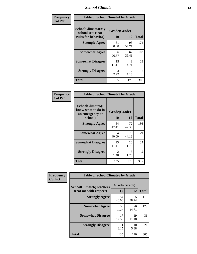### *School Climate* **12**

| Frequency      | <b>Table of SchoolClimate4 by Grade</b>                              |                    |                       |              |
|----------------|----------------------------------------------------------------------|--------------------|-----------------------|--------------|
| <b>Col Pct</b> | <b>SchoolClimate4(My</b><br>school sets clear<br>rules for behavior) | Grade(Grade)<br>10 | 12                    | <b>Total</b> |
|                | <b>Strongly Agree</b>                                                | 81<br>60.00        | 93<br>54.71           | 174          |
|                | <b>Somewhat Agree</b>                                                | 36<br>26.67        | 67<br>39.41           | 103          |
|                | <b>Somewhat Disagree</b>                                             | 15<br>11.11        | 8<br>4.71             | 23           |
|                | <b>Strongly Disagree</b>                                             | 3<br>2.22          | $\mathcal{L}$<br>1.18 | 5            |
|                | <b>Total</b>                                                         | 135                | 170                   | 305          |

| <b>Table of SchoolClimate5 by Grade</b>                   |              |             |              |  |  |
|-----------------------------------------------------------|--------------|-------------|--------------|--|--|
| SchoolClimate5(I<br>know what to do in<br>an emergency at | Grade(Grade) |             |              |  |  |
| school)                                                   | 10           | 12          | <b>Total</b> |  |  |
| <b>Strongly Agree</b>                                     | 64<br>47.41  | 72<br>42.35 | 136          |  |  |
| <b>Somewhat Agree</b>                                     | 54<br>40.00  | 75<br>44.12 | 129          |  |  |
| <b>Somewhat Disagree</b>                                  | 15<br>11.11  | 20<br>11.76 | 35           |  |  |
| <b>Strongly Disagree</b>                                  | 2<br>1.48    | 3<br>1.76   | 5            |  |  |
| <b>Total</b>                                              | 135          | 170         | 305          |  |  |

| Frequency      | <b>Table of SchoolClimate6 by Grade</b>                  |             |                    |              |
|----------------|----------------------------------------------------------|-------------|--------------------|--------------|
| <b>Col Pct</b> | <b>SchoolClimate6(Teachers</b><br>treat me with respect) | 10          | Grade(Grade)<br>12 | <b>Total</b> |
|                | <b>Strongly Agree</b>                                    | 54<br>40.00 | 65<br>38.24        | 119          |
|                | <b>Somewhat Agree</b>                                    | 53<br>39.26 | 76<br>44.71        | 129          |
|                | <b>Somewhat Disagree</b>                                 | 17<br>12.59 | 19<br>11.18        | 36           |
|                | <b>Strongly Disagree</b>                                 | 11<br>8.15  | 10<br>5.88         | 21           |
|                | <b>Total</b>                                             | 135         | 170                | 305          |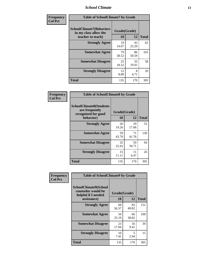### *School Climate* **13**

| Frequency      | <b>Table of SchoolClimate7 by Grade</b>                                       |                           |             |              |
|----------------|-------------------------------------------------------------------------------|---------------------------|-------------|--------------|
| <b>Col Pct</b> | <b>SchoolClimate7(Behaviors</b><br>in my class allow the<br>teacher to teach) | Grade(Grade)<br><b>10</b> | 12          | <b>Total</b> |
|                | <b>Strongly Agree</b>                                                         | 19<br>14.07               | 43<br>25.29 | 62           |
|                | <b>Somewhat Agree</b>                                                         | 79<br>58.52               | 86<br>50.59 | 165          |
|                | <b>Somewhat Disagree</b>                                                      | 25<br>18.52               | 33<br>19.41 | 58           |
|                | <b>Strongly Disagree</b>                                                      | 12<br>8.89                | 8<br>4.71   | 20           |
|                | <b>Total</b>                                                                  | 135                       | 170         | 305          |

| Frequency      | <b>Table of SchoolClimate8 by Grade</b>                                              |                    |             |              |
|----------------|--------------------------------------------------------------------------------------|--------------------|-------------|--------------|
| <b>Col Pct</b> | <b>SchoolClimate8(Students</b><br>are frequently<br>recognized for good<br>behavior) | Grade(Grade)<br>10 | 12          | <b>Total</b> |
|                | <b>Strongly Agree</b>                                                                | 26                 | 29          | 55           |
|                | <b>Somewhat Agree</b>                                                                | 19.26<br>59        | 17.06<br>71 | 130          |
|                |                                                                                      | 43.70              | 41.76       |              |
|                | <b>Somewhat Disagree</b>                                                             | 35<br>25.93        | 59<br>34.71 | 94           |
|                | <b>Strongly Disagree</b>                                                             | 15<br>11.11        | 11<br>6.47  | 26           |
|                | <b>Total</b>                                                                         | 135                | 170         | 305          |

| Frequency      | <b>Table of SchoolClimate9 by Grade</b>                                           |                    |             |              |
|----------------|-----------------------------------------------------------------------------------|--------------------|-------------|--------------|
| <b>Col Pct</b> | SchoolClimate9(School<br>counselor would be<br>helpful if I needed<br>assistance) | Grade(Grade)<br>10 | 12          | <b>Total</b> |
|                | <b>Strongly Agree</b>                                                             | 68<br>50.37        | 83<br>48.82 | 151          |
|                | <b>Somewhat Agree</b>                                                             | 34<br>25.19        | 66<br>38.82 | 100          |
|                | <b>Somewhat Disagree</b>                                                          | 23<br>17.04        | 16<br>9.41  | 39           |
|                | <b>Strongly Disagree</b>                                                          | 10<br>7.41         | 5<br>2.94   | 15           |
|                | <b>Total</b>                                                                      | 135                | 170         | 305          |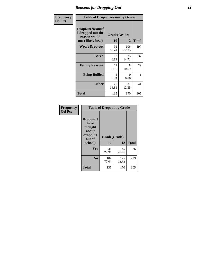### *Reasons for Dropping Out* **14**

| Frequency      | <b>Table of Dropoutreason by Grade</b>                                   |                    |              |              |
|----------------|--------------------------------------------------------------------------|--------------------|--------------|--------------|
| <b>Col Pct</b> | Dropoutreason(If<br>I dropped out the<br>reason would<br>most likely be) | Grade(Grade)<br>10 | 12           | <b>Total</b> |
|                | <b>Won't Drop out</b>                                                    | 91<br>67.41        | 106<br>62.35 | 197          |
|                | <b>Bored</b>                                                             | 12<br>8.89         | 25<br>14.71  | 37           |
|                | <b>Family Reasons</b>                                                    | 11<br>8.15         | 18<br>10.59  | 29           |
|                | <b>Being Bullied</b>                                                     | 1<br>0.74          | 0<br>0.00    | 1            |
|                | <b>Other</b>                                                             | 20<br>14.81        | 21<br>12.35  | 41           |
|                | Total                                                                    | 135                | 170          | 305          |

| Frequency      | <b>Table of Dropout by Grade</b>                                       |                    |              |              |  |
|----------------|------------------------------------------------------------------------|--------------------|--------------|--------------|--|
| <b>Col Pct</b> | Dropout(I<br>have<br>thought<br>about<br>dropping<br>out of<br>school) | Grade(Grade)<br>10 | 12           | <b>Total</b> |  |
|                |                                                                        |                    |              |              |  |
|                | Yes                                                                    | 31<br>22.96        | 45<br>26.47  | 76           |  |
|                | N <sub>0</sub>                                                         | 104<br>77.04       | 125<br>73.53 | 229          |  |
|                | <b>Total</b>                                                           | 135                | 170          | 305          |  |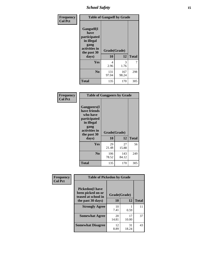*School Safety* **15**

| Frequency      | <b>Table of Gangself by Grade</b>                                                                 |                    |              |              |
|----------------|---------------------------------------------------------------------------------------------------|--------------------|--------------|--------------|
| <b>Col Pct</b> | Gangself(I<br>have<br>participated<br>in illegal<br>gang<br>activities in<br>the past 30<br>days) | Grade(Grade)<br>10 | 12           | <b>Total</b> |
|                | Yes                                                                                               | 4<br>2.96          | 3<br>1.76    | 7            |
|                | N <sub>0</sub>                                                                                    | 131<br>97.04       | 167<br>98.24 | 298          |
|                | <b>Total</b>                                                                                      | 135                | 170          | 305          |

| Frequency<br><b>Col Pct</b> | <b>Table of Gangpeers by Grade</b>                                                                                             |                    |              |              |  |
|-----------------------------|--------------------------------------------------------------------------------------------------------------------------------|--------------------|--------------|--------------|--|
|                             | <b>Gangpeers</b> (I<br>have friends<br>who have<br>participated<br>in illegal<br>gang<br>activities in<br>the past 30<br>days) | Grade(Grade)<br>10 | 12           | <b>Total</b> |  |
|                             | Yes                                                                                                                            | 29<br>21.48        | 27<br>15.88  | 56           |  |
|                             | N <sub>0</sub>                                                                                                                 | 106<br>78.52       | 143<br>84.12 | 249          |  |
|                             | <b>Total</b>                                                                                                                   | 135                | 170          | 305          |  |

| Frequency      |                                                                    | <b>Table of Pickedon by Grade</b> |             |              |  |  |  |  |  |  |
|----------------|--------------------------------------------------------------------|-----------------------------------|-------------|--------------|--|--|--|--|--|--|
| <b>Col Pct</b> | <b>Pickedon(I have</b><br>been picked on or<br>teased at school in | Grade(Grade)                      |             |              |  |  |  |  |  |  |
|                | the past 30 days)                                                  | 10                                | 12          | <b>Total</b> |  |  |  |  |  |  |
|                | <b>Strongly Agree</b>                                              | 10<br>7.41                        | 0.59        | 11           |  |  |  |  |  |  |
|                | <b>Somewhat Agree</b>                                              | 20<br>14.81                       | 17<br>10.00 | 37           |  |  |  |  |  |  |
|                | <b>Somewhat Disagree</b>                                           | 12<br>8.89                        | 31<br>18.24 | 43           |  |  |  |  |  |  |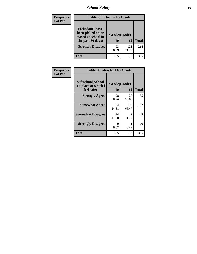# *School Safety* **16**

| <b>Frequency</b> |                                                                                          | <b>Table of Pickedon by Grade</b> |              |              |  |  |  |  |  |  |
|------------------|------------------------------------------------------------------------------------------|-----------------------------------|--------------|--------------|--|--|--|--|--|--|
| <b>Col Pct</b>   | <b>Pickedon</b> (I have<br>been picked on or<br>teased at school in<br>the past 30 days) | Grade(Grade)<br>10                | 12           | <b>Total</b> |  |  |  |  |  |  |
|                  | <b>Strongly Disagree</b>                                                                 | 93<br>68.89                       | 121<br>71.18 | 214          |  |  |  |  |  |  |
|                  | Total                                                                                    | 135                               | 170          | 305          |  |  |  |  |  |  |

| Frequency      | <b>Table of Safeschool by Grade</b>                      |                    |              |              |
|----------------|----------------------------------------------------------|--------------------|--------------|--------------|
| <b>Col Pct</b> | Safeschool(School<br>is a place at which I<br>feel safe) | Grade(Grade)<br>10 | 12           | <b>Total</b> |
|                | <b>Strongly Agree</b>                                    | 28<br>20.74        | 27<br>15.88  | 55           |
|                | <b>Somewhat Agree</b>                                    | 74<br>54.81        | 113<br>66.47 | 187          |
|                | <b>Somewhat Disagree</b>                                 | 24<br>17.78        | 19<br>11.18  | 43           |
|                | <b>Strongly Disagree</b>                                 | 9<br>6.67          | 11<br>6.47   | 20           |
|                | <b>Total</b>                                             | 135                | 170          | 305          |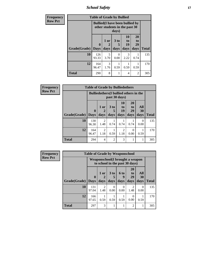*School Safety* **17**

| <b>Frequency</b> |              | <b>Table of Grade by Bullied</b>                                        |                   |                              |                        |                        |              |
|------------------|--------------|-------------------------------------------------------------------------|-------------------|------------------------------|------------------------|------------------------|--------------|
| <b>Row Pct</b>   |              | <b>Bullied</b> (I have been bullied by<br>other students in the past 30 |                   |                              |                        |                        |              |
|                  | Grade(Grade) | 0<br><b>Days</b>                                                        | 1 or<br>2<br>days | 3 <sub>to</sub><br>5<br>days | 10<br>to<br>19<br>days | 20<br>to<br>29<br>days | <b>Total</b> |
|                  | 10           | 126<br>93.33                                                            | 5<br>3.70         | 0<br>0.00                    | 3<br>2.22              | 0.74                   | 135          |
|                  | 12           | 164<br>96.47                                                            | 3<br>1.76         | 0.59                         | 0.59                   | 0.59                   | 170          |
|                  | <b>Total</b> | 290                                                                     | 8                 | 1                            | 4                      | $\mathfrak{D}$         | 305          |

| <b>Frequency</b> | <b>Table of Grade by Bulliedothers</b> |                                               |                        |                |                                     |                               |                   |              |
|------------------|----------------------------------------|-----------------------------------------------|------------------------|----------------|-------------------------------------|-------------------------------|-------------------|--------------|
| <b>Row Pct</b>   |                                        | <b>Bulliedothers</b> (I bullied others in the |                        |                |                                     |                               |                   |              |
|                  | Grade(Grade)   Days                    | $\bf{0}$                                      | 1 or<br>days           | 3 to<br>days   | 10<br>to<br>19<br>days              | <b>20</b><br>to<br>29<br>days | All<br>30<br>days | <b>Total</b> |
|                  | 10                                     | 130<br>96.30                                  | $\overline{2}$<br>1.48 | 0.74           | 0.74                                | 0.74                          | $\Omega$<br>0.00  | 135          |
|                  | 12                                     | 164<br>96.47                                  | $\overline{2}$<br>1.18 | 0.59           | $\mathcal{D}_{\mathcal{L}}$<br>1.18 | $\Omega$<br>0.00              | 0.59              | 170          |
|                  | <b>Total</b>                           | 294                                           | $\overline{4}$         | $\mathfrak{D}$ | 3                                   | 1                             | 1                 | 305          |

| <b>Frequency</b> |              | <b>Table of Grade by Weaponschool</b>                              |                        |                  |                          |                               |                   |              |  |
|------------------|--------------|--------------------------------------------------------------------|------------------------|------------------|--------------------------|-------------------------------|-------------------|--------------|--|
| <b>Row Pct</b>   |              | Weaponschool (I brought a weapon<br>to school in the past 30 days) |                        |                  |                          |                               |                   |              |  |
|                  | Grade(Grade) | $\mathbf{0}$<br><b>Days</b>                                        | 1 or<br>days           | 3 to<br>days     | <b>6 to</b><br>9<br>days | <b>20</b><br>to<br>29<br>days | All<br>30<br>days | <b>Total</b> |  |
|                  | 10           | 131<br>97.04                                                       | $\mathfrak{D}$<br>1.48 | $\Omega$<br>0.00 | 0<br>0.00                | 2<br>1.48                     | $\theta$<br>0.00  | 135          |  |
|                  | 12           | 166<br>97.65                                                       | 0.59                   | 0.59             | 0.59                     | $\Omega$<br>0.00              | 0.59              | 170          |  |
|                  | <b>Total</b> | 297                                                                | 3                      |                  |                          | $\overline{2}$                | 1                 | 305          |  |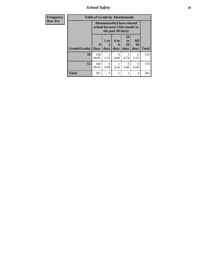*School Safety* **18**

| Frequency      | <b>Table of Grade by Absentunsafe</b> |                                                                      |                   |                   |                        |                   |              |  |  |
|----------------|---------------------------------------|----------------------------------------------------------------------|-------------------|-------------------|------------------------|-------------------|--------------|--|--|
| <b>Row Pct</b> |                                       | <b>Absentunsafe(I have missed</b><br>school because I felt unsafe in |                   |                   |                        |                   |              |  |  |
|                | Grade(Grade)                          | $\mathbf{0}$<br><b>Days</b>                                          | 1 or<br>2<br>days | 6 to<br>9<br>days | 20<br>to<br>29<br>days | All<br>30<br>days | <b>Total</b> |  |  |
|                | 10                                    | 128<br>94.81                                                         | 3<br>2.22         | 0.00              | 0.74                   | 3<br>2.22         | 135          |  |  |
|                | 12                                    | 169<br>99.41                                                         | $\Omega$<br>0.00  | 0.59              | $\Omega$<br>0.00       | 0<br>0.00         | 170          |  |  |
|                | <b>Total</b>                          | 297                                                                  | 3                 |                   | 1                      | 3                 | 305          |  |  |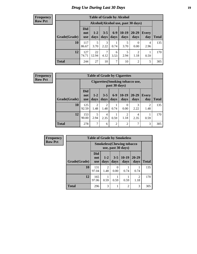# *Drug Use During Last 30 Days* **19**

#### **Frequency Row Pct**

| <b>Table of Grade by Alcohol</b> |                          |                                    |                 |               |                 |                  |                     |              |  |  |  |
|----------------------------------|--------------------------|------------------------------------|-----------------|---------------|-----------------|------------------|---------------------|--------------|--|--|--|
|                                  |                          | Alcohol(Alcohol use, past 30 days) |                 |               |                 |                  |                     |              |  |  |  |
| Grade(Grade)                     | <b>Did</b><br>not<br>use | $1-2$<br>days                      | $3 - 5$<br>days | $6-9$<br>days | $10-19$<br>days | 20-29<br>days    | <b>Every</b><br>day | <b>Total</b> |  |  |  |
| 10                               | 117<br>86.67             | 5<br>3.70                          | 3<br>2.22       | 0.74          | 5<br>3.70       | $\Omega$<br>0.00 | 4<br>2.96           | 135          |  |  |  |
| 12                               | 127<br>74.71             | 22<br>12.94                        | 7<br>4.12       | 6<br>3.53     | 5<br>2.94       | 2<br>1.18        | 0.59                | 170          |  |  |  |
| <b>Total</b>                     | 244                      | 27                                 | 10              | 7             | 10              | 2                | 5                   | 305          |  |  |  |

#### **Frequency Row Pct**

| <b>Table of Grade by Cigarettes</b> |                                 |                                                   |                        |                 |                        |               |                        |              |  |  |  |
|-------------------------------------|---------------------------------|---------------------------------------------------|------------------------|-----------------|------------------------|---------------|------------------------|--------------|--|--|--|
|                                     |                                 | Cigarettes (Smoking tobacco use,<br>past 30 days) |                        |                 |                        |               |                        |              |  |  |  |
| Grade(Grade)                        | <b>Did</b><br>not<br><b>use</b> | $1 - 2$<br>days                                   | $3 - 5$<br>days        | $6 - 9$<br>days | $10-19$<br>days        | 20-29<br>days | Every<br>day           | <b>Total</b> |  |  |  |
| 10                                  | 125<br>92.59                    | $\mathfrak{D}$<br>1.48                            | $\overline{2}$<br>1.48 | 0.74            | 0<br>0.00              | 3<br>2.22     | $\overline{2}$<br>1.48 | 135          |  |  |  |
| 12                                  | 153<br>90.00                    | 5<br>2.94                                         | 4<br>2.35              | 0.59            | $\overline{2}$<br>1.18 | 4<br>2.35     | 0.59                   | 170          |  |  |  |
| <b>Total</b>                        | 278                             | 7                                                 | 6                      | $\overline{2}$  | $\overline{2}$         | 7             | 3                      | 305          |  |  |  |

| <b>Frequency</b> | <b>Table of Grade by Smokeless</b> |                                   |                 |                  |                 |                        |              |
|------------------|------------------------------------|-----------------------------------|-----------------|------------------|-----------------|------------------------|--------------|
| <b>Row Pct</b>   |                                    | <b>Smokeless</b> (Chewing tobacco |                 |                  |                 |                        |              |
|                  | Grade(Grade)                       | <b>Did</b><br>not<br><b>use</b>   | $1 - 2$<br>days | $3 - 5$<br>days  | $10-19$<br>days | $20 - 29$<br>days      | <b>Total</b> |
|                  | 10                                 | 131<br>97.04                      | 2<br>1.48       | $\Omega$<br>0.00 | 0.74            | 0.74                   | 135          |
|                  | 12                                 | 165<br>97.06                      | 0.59            | 0.59             | 0.59            | $\mathfrak{D}$<br>1.18 | 170          |
|                  | <b>Total</b>                       | 296                               | 3               |                  | $\overline{2}$  | 3                      | 305          |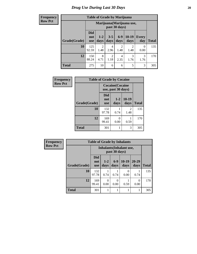**Frequency Row Pct**

| <b>Table of Grade by Marijuana</b> |                                 |                                            |                        |                        |               |                     |              |  |  |  |
|------------------------------------|---------------------------------|--------------------------------------------|------------------------|------------------------|---------------|---------------------|--------------|--|--|--|
|                                    |                                 | Marijuana (Marijuana use,<br>past 30 days) |                        |                        |               |                     |              |  |  |  |
| Grade(Grade)                       | <b>Did</b><br>not<br><b>use</b> | $1 - 2$<br>days                            | $3 - 5$<br>days        | $6 - 9$<br>days        | 10-19<br>days | <b>Every</b><br>day | <b>Total</b> |  |  |  |
| 10                                 | 125<br>92.59                    | 2<br>1.48                                  | 4<br>2.96              | $\overline{2}$<br>1.48 | 2<br>1.48     | 0<br>0.00           | 135          |  |  |  |
| 12                                 | 150<br>88.24                    | 8<br>4.71                                  | $\overline{2}$<br>1.18 | 4<br>2.35              | 3<br>1.76     | 3<br>1.76           | 170          |  |  |  |
| <b>Total</b>                       | 275                             | 10                                         | 6                      | 6                      | 5             | 3                   | 305          |  |  |  |

| <b>Frequency</b> |              | <b>Table of Grade by Cocaine</b> |                                               |                                     |              |  |  |  |  |  |  |
|------------------|--------------|----------------------------------|-----------------------------------------------|-------------------------------------|--------------|--|--|--|--|--|--|
| <b>Row Pct</b>   |              |                                  | <b>Cocaine</b> (Cocaine<br>use, past 30 days) |                                     |              |  |  |  |  |  |  |
|                  | Grade(Grade) | Did<br>not<br><b>use</b>         | $1 - 2$<br>days                               | $10-19$<br>days                     | <b>Total</b> |  |  |  |  |  |  |
|                  | 10           | 132<br>97.78                     | 0.74                                          | $\mathcal{D}_{\mathcal{L}}$<br>1.48 | 135          |  |  |  |  |  |  |
|                  | 12           | 169<br>99.41                     | 0.00                                          | 0.59                                | 170          |  |  |  |  |  |  |
|                  | <b>Total</b> | 301                              |                                               | 3                                   | 305          |  |  |  |  |  |  |

| Frequency      |              | <b>Table of Grade by Inhalants</b> |                                                  |                  |                 |                   |              |
|----------------|--------------|------------------------------------|--------------------------------------------------|------------------|-----------------|-------------------|--------------|
| <b>Row Pct</b> |              |                                    | <b>Inhalants</b> (Inhalant use,<br>past 30 days) |                  |                 |                   |              |
|                | Grade(Grade) | <b>Did</b><br>not<br><b>use</b>    | $1-2$<br>days                                    | $6-9$<br>days    | $10-19$<br>days | $20 - 29$<br>days | <b>Total</b> |
|                | 10           | 132<br>97.78                       | 0.74                                             | 0.74             | 0<br>0.00       | 0.74              | 135          |
|                | 12           | 169<br>99.41                       | 0<br>0.00                                        | $\Omega$<br>0.00 | 0.59            | 0<br>0.00         | 170          |
|                | <b>Total</b> | 301                                |                                                  |                  |                 |                   | 305          |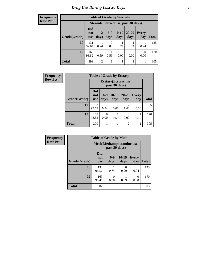**Frequency Row Pct**

| <b>Table of Grade by Steroids</b>                                                                                                            |              |                                      |           |      |      |              |     |  |
|----------------------------------------------------------------------------------------------------------------------------------------------|--------------|--------------------------------------|-----------|------|------|--------------|-----|--|
|                                                                                                                                              |              | Steroids (Steroid use, past 30 days) |           |      |      |              |     |  |
| <b>Did</b><br>$6-9$<br>$10-19$<br>20-29<br>$1-2$<br><b>Every</b><br>not<br>Grade(Grade)<br>days<br>days<br>day<br>days<br>days<br><b>use</b> |              |                                      |           |      |      | <b>Total</b> |     |  |
| 10                                                                                                                                           | 131<br>97.04 | 0.74                                 | 0<br>0.00 | 0.74 | 0.74 | 0.74         | 135 |  |
| 12<br>168<br>0<br>0<br>0<br>98.82<br>0.00<br>0.00<br>0.00<br>0.59<br>0.59                                                                    |              |                                      |           |      |      |              | 170 |  |
| <b>Total</b>                                                                                                                                 | 299          | $\overline{c}$                       |           |      |      |              | 305 |  |

| <b>Frequency</b> | <b>Table of Grade by Ecstasy</b> |                                 |                                       |                 |                        |              |              |
|------------------|----------------------------------|---------------------------------|---------------------------------------|-----------------|------------------------|--------------|--------------|
| <b>Row Pct</b>   |                                  |                                 | Ecstasy(Ecstasy use,<br>past 30 days) |                 |                        |              |              |
|                  | Grade(Grade)                     | <b>Did</b><br>not<br><b>use</b> | $6-9$<br>days                         | $10-19$<br>days | $20 - 29$<br>days      | Every<br>day | <b>Total</b> |
|                  | 10                               | 132<br>97.78                    | 0.74                                  | 0<br>0.00       | $\mathfrak{D}$<br>1.48 | 0<br>0.00    | 135          |
|                  | 12                               | 168<br>98.82                    | 0.00                                  | 0.59            | $\Omega$<br>0.00       | 0.59         | 170          |
|                  | <b>Total</b>                     | 300                             |                                       | 1               | $\overline{2}$         | 1            | 305          |

| <b>Frequency</b> | <b>Table of Grade by Meth</b> |                                             |               |                 |                     |              |  |
|------------------|-------------------------------|---------------------------------------------|---------------|-----------------|---------------------|--------------|--|
| <b>Row Pct</b>   |                               | Meth (Methamphetamine use,<br>past 30 days) |               |                 |                     |              |  |
|                  | Grade(Grade)                  | <b>Did</b><br>not<br><b>use</b>             | $6-9$<br>days | $10-19$<br>days | <b>Every</b><br>day | <b>Total</b> |  |
|                  | 10                            | 133<br>98.52                                | 0.74          | 0<br>0.00       | 0.74                | 135          |  |
|                  | 12                            | 169<br>99.41                                | 0<br>0.00     | 0.59            | 0<br>0.00           | 170          |  |
|                  | <b>Total</b>                  | 302                                         |               |                 |                     | 305          |  |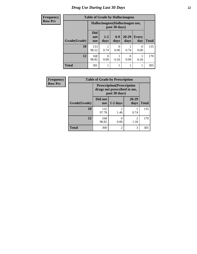| <b>Frequency</b> | <b>Table of Grade by Hallucinogens</b> |                                 |                                  |                  |                   |                  |              |
|------------------|----------------------------------------|---------------------------------|----------------------------------|------------------|-------------------|------------------|--------------|
| <b>Row Pct</b>   |                                        |                                 | Hallucinogens (Hallucinogen use, | past 30 days)    |                   |                  |              |
|                  | Grade(Grade)                           | <b>Did</b><br>not<br><b>use</b> | $1-2$<br>days                    | $6-9$<br>days    | $20 - 29$<br>days | Every<br>day     | <b>Total</b> |
|                  | 10                                     | 133<br>98.52                    | 0.74                             | $\Omega$<br>0.00 | 0.74              | $\Omega$<br>0.00 | 135          |
|                  | 12                                     | 168<br>98.82                    | 0<br>0.00                        | 0.59             | $\Omega$<br>0.00  | 0.59             | 170          |
|                  | <b>Total</b>                           | 301                             |                                  |                  |                   | 1                | 305          |

| <b>Frequency</b> | <b>Table of Grade by Prescription</b>                                             |                       |                |                        |              |  |
|------------------|-----------------------------------------------------------------------------------|-----------------------|----------------|------------------------|--------------|--|
| <b>Row Pct</b>   | <b>Prescription</b> (Prescription<br>drugs not prescribed to me,<br>past 30 days) |                       |                |                        |              |  |
|                  | Grade(Grade)                                                                      | Did not<br><b>use</b> | $1-2$ days     | 20-29<br>days          | <b>Total</b> |  |
|                  | 10                                                                                | 132                   | 2              |                        | 135          |  |
|                  |                                                                                   | 97.78                 | 1.48           | 0.74                   |              |  |
|                  | 12                                                                                | 168<br>98.82          | 0.00           | $\mathfrak{D}$<br>1.18 | 170          |  |
|                  | <b>Total</b>                                                                      | 300                   | $\overline{2}$ | 3                      | 305          |  |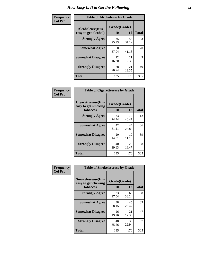| Frequency      | <b>Table of Alcoholease by Grade</b>              |                    |             |              |  |  |
|----------------|---------------------------------------------------|--------------------|-------------|--------------|--|--|
| <b>Col Pct</b> | <b>Alcoholease</b> (It is<br>easy to get alcohol) | Grade(Grade)<br>10 | 12          | <b>Total</b> |  |  |
|                | <b>Strongly Agree</b>                             | 35<br>25.93        | 58<br>34.12 | 93           |  |  |
|                | <b>Somewhat Agree</b>                             | 50<br>37.04        | 70<br>41.18 | 120          |  |  |
|                | <b>Somewhat Disagree</b>                          | 22<br>16.30        | 21<br>12.35 | 43           |  |  |
|                | <b>Strongly Disagree</b>                          | 28<br>20.74        | 21<br>12.35 | 49           |  |  |
|                | <b>Total</b>                                      | 135                | 170         | 305          |  |  |

| Frequency      | <b>Table of Cigarettesease by Grade</b>                         |                    |             |              |  |  |
|----------------|-----------------------------------------------------------------|--------------------|-------------|--------------|--|--|
| <b>Col Pct</b> | <b>Cigarettesease</b> (It is<br>easy to get smoking<br>tobacco) | Grade(Grade)<br>10 | 12          | <b>Total</b> |  |  |
|                | <b>Strongly Agree</b>                                           | 33<br>24.44        | 79<br>46.47 | 112          |  |  |
|                | <b>Somewhat Agree</b>                                           | 42<br>31.11        | 44<br>25.88 | 86           |  |  |
|                | <b>Somewhat Disagree</b>                                        | 20<br>14.81        | 19<br>11.18 | 39           |  |  |
|                | <b>Strongly Disagree</b>                                        | 40<br>29.63        | 28<br>16.47 | 68           |  |  |
|                | <b>Total</b>                                                    | 135                | 170         | 305          |  |  |

| Frequency      | <b>Table of Smokelessease by Grade</b>             |              |             |              |
|----------------|----------------------------------------------------|--------------|-------------|--------------|
| <b>Col Pct</b> | <b>Smokelessease</b> (It is<br>easy to get chewing | Grade(Grade) |             |              |
|                | tobacco)                                           | 10           | 12          | <b>Total</b> |
|                | <b>Strongly Agree</b>                              | 23<br>17.04  | 65<br>38.24 | 88           |
|                | <b>Somewhat Agree</b>                              | 38<br>28.15  | 45<br>26.47 | 83           |
|                | <b>Somewhat Disagree</b>                           | 26<br>19.26  | 21<br>12.35 | 47           |
|                | <b>Strongly Disagree</b>                           | 48<br>35.56  | 39<br>22.94 | 87           |
|                | <b>Total</b>                                       | 135          | 170         | 305          |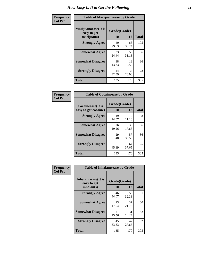| Frequency      | <b>Table of Marijuanaease by Grade</b>           |                    |             |              |  |  |
|----------------|--------------------------------------------------|--------------------|-------------|--------------|--|--|
| <b>Col Pct</b> | Marijuanaease(It is<br>easy to get<br>marijuana) | Grade(Grade)<br>10 | 12          | <b>Total</b> |  |  |
|                | <b>Strongly Agree</b>                            | 40<br>29.63        | 65<br>38.24 | 105          |  |  |
|                | <b>Somewhat Agree</b>                            | 33<br>24.44        | 53<br>31.18 | 86           |  |  |
|                | <b>Somewhat Disagree</b>                         | 18<br>13.33        | 18<br>10.59 | 36           |  |  |
|                | <b>Strongly Disagree</b>                         | 44<br>32.59        | 34<br>20.00 | 78           |  |  |
|                | <b>Total</b>                                     | 135                | 170         | 305          |  |  |

| <b>Table of Cocaineease by Grade</b>              |             |                    |     |  |  |  |
|---------------------------------------------------|-------------|--------------------|-----|--|--|--|
| <b>Cocaineease</b> (It is<br>easy to get cocaine) | 10          | Grade(Grade)<br>12 |     |  |  |  |
| <b>Strongly Agree</b>                             | 19<br>14.07 | 19<br>11.18        | 38  |  |  |  |
| <b>Somewhat Agree</b>                             | 26<br>19.26 | 30<br>17.65        | 56  |  |  |  |
| <b>Somewhat Disagree</b>                          | 29<br>21.48 | 57<br>33.53        | 86  |  |  |  |
| <b>Strongly Disagree</b>                          | 61<br>45.19 | 64<br>37.65        | 125 |  |  |  |
| <b>Total</b>                                      | 135         | 170                | 305 |  |  |  |

| Frequency      | <b>Table of Inhalantsease by Grade</b>                   |                           |             |              |
|----------------|----------------------------------------------------------|---------------------------|-------------|--------------|
| <b>Col Pct</b> | <b>Inhalantsease</b> (It is<br>easy to get<br>inhalants) | Grade(Grade)<br><b>10</b> | 12          | <b>Total</b> |
|                | <b>Strongly Agree</b>                                    | 46<br>34.07               | 55<br>32.35 | 101          |
|                | <b>Somewhat Agree</b>                                    | 23<br>17.04               | 37<br>21.76 | 60           |
|                | <b>Somewhat Disagree</b>                                 | 21<br>15.56               | 31<br>18.24 | 52           |
|                | <b>Strongly Disagree</b>                                 | 45<br>33.33               | 47<br>27.65 | 92           |
|                | <b>Total</b>                                             | 135                       | 170         | 305          |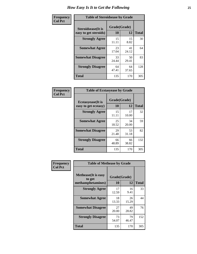| Frequency      | <b>Table of Steroidsease by Grade</b>               |                          |             |     |  |  |  |  |
|----------------|-----------------------------------------------------|--------------------------|-------------|-----|--|--|--|--|
| <b>Col Pct</b> | <b>Steroidsease</b> (It is<br>easy to get steroids) | Grade(Grade)<br>10<br>12 |             |     |  |  |  |  |
|                | <b>Strongly Agree</b>                               | 15<br>11.11              | 15<br>8.82  | 30  |  |  |  |  |
|                | <b>Somewhat Agree</b>                               | 23<br>17.04              | 41<br>24.12 | 64  |  |  |  |  |
|                | <b>Somewhat Disagree</b>                            | 33<br>24.44              | 50<br>29.41 | 83  |  |  |  |  |
|                | <b>Strongly Disagree</b>                            | 64<br>47.41              | 64<br>37.65 | 128 |  |  |  |  |
|                | <b>Total</b>                                        | 135                      | 170         | 305 |  |  |  |  |

| <b>Frequency</b> |  |
|------------------|--|
| <b>Col Pct</b>   |  |

| <b>Table of Ecstasyease by Grade</b>              |                    |              |     |  |  |  |  |  |  |
|---------------------------------------------------|--------------------|--------------|-----|--|--|--|--|--|--|
| <b>Ecstasyease</b> (It is<br>easy to get ecstasy) | Grade(Grade)<br>10 | <b>Total</b> |     |  |  |  |  |  |  |
|                                                   |                    | 12           |     |  |  |  |  |  |  |
| <b>Strongly Agree</b>                             | 15<br>11.11        | 17<br>10.00  | 32  |  |  |  |  |  |  |
| <b>Somewhat Agree</b>                             | 25<br>18.52        | 34<br>20.00  | 59  |  |  |  |  |  |  |
| <b>Somewhat Disagree</b>                          | 29<br>21.48        | 53<br>31.18  | 82  |  |  |  |  |  |  |
| <b>Strongly Disagree</b>                          | 66<br>48.89        | 66<br>38.82  | 132 |  |  |  |  |  |  |
| <b>Total</b>                                      | 135                | 170          | 305 |  |  |  |  |  |  |

| <b>Frequency</b> |  |
|------------------|--|
| Col Pct          |  |

|                                                            | <b>Table of Methease by Grade</b> |             |              |  |  |  |  |  |
|------------------------------------------------------------|-----------------------------------|-------------|--------------|--|--|--|--|--|
| <b>Methease</b> (It is easy<br>to get<br>methamphetamines) | Grade(Grade)<br>10                | 12          | <b>Total</b> |  |  |  |  |  |
| <b>Strongly Agree</b>                                      | 17<br>12.59                       | 16<br>9.41  | 33           |  |  |  |  |  |
| <b>Somewhat Agree</b>                                      | 18<br>13.33                       | 26<br>15.29 | 44           |  |  |  |  |  |
| <b>Somewhat Disagree</b>                                   | 27<br>20.00                       | 49<br>28.82 | 76           |  |  |  |  |  |
| <b>Strongly Disagree</b>                                   | 73<br>54.07                       | 79<br>46.47 | 152          |  |  |  |  |  |
| Total                                                      | 135                               | 170         | 305          |  |  |  |  |  |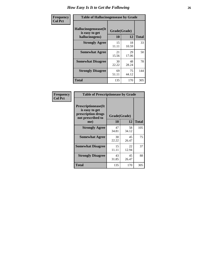| <b>Frequency</b> | <b>Table of Hallucinogensease by Grade</b>               |                    |             |              |  |  |  |  |  |
|------------------|----------------------------------------------------------|--------------------|-------------|--------------|--|--|--|--|--|
| <b>Col Pct</b>   | Hallucinogensease(It<br>is easy to get<br>hallucinogens) | Grade(Grade)<br>10 | 12          | <b>Total</b> |  |  |  |  |  |
|                  | <b>Strongly Agree</b>                                    | 15<br>11.11        | 18<br>10.59 | 33           |  |  |  |  |  |
|                  | <b>Somewhat Agree</b>                                    | 21<br>15.56        | 29<br>17.06 | 50           |  |  |  |  |  |
|                  | <b>Somewhat Disagree</b>                                 | 30<br>22.22        | 48<br>28.24 | 78           |  |  |  |  |  |
|                  | <b>Strongly Disagree</b>                                 | 69<br>51.11        | 75<br>44.12 | 144          |  |  |  |  |  |
|                  | <b>Total</b>                                             | 135                | 170         | 305          |  |  |  |  |  |

| Frequency<br>  Col Pct |
|------------------------|
|                        |

| <b>Table of Prescriptionease by Grade</b>                                                |                    |                   |     |  |  |  |  |
|------------------------------------------------------------------------------------------|--------------------|-------------------|-----|--|--|--|--|
| <b>Prescriptionease</b> (It<br>is easy to get<br>prescription drugs<br>not prescribed to | Grade(Grade)<br>10 | <b>Total</b>      |     |  |  |  |  |
| me)<br><b>Strongly Agree</b>                                                             | 47<br>34.81        | 12<br>58<br>34.12 | 105 |  |  |  |  |
| <b>Somewhat Agree</b>                                                                    | 30<br>22.22        | 45<br>26.47       | 75  |  |  |  |  |
| <b>Somewhat Disagree</b>                                                                 | 15<br>11.11        | 22<br>12.94       | 37  |  |  |  |  |
| <b>Strongly Disagree</b>                                                                 | 43<br>31.85        | 45<br>26.47       | 88  |  |  |  |  |
| Total                                                                                    | 135                | 170               | 305 |  |  |  |  |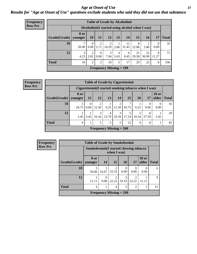### *Age at Onset of Use* **27** *Results for "Age at Onset of Use" questions exclude students who said they did not use that substance*

| <b>Frequency</b> |                        |            |                                                  |                  | <b>Table of Grade by Alcoholinit</b> |                        |             |             |             |                  |              |  |
|------------------|------------------------|------------|--------------------------------------------------|------------------|--------------------------------------|------------------------|-------------|-------------|-------------|------------------|--------------|--|
| <b>Row Pct</b>   |                        |            | Alcoholinit (I started using alcohol when I was) |                  |                                      |                        |             |             |             |                  |              |  |
|                  | Grade(Grade)   younger | 8 or       | 10                                               | 11               | 12                                   | 13                     | 14          | 15          | <b>16</b>   | 17               | <b>Total</b> |  |
|                  | 10                     | 7<br>20.00 | $\theta$<br>0.00                                 | 2<br>5.71        | 14.29                                | 2.86                   | 11<br>31.43 | 8<br>22.86  | 2.86        | $\Omega$<br>0.00 | 35           |  |
|                  | 12                     | 3<br>4.23  | 2<br>2.82                                        | $\theta$<br>0.00 | 7.04                                 | $\overline{4}$<br>5.63 | 6<br>8.45   | 21<br>29.58 | 22<br>30.99 | 8<br>11.27       | 71           |  |
|                  | <b>Total</b>           | 10         | $\overline{2}$                                   | $\overline{2}$   | 10                                   | 5                      | 17          | 29          | 23          | 8                | 106          |  |
|                  |                        |            |                                                  |                  | <b>Frequency Missing = 199</b>       |                        |             |             |             |                  |              |  |

| <b>Frequency</b> |
|------------------|
| <b>Row Pct</b>   |

| <b>Table of Grade by Cigarettesinit</b>                                                                                                 |            |                  |                                |            |            |            |            |                  |      |    |
|-----------------------------------------------------------------------------------------------------------------------------------------|------------|------------------|--------------------------------|------------|------------|------------|------------|------------------|------|----|
| Cigarettesinit (I started smoking tobacco when I was)                                                                                   |            |                  |                                |            |            |            |            |                  |      |    |
| <b>18 or</b><br>8 or<br><b>15</b><br>older<br><b>12</b><br><b>13</b><br>Grade(Grade)<br>16<br><b>Total</b><br>14<br>11<br>17<br>younger |            |                  |                                |            |            |            |            |                  |      |    |
| 10                                                                                                                                      | 3<br>18.75 | $\theta$<br>0.00 | $\overline{2}$<br>12.50        | 6.25       | 2<br>12.50 | 43.75      | 6.25       | $\Omega$<br>0.00 | 0.00 | 16 |
| 12                                                                                                                                      | 3.45       | 3.45             | 3<br>10.34                     | 4<br>13.79 | 3<br>10.34 | 5<br>17.24 | 3<br>10.34 | 8<br>27.59       | 3.45 | 29 |
| <b>Total</b>                                                                                                                            | 4          | 1                | 5                              | 5          | 5          | 12         | 4          | 8                |      | 45 |
|                                                                                                                                         |            |                  | <b>Frequency Missing = 260</b> |            |            |            |            |                  |      |    |

| <b>Frequency</b> | <b>Table of Grade by Smokelessinit</b> |                                                         |       |                                |                 |                |                          |              |  |  |  |
|------------------|----------------------------------------|---------------------------------------------------------|-------|--------------------------------|-----------------|----------------|--------------------------|--------------|--|--|--|
| <b>Row Pct</b>   |                                        | Smokelessinit (I started chewing tobacco<br>when I was) |       |                                |                 |                |                          |              |  |  |  |
|                  | Grade(Grade)   younger                 | 8 or                                                    | 14    | 15                             | 16 <sup>1</sup> | 17             | <b>18 or</b><br>older    | <b>Total</b> |  |  |  |
|                  | <b>10</b>                              | 3<br>50.00                                              | 16.67 | ◠<br>33.33                     | 0.00            | 0.00           | $\left( \right)$<br>0.00 | 6            |  |  |  |
|                  | 12                                     | 11.11                                                   | 0.00  | റ<br>22.22                     | 3<br>33.33      | 22.22          | 11.11                    | $\mathbf Q$  |  |  |  |
|                  | <b>Total</b>                           | 4                                                       |       | $\overline{4}$                 | 3               | $\overline{2}$ |                          | 15           |  |  |  |
|                  |                                        |                                                         |       | <b>Frequency Missing = 290</b> |                 |                |                          |              |  |  |  |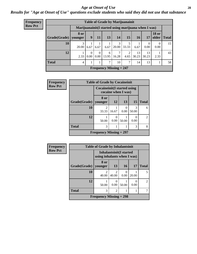#### *Age at Onset of Use* **28**

*Results for "Age at Onset of Use" questions exclude students who said they did not use that substance*

| Frequency      | <b>Table of Grade by Marijuanainit</b> |                                                      |               |                  |            |                                |                        |             |                  |                       |              |
|----------------|----------------------------------------|------------------------------------------------------|---------------|------------------|------------|--------------------------------|------------------------|-------------|------------------|-----------------------|--------------|
| <b>Row Pct</b> |                                        | Marijuanainit (I started using marijuana when I was) |               |                  |            |                                |                        |             |                  |                       |              |
|                | Grade(Grade)                           | 8 or<br>younger                                      | 9             | 11               | 13         | 14                             | 15                     | <b>16</b>   | 17               | <b>18 or</b><br>older | <b>Total</b> |
|                | 10                                     | 3<br>20.00                                           | 6.67          | 6.67             | 6.67       | 3<br>20.00                     | 33.33                  | 6.67        | $\theta$<br>0.00 | $\Omega$<br>0.00      | 15           |
|                | 12                                     | 2.33                                                 | $0.00\degree$ | $\Omega$<br>0.00 | 6<br>13.95 | $\mathcal{I}$<br>16.28         | $\mathfrak{D}$<br>4.65 | 13<br>30.23 | 13<br>30.23      | 2.33                  | 43           |
|                | <b>Total</b>                           | 4                                                    |               |                  | 7          | 10                             | 7                      | 14          | 13               |                       | 58           |
|                |                                        |                                                      |               |                  |            | <b>Frequency Missing = 247</b> |                        |             |                  |                       |              |

| Frequency      | <b>Table of Grade by Cocaineinit</b> |                              |                     |                  |                        |               |  |  |  |
|----------------|--------------------------------------|------------------------------|---------------------|------------------|------------------------|---------------|--|--|--|
| <b>Row Pct</b> |                                      | Cocaineinit (I started using | cocaine when I was) |                  |                        |               |  |  |  |
|                | Grade(Grade)                         | 8 or<br>younger              | 12                  | 13               | 15                     | <b>Total</b>  |  |  |  |
|                | 10                                   | 2<br>33.33                   | 16.67               | $\Omega$<br>0.00 | $\mathcal{R}$<br>50.00 | 6             |  |  |  |
|                | 12                                   | 50.00                        | 0<br>0.00           | 50.00            | 0.00                   | $\mathcal{L}$ |  |  |  |
|                | <b>Total</b>                         | 3<br>3                       |                     |                  |                        |               |  |  |  |
|                |                                      | Frequency Missing $= 297$    |                     |                  |                        |               |  |  |  |

| <b>Frequency</b> |              | <b>Table of Grade by Inhalantsinit</b>                 |                         |           |       |                |
|------------------|--------------|--------------------------------------------------------|-------------------------|-----------|-------|----------------|
| <b>Row Pct</b>   |              | Inhalantsinit(I started<br>using inhalants when I was) |                         |           |       |                |
|                  | Grade(Grade) | 8 or<br>younger                                        | 13                      | <b>16</b> | 17    | <b>Total</b>   |
|                  | 10           | 40.00                                                  | $\mathfrak{D}$<br>40.00 | 0<br>0.00 | 20.00 |                |
|                  | 12           | 50.00                                                  | 0<br>0.00               | 50.00     | 0.00  | $\mathfrak{D}$ |
|                  | <b>Total</b> | 3                                                      | $\overline{c}$          |           |       |                |
|                  |              | Frequency Missing $= 298$                              |                         |           |       |                |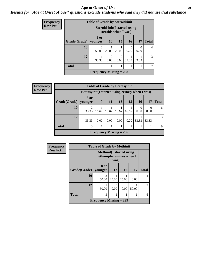#### *Age at Onset of Use* **29**

*Results for "Age at Onset of Use" questions exclude students who said they did not use that substance*

| <b>Frequency</b> |              | <b>Table of Grade by Steroidsinit</b>                        |           |                  |                 |           |              |
|------------------|--------------|--------------------------------------------------------------|-----------|------------------|-----------------|-----------|--------------|
| <b>Row Pct</b>   |              | <b>Steroidsinit (I started using</b><br>steroids when I was) |           |                  |                 |           |              |
|                  | Grade(Grade) | 8 or<br>younger                                              | <b>10</b> | <b>15</b>        | 16 <sup>1</sup> | 17        | <b>Total</b> |
|                  | 10           | $\mathcal{D}_{\mathcal{A}}$<br>50.00                         | 25.00     | 25.00            | 0.00            | 0<br>0.00 | 4            |
|                  | 12           | 33.33                                                        | 0<br>0.00 | $\Omega$<br>0.00 | 33.33           | 33.33     | 3            |
|                  | <b>Total</b> | 3                                                            | 1         |                  |                 |           |              |
|                  |              | Frequency Missing $= 298$                                    |           |                  |                 |           |              |

| <b>Frequency</b> |                        |                                                  |                  | <b>Table of Grade by Ecstasyinit</b> |                  |       |           |       |              |
|------------------|------------------------|--------------------------------------------------|------------------|--------------------------------------|------------------|-------|-----------|-------|--------------|
| <b>Row Pct</b>   |                        | Ecstasyinit (I started using ecstasy when I was) |                  |                                      |                  |       |           |       |              |
|                  | Grade(Grade)   younger | 8 or                                             | 9                | 11                                   | 13               | 15    | <b>16</b> | 17    | <b>Total</b> |
|                  | 10                     | 2<br>33.33                                       | 16.67            | 16.67                                | 16.67            | 16.67 | 0.00      | 0.00  | 6            |
|                  | 12                     | 33.33                                            | $\Omega$<br>0.00 | $\theta$<br>0.00                     | $\Omega$<br>0.00 | 0.00  | 33.33     | 33.33 | 3            |
|                  | <b>Total</b>           | 3                                                |                  |                                      |                  |       |           |       | 9            |
|                  |                        |                                                  |                  | Frequency Missing $= 296$            |                  |       |           |       |              |

| Frequency      |                   | <b>Table of Grade by Methinit</b>                           |           |       |                  |                |
|----------------|-------------------|-------------------------------------------------------------|-----------|-------|------------------|----------------|
| <b>Row Pct</b> |                   | <b>Methinit</b> (I started using<br>methamphetamines when I | was)      |       |                  |                |
|                | Grade(Grade)      | 8 or<br>vounger                                             | 12        | 16    | <b>17</b>        | <b>Total</b>   |
|                | 10                | $\mathfrak{D}$<br>50.00                                     | 25.00     | 25.00 | $\theta$<br>0.00 | $\overline{4}$ |
|                | 12                | 50.00                                                       | 0<br>0.00 | 0.00  | 50.00            | $\overline{2}$ |
|                | <b>Total</b><br>3 |                                                             |           |       |                  | 6              |
|                |                   | <b>Frequency Missing = 299</b>                              |           |       |                  |                |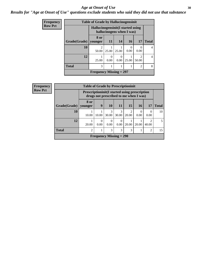#### Age at Onset of Use **30**

### *Results for "Age at Onset of Use" questions exclude students who said they did not use that substance*

| <b>Frequency</b> |              | <b>Table of Grade by Hallucinogensinit</b> |                                                                 |                  |                 |                                      |              |  |
|------------------|--------------|--------------------------------------------|-----------------------------------------------------------------|------------------|-----------------|--------------------------------------|--------------|--|
| <b>Row Pct</b>   |              |                                            | Hallucinogensinit (I started using<br>hallucinogens when I was) |                  |                 |                                      |              |  |
|                  | Grade(Grade) | 8 or<br>vounger                            | <b>11</b>                                                       | 14               | 16 <sup>1</sup> | 17                                   | <b>Total</b> |  |
|                  | 10           | 2<br>50.00                                 | 25.00                                                           | 25.00            | 0.00            | $\theta$<br>0.00                     | 4            |  |
|                  | 12           | 25.00                                      | 0<br>0.00                                                       | $\Omega$<br>0.00 | 25.00           | $\mathcal{D}_{\mathcal{L}}$<br>50.00 | 4            |  |
|                  | <b>Total</b> | 3                                          | 1                                                               |                  |                 | $\overline{2}$                       | 8            |  |
|                  |              | Frequency Missing $= 297$                  |                                                                 |                  |                 |                                      |              |  |

| <b>Frequency</b> |              | <b>Table of Grade by Prescriptioninit</b>            |                  |                                        |                  |       |       |                                      |              |
|------------------|--------------|------------------------------------------------------|------------------|----------------------------------------|------------------|-------|-------|--------------------------------------|--------------|
| <b>Row Pct</b>   |              | <b>Prescriptioninit(I started using prescription</b> |                  | drugs not prescribed to me when I was) |                  |       |       |                                      |              |
|                  | Grade(Grade) | 8 or<br>vounger                                      | 9                | <b>10</b>                              | <b>11</b>        | 15    | 16    | 17                                   | <b>Total</b> |
|                  | 10           | 10.00                                                | 10.00            | 3<br>30.00                             | 3<br>30.00       | 20.00 | 0.00  | $\Omega$<br>0.00                     | 10           |
|                  | 12           | 20.00                                                | $\Omega$<br>0.00 | $\Omega$<br>0.00                       | $\Omega$<br>0.00 | 20.00 | 20.00 | $\mathcal{D}_{\mathcal{A}}$<br>40.00 | 5            |
|                  | <b>Total</b> | $\overline{2}$                                       |                  | 3                                      | 3                | 3     |       | 2                                    | 15           |
|                  |              |                                                      |                  | <b>Frequency Missing = 290</b>         |                  |       |       |                                      |              |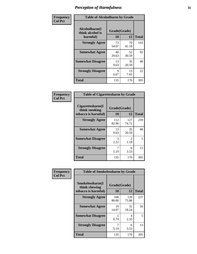| Frequency      | <b>Table of Alcoholharm by Grade</b>          |                    |             |              |  |  |  |  |
|----------------|-----------------------------------------------|--------------------|-------------|--------------|--|--|--|--|
| <b>Col Pct</b> | Alcoholharm(I<br>think alcohol is<br>harmful) | Grade(Grade)<br>10 | 12          | <b>Total</b> |  |  |  |  |
|                | <b>Strongly Agree</b>                         | 73<br>54.07        | 70<br>41.18 | 143          |  |  |  |  |
|                | <b>Somewhat Agree</b>                         | 40<br>29.63        | 52<br>30.59 | 92           |  |  |  |  |
|                | <b>Somewhat Disagree</b>                      | 13<br>9.63         | 35<br>20.59 | 48           |  |  |  |  |
|                | <b>Strongly Disagree</b>                      | 9<br>6.67          | 13<br>7.65  | 22           |  |  |  |  |
|                | <b>Total</b>                                  | 135                | 170         | 305          |  |  |  |  |

| <b>Table of Cigarettesharm by Grade</b>                  |                    |                        |              |  |  |  |  |  |
|----------------------------------------------------------|--------------------|------------------------|--------------|--|--|--|--|--|
| Cigarettesharm(I<br>think smoking<br>tobacco is harmful) | Grade(Grade)<br>10 | 12                     | <b>Total</b> |  |  |  |  |  |
| <b>Strongly Agree</b>                                    | 112<br>82.96       | 127<br>74.71           | 239          |  |  |  |  |  |
| <b>Somewhat Agree</b>                                    | 13<br>9.63         | 35<br>20.59            | 48           |  |  |  |  |  |
| <b>Somewhat Disagree</b>                                 | 3<br>2.22          | $\mathfrak{D}$<br>1.18 | 5            |  |  |  |  |  |
| <b>Strongly Disagree</b>                                 | 7<br>5.19          | 6<br>3.53              | 13           |  |  |  |  |  |
| <b>Total</b>                                             | 135                | 170                    | 305          |  |  |  |  |  |

| Frequency      | <b>Table of Smokelessharm by Grade</b>                  |                          |              |              |
|----------------|---------------------------------------------------------|--------------------------|--------------|--------------|
| <b>Col Pct</b> | Smokelessharm(I<br>think chewing<br>tobacco is harmful) | Grade(Grade)<br>12<br>10 |              | <b>Total</b> |
|                | <b>Strongly Agree</b>                                   | 108<br>80.00             | 129<br>75.88 | 237          |
|                | <b>Somewhat Agree</b>                                   | 19<br>14.07              | 31<br>18.24  | 50           |
|                | <b>Somewhat Disagree</b>                                | 0.74                     | 4<br>2.35    | 5            |
|                | <b>Strongly Disagree</b>                                | 5.19                     | 6<br>3.53    | 13           |
|                | <b>Total</b>                                            | 135                      | 170          | 305          |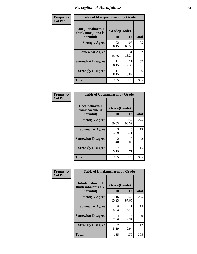| Frequency      |                                                   | <b>Table of Marijuanaharm by Grade</b> |              |              |  |  |  |  |
|----------------|---------------------------------------------------|----------------------------------------|--------------|--------------|--|--|--|--|
| <b>Col Pct</b> | Marijuanaharm(I<br>think marijuana is<br>harmful) | Grade(Grade)<br>10                     | 12           | <b>Total</b> |  |  |  |  |
|                | <b>Strongly Agree</b>                             | 92<br>68.15                            | 103<br>60.59 | 195          |  |  |  |  |
|                | <b>Somewhat Agree</b>                             | 21<br>15.56                            | 31<br>18.24  | 52           |  |  |  |  |
|                | <b>Somewhat Disagree</b>                          | 11<br>8.15                             | 21<br>12.35  | 32           |  |  |  |  |
|                | <b>Strongly Disagree</b>                          | 11<br>8.15                             | 15<br>8.82   | 26           |  |  |  |  |
|                | <b>Total</b>                                      | 135                                    | 170          | 305          |  |  |  |  |

| <b>Table of Cocaineharm by Grade</b>          |                    |              |              |  |  |
|-----------------------------------------------|--------------------|--------------|--------------|--|--|
| Cocaineharm(I<br>think cocaine is<br>harmful) | Grade(Grade)<br>10 | 12           | <b>Total</b> |  |  |
| <b>Strongly Agree</b>                         | 121<br>89.63       | 154<br>90.59 | 275          |  |  |
| <b>Somewhat Agree</b>                         | 5<br>3.70          | 8<br>4.71    | 13           |  |  |
| <b>Somewhat Disagree</b>                      | 2<br>1.48          | 0<br>0.00    | 2            |  |  |
| <b>Strongly Disagree</b>                      | 7<br>5.19          | 8<br>4.71    | 15           |  |  |
| <b>Total</b>                                  | 135                | 170          | 305          |  |  |

| Frequency      | <b>Table of Inhalantsharm by Grade</b>             |                    |              |              |
|----------------|----------------------------------------------------|--------------------|--------------|--------------|
| <b>Col Pct</b> | Inhalantsharm(I<br>think inhalants are<br>harmful) | Grade(Grade)<br>10 | 12           | <b>Total</b> |
|                | <b>Strongly Agree</b>                              | 116<br>85.93       | 149<br>87.65 | 265          |
|                | <b>Somewhat Agree</b>                              | 8<br>5.93          | 11<br>6.47   | 19           |
|                | <b>Somewhat Disagree</b>                           | 4<br>2.96          | 5<br>2.94    | 9            |
|                | <b>Strongly Disagree</b>                           | 7<br>5.19          | 5<br>2.94    | 12           |
|                | <b>Total</b>                                       | 135                | 170          | 305          |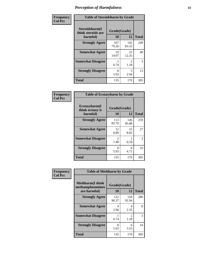| Frequency      | <b>Table of Steroidsharm by Grade</b>            |                    |                       |              |  |
|----------------|--------------------------------------------------|--------------------|-----------------------|--------------|--|
| <b>Col Pct</b> | Steroidsharm(I<br>think steroids are<br>harmful) | Grade(Grade)<br>10 | 12                    | <b>Total</b> |  |
|                | <b>Strongly Agree</b>                            | 107<br>79.26       | 142<br>83.53          | 249          |  |
|                | <b>Somewhat Agree</b>                            | 19<br>14.07        | 21<br>12.35           | 40           |  |
|                | <b>Somewhat Disagree</b>                         | 0.74               | $\mathcal{L}$<br>1.18 | 3            |  |
|                | <b>Strongly Disagree</b>                         | 8<br>5.93          | 5<br>2.94             | 13           |  |
|                | <b>Total</b>                                     | 135                | 170                   | 305          |  |

| <b>Table of Ecstasyharm by Grade</b>          |                        |              |     |  |  |
|-----------------------------------------------|------------------------|--------------|-----|--|--|
| Ecstasyharm(I<br>think ecstasy is<br>harmful) | Grade(Grade)<br>10     | <b>Total</b> |     |  |  |
| <b>Strongly Agree</b>                         | 113<br>83.70           | 146<br>85.88 | 259 |  |  |
| <b>Somewhat Agree</b>                         | 12<br>8.89             | 15<br>8.82   | 27  |  |  |
| <b>Somewhat Disagree</b>                      | $\mathfrak{D}$<br>1.48 | 0.59         | 3   |  |  |
| <b>Strongly Disagree</b>                      | 8<br>5.93              | 8<br>4.71    | 16  |  |  |
| Total                                         | 135                    | 170          | 305 |  |  |

| Frequency      | <b>Table of Methharm by Grade</b>                            |                    |              |              |
|----------------|--------------------------------------------------------------|--------------------|--------------|--------------|
| <b>Col Pct</b> | <b>Methharm</b> (I think<br>methamphetamines<br>are harmful) | Grade(Grade)<br>10 | 12           | <b>Total</b> |
|                | <b>Strongly Agree</b>                                        | 122<br>90.37       | 158<br>92.94 | 280          |
|                | <b>Somewhat Agree</b>                                        | 4<br>2.96          | 4<br>2.35    | 8            |
|                | <b>Somewhat Disagree</b>                                     | 0.74               | 2<br>1.18    | 3            |
|                | <b>Strongly Disagree</b>                                     | 8<br>5.93          | 6<br>3.53    | 14           |
|                | <b>Total</b>                                                 | 135                | 170          | 305          |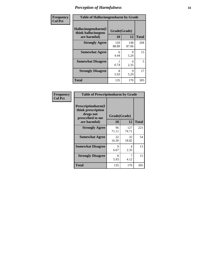| Frequency | <b>Table of Hallucinogensharm by Grade</b>                 |                    |              |              |
|-----------|------------------------------------------------------------|--------------------|--------------|--------------|
| Col Pct   | Hallucinogensharm(I<br>think hallucinogens<br>are harmful) | Grade(Grade)<br>10 | 12           | <b>Total</b> |
|           | <b>Strongly Agree</b>                                      | 120<br>88.89       | 148<br>87.06 | 268          |
|           | <b>Somewhat Agree</b>                                      | 6<br>4.44          | 9<br>5.29    | 15           |
|           | <b>Somewhat Disagree</b>                                   | 0.74               | 4<br>2.35    | 5            |
|           | <b>Strongly Disagree</b>                                   | 8<br>5.93          | 9<br>5.29    | 17           |
|           | <b>Total</b>                                               | 135                | 170          | 305          |

| <b>Table of Prescriptionharm by Grade</b>                                         |              |              |              |  |  |
|-----------------------------------------------------------------------------------|--------------|--------------|--------------|--|--|
| <b>Prescriptionharm</b> (I<br>think prescription<br>drugs not<br>prescribed to me | Grade(Grade) |              |              |  |  |
| are harmful)                                                                      | 10           | 12           | <b>Total</b> |  |  |
| <b>Strongly Agree</b>                                                             | 96<br>71.11  | 127<br>74.71 | 223          |  |  |
| <b>Somewhat Agree</b>                                                             | 22<br>16.30  | 32<br>18.82  | 54           |  |  |
| <b>Somewhat Disagree</b>                                                          | 9<br>6.67    | 4<br>2.35    | 13           |  |  |
| <b>Strongly Disagree</b>                                                          | 8<br>5.93    | 7<br>4.12    | 15           |  |  |
| <b>Total</b>                                                                      | 135          | 170          | 305          |  |  |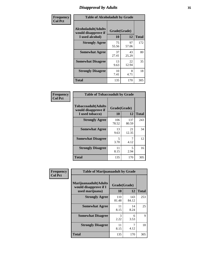# *Disapproval by Adults* **35**

| Frequency      | <b>Table of Alcoholadult by Grade</b>                                 |             |                    |              |  |
|----------------|-----------------------------------------------------------------------|-------------|--------------------|--------------|--|
| <b>Col Pct</b> | <b>Alcoholadult</b> (Adults<br>would disapprove if<br>I used alcohol) | 10          | Grade(Grade)<br>12 | <b>Total</b> |  |
|                | <b>Strongly Agree</b>                                                 | 75<br>55.56 | 97<br>57.06        | 172          |  |
|                | <b>Somewhat Agree</b>                                                 | 37<br>27.41 | 43<br>25.29        | 80           |  |
|                | <b>Somewhat Disagree</b>                                              | 13<br>9.63  | 22<br>12.94        | 35           |  |
|                | <b>Strongly Disagree</b>                                              | 10<br>7.41  | 8<br>4.71          | 18           |  |
|                | <b>Total</b>                                                          | 135         | 170                | 305          |  |

| <b>Table of Tobaccoadult by Grade</b>                                |                    |              |              |  |  |
|----------------------------------------------------------------------|--------------------|--------------|--------------|--|--|
| <b>Tobaccoadult(Adults</b><br>would disapprove if<br>I used tobacco) | Grade(Grade)<br>10 | 12           | <b>Total</b> |  |  |
| <b>Strongly Agree</b>                                                | 106<br>78.52       | 137<br>80.59 | 243          |  |  |
| <b>Somewhat Agree</b>                                                | 13<br>9.63         | 21<br>12.35  | 34           |  |  |
| <b>Somewhat Disagree</b>                                             | 5<br>3.70          | 7<br>4.12    | 12           |  |  |
| <b>Strongly Disagree</b>                                             | 11<br>8.15         | 5<br>2.94    | 16           |  |  |
| <b>Total</b>                                                         | 135                | 170          | 305          |  |  |

| Frequency      | <b>Table of Marijuanaadult by Grade</b>                           |                    |              |              |  |
|----------------|-------------------------------------------------------------------|--------------------|--------------|--------------|--|
| <b>Col Pct</b> | Marijuanaadult(Adults<br>would disapprove if I<br>used marijuana) | Grade(Grade)<br>10 | 12           | <b>Total</b> |  |
|                | <b>Strongly Agree</b>                                             | 110<br>81.48       | 143<br>84.12 | 253          |  |
|                | <b>Somewhat Agree</b>                                             | 11<br>8.15         | 14<br>8.24   | 25           |  |
|                | <b>Somewhat Disagree</b>                                          | 3<br>2.22          | 6<br>3.53    | 9            |  |
|                | <b>Strongly Disagree</b>                                          | 11<br>8.15         | 7<br>4.12    | 18           |  |
|                | <b>Total</b>                                                      | 135                | 170          | 305          |  |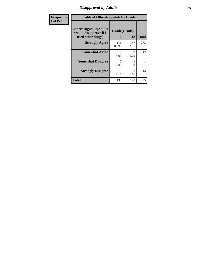# *Disapproval by Adults* **36**

| <b>Frequency</b> | <b>Table of Otherdrugadult by Grade</b>                                     |                    |              |              |  |
|------------------|-----------------------------------------------------------------------------|--------------------|--------------|--------------|--|
| <b>Col Pct</b>   | <b>Otherdrugadult</b> (Adults<br>would disapprove if I<br>used other drugs) | Grade(Grade)<br>10 | 12           | <b>Total</b> |  |
|                  | <b>Strongly Agree</b>                                                       | 116<br>85.93       | 157<br>92.35 | 273          |  |
|                  | <b>Somewhat Agree</b>                                                       | 8<br>5.93          | 9<br>5.29    | 17           |  |
|                  | <b>Somewhat Disagree</b>                                                    | ∩<br>0.00          | 0.59         |              |  |
|                  | <b>Strongly Disagree</b>                                                    | 11<br>8.15         | 3<br>1.76    | 14           |  |
|                  | <b>Total</b>                                                                | 135                | 170          | 305          |  |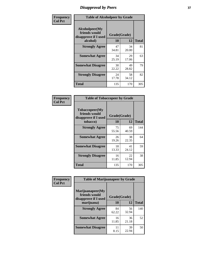# *Disapproval by Peers* **37**

| Frequency      | <b>Table of Alcoholpeer by Grade</b>                    |              |             |              |  |
|----------------|---------------------------------------------------------|--------------|-------------|--------------|--|
| <b>Col Pct</b> | Alcoholpeer(My<br>friends would<br>disapprove if I used | Grade(Grade) |             |              |  |
|                | alcohol)                                                | 10           | 12          | <b>Total</b> |  |
|                | <b>Strongly Agree</b>                                   | 47<br>34.81  | 34<br>20.00 | 81           |  |
|                | <b>Somewhat Agree</b>                                   | 34<br>25.19  | 29<br>17.06 | 63           |  |
|                | <b>Somewhat Disagree</b>                                | 30<br>22.22  | 49<br>28.82 | 79           |  |
|                | <b>Strongly Disagree</b>                                | 24<br>17.78  | 58<br>34.12 | 82           |  |
|                | Total                                                   | 135          | 170         | 305          |  |

| Frequency      | <b>Table of Tobaccopeer by Grade</b>                                |                    |             |              |
|----------------|---------------------------------------------------------------------|--------------------|-------------|--------------|
| <b>Col Pct</b> | Tobaccopeer(My<br>friends would<br>disapprove if I used<br>tobacco) | Grade(Grade)<br>10 | 12          | <b>Total</b> |
|                | <b>Strongly Agree</b>                                               | 75<br>55.56        | 69<br>40.59 | 144          |
|                | <b>Somewhat Agree</b>                                               | 26<br>19.26        | 38<br>22.35 | 64           |
|                | <b>Somewhat Disagree</b>                                            | 18<br>13.33        | 41<br>24.12 | 59           |
|                | <b>Strongly Disagree</b>                                            | 16<br>11.85        | 22<br>12.94 | 38           |
|                | Total                                                               | 135                | 170         | 305          |

| Frequency      | <b>Table of Marijuanapeer by Grade</b>                    |              |             |              |
|----------------|-----------------------------------------------------------|--------------|-------------|--------------|
| <b>Col Pct</b> | Marijuanapeer(My<br>friends would<br>disapprove if I used | Grade(Grade) |             |              |
|                | marijuana)                                                | 10           | 12          | <b>Total</b> |
|                | <b>Strongly Agree</b>                                     | 84<br>62.22  | 56<br>32.94 | 140          |
|                | <b>Somewhat Agree</b>                                     | 16<br>11.85  | 36<br>21.18 | 52           |
|                | <b>Somewhat Disagree</b>                                  | 11<br>8.15   | 39<br>22.94 | 50           |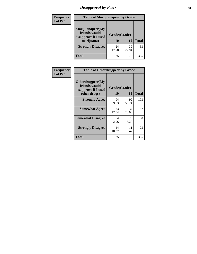# *Disapproval by Peers* **38**

| Frequency<br><b>Col Pct</b> | <b>Table of Marijuanapeer by Grade</b>                                  |                    |             |              |
|-----------------------------|-------------------------------------------------------------------------|--------------------|-------------|--------------|
|                             | Marijuanapeer(My<br>friends would<br>disapprove if I used<br>marijuana) | Grade(Grade)<br>10 | 12          | <b>Total</b> |
|                             | <b>Strongly Disagree</b>                                                | 24<br>17.78        | 39<br>22.94 | 63           |
|                             | Total                                                                   | 135                | 170         | 305          |

| Frequency      | <b>Table of Otherdrugpeer by Grade</b>                                    |                    |             |              |
|----------------|---------------------------------------------------------------------------|--------------------|-------------|--------------|
| <b>Col Pct</b> | Otherdrugpeer(My<br>friends would<br>disapprove if I used<br>other drugs) | Grade(Grade)<br>10 | 12          | <b>Total</b> |
|                | <b>Strongly Agree</b>                                                     | 94<br>69.63        | 99<br>58.24 | 193          |
|                | <b>Somewhat Agree</b>                                                     | 23<br>17.04        | 34<br>20.00 | 57           |
|                | <b>Somewhat Disagree</b>                                                  | 4<br>2.96          | 26<br>15.29 | 30           |
|                | <b>Strongly Disagree</b>                                                  | 14<br>10.37        | 11<br>6.47  | 25           |
|                | Total                                                                     | 135                | 170         | 305          |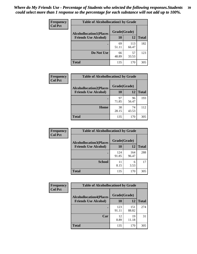| Frequency<br><b>Col Pct</b> |                                | <b>Table of Alcohollocation1 by Grade</b> |              |              |  |
|-----------------------------|--------------------------------|-------------------------------------------|--------------|--------------|--|
|                             | <b>Alcohollocation1(Places</b> | Grade(Grade)                              |              |              |  |
|                             | <b>Friends Use Alcohol)</b>    | 10                                        | 12           | <b>Total</b> |  |
|                             |                                | 69<br>51.11                               | 113<br>66.47 | 182          |  |
|                             | Do Not Use                     | 66<br>48.89                               | 57<br>33.53  | 123          |  |
|                             | <b>Total</b>                   | 135                                       | 170          | 305          |  |

| <b>Frequency</b> | <b>Table of Alcohollocation2 by Grade</b> |              |             |              |
|------------------|-------------------------------------------|--------------|-------------|--------------|
| <b>Col Pct</b>   | <b>Alcohollocation2(Places</b>            | Grade(Grade) |             |              |
|                  | <b>Friends Use Alcohol)</b>               | 10           | 12          | <b>Total</b> |
|                  |                                           | 97<br>71.85  | 96<br>56.47 | 193          |
|                  | Home                                      | 38<br>28.15  | 74<br>43.53 | 112          |
|                  | <b>Total</b>                              | 135          | 170         | 305          |

| Frequency      | <b>Table of Alcohollocation 3 by Grade</b>                    |                    |              |              |
|----------------|---------------------------------------------------------------|--------------------|--------------|--------------|
| <b>Col Pct</b> | <b>Alcohollocation3(Places</b><br><b>Friends Use Alcohol)</b> | Grade(Grade)<br>10 | 12           | <b>Total</b> |
|                |                                                               | 124<br>91.85       | 164<br>96.47 | 288          |
|                | <b>School</b>                                                 | 11<br>8.15         | 6<br>3.53    | 17           |
|                | <b>Total</b>                                                  | 135                | 170          | 305          |

| <b>Frequency</b>                                 | <b>Table of Alcohollocation4 by Grade</b> |              |              |              |  |
|--------------------------------------------------|-------------------------------------------|--------------|--------------|--------------|--|
| <b>Col Pct</b><br><b>Alcohollocation4(Places</b> | Grade(Grade)                              |              |              |              |  |
|                                                  | <b>Friends Use Alcohol)</b>               | 10           | 12           | <b>Total</b> |  |
|                                                  |                                           | 123<br>91.11 | 151<br>88.82 | 274          |  |
|                                                  | Car                                       | 12<br>8.89   | 19<br>11.18  | 31           |  |
|                                                  | Total                                     | 135          | 170          | 305          |  |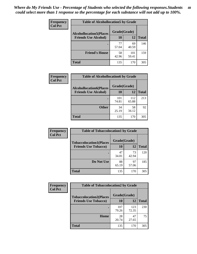| Frequency<br><b>Col Pct</b> | <b>Table of Alcohollocation5 by Grade</b> |              |              |              |
|-----------------------------|-------------------------------------------|--------------|--------------|--------------|
|                             | <b>Alcohollocation5(Places</b>            | Grade(Grade) |              |              |
|                             | <b>Friends Use Alcohol)</b>               | 10           | 12           | <b>Total</b> |
|                             |                                           | 77<br>57.04  | 69<br>40.59  | 146          |
|                             | <b>Friend's House</b>                     | 58<br>42.96  | 101<br>59.41 | 159          |
|                             | <b>Total</b>                              | 135          | 170          | 305          |

| Frequency      | <b>Table of Alcohollocation6 by Grade</b>                     |                           |              |              |
|----------------|---------------------------------------------------------------|---------------------------|--------------|--------------|
| <b>Col Pct</b> | <b>Alcohollocation6(Places</b><br><b>Friends Use Alcohol)</b> | Grade(Grade)<br><b>10</b> | 12           | <b>Total</b> |
|                |                                                               | 101<br>74.81              | 112<br>65.88 | 213          |
|                | <b>Other</b>                                                  | 34<br>25.19               | 58<br>34.12  | 92           |
|                | <b>Total</b>                                                  | 135                       | 170          | 305          |

| Frequency<br><b>Col Pct</b>    | <b>Table of Tobaccolocation1 by Grade</b> |             |             |              |
|--------------------------------|-------------------------------------------|-------------|-------------|--------------|
| <b>Tobaccolocation1(Places</b> | Grade(Grade)                              |             |             |              |
|                                | <b>Friends Use Tobacco)</b>               | 10          | 12          | <b>Total</b> |
|                                |                                           | 47<br>34.81 | 73<br>42.94 | 120          |
|                                | Do Not Use                                | 88<br>65.19 | 97<br>57.06 | 185          |
|                                | <b>Total</b>                              | 135         | 170         | 305          |

| <b>Frequency</b> | <b>Table of Tobaccolocation2 by Grade</b> |              |              |              |  |
|------------------|-------------------------------------------|--------------|--------------|--------------|--|
| <b>Col Pct</b>   | <b>Tobaccolocation2(Places</b>            | Grade(Grade) |              |              |  |
|                  | <b>Friends Use Tobacco)</b>               | 10           | 12           | <b>Total</b> |  |
|                  |                                           | 107<br>79.26 | 123<br>72.35 | 230          |  |
|                  | Home                                      | 28<br>20.74  | 47<br>27.65  | 75           |  |
|                  | <b>Total</b>                              | 135          | 170          | 305          |  |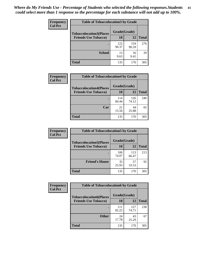| Frequency      | <b>Table of Tobaccolocation 3 by Grade</b> |              |              |              |  |
|----------------|--------------------------------------------|--------------|--------------|--------------|--|
| <b>Col Pct</b> | <b>Tobaccolocation3(Places</b>             | Grade(Grade) |              |              |  |
|                | <b>Friends Use Tobacco)</b>                | 10           | <b>12</b>    | <b>Total</b> |  |
|                |                                            | 122<br>90.37 | 154<br>90.59 | 276          |  |
|                | <b>School</b>                              | 13<br>9.63   | 16<br>9.41   | 29           |  |
|                | <b>Total</b>                               | 135          | 170          | 305          |  |

| <b>Frequency</b><br><b>Col Pct</b> | <b>Table of Tobaccolocation4 by Grade</b> |              |              |              |
|------------------------------------|-------------------------------------------|--------------|--------------|--------------|
|                                    | <b>Tobaccolocation4(Places</b>            | Grade(Grade) |              |              |
|                                    | <b>Friends Use Tobacco)</b>               | 10           | 12           | <b>Total</b> |
|                                    |                                           | 114<br>84.44 | 126<br>74.12 | 240          |
|                                    | Car                                       | 21<br>15.56  | 44<br>25.88  | 65           |
|                                    | <b>Total</b>                              | 135          | 170          | 305          |

| Frequency      | <b>Table of Tobaccolocation5 by Grade</b> |              |              |              |
|----------------|-------------------------------------------|--------------|--------------|--------------|
| <b>Col Pct</b> | <b>Tobaccolocation5(Places</b>            | Grade(Grade) |              |              |
|                | <b>Friends Use Tobacco)</b>               | 10           | <b>12</b>    | <b>Total</b> |
|                |                                           | 100<br>74.07 | 113<br>66.47 | 213          |
|                | <b>Friend's House</b>                     | 35<br>25.93  | 57<br>33.53  | 92           |
|                | <b>Total</b>                              | 135          | 170          | 305          |

| <b>Frequency</b> | <b>Table of Tobaccolocation6 by Grade</b> |              |              |              |  |
|------------------|-------------------------------------------|--------------|--------------|--------------|--|
| <b>Col Pct</b>   | <b>Tobaccolocation6(Places</b>            | Grade(Grade) |              |              |  |
|                  | <b>Friends Use Tobacco)</b>               | <b>10</b>    | 12           | <b>Total</b> |  |
|                  |                                           | 111<br>82.22 | 127<br>74.71 | 238          |  |
|                  | <b>Other</b>                              | 24<br>17.78  | 43<br>25.29  | 67           |  |
|                  | <b>Total</b>                              | 135          | 170          | 305          |  |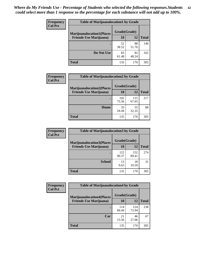| <b>Frequency</b> | <b>Table of Marijuanalocation1 by Grade</b> |              |             |              |
|------------------|---------------------------------------------|--------------|-------------|--------------|
| <b>Col Pct</b>   | <b>Marijuanalocation1(Places</b>            | Grade(Grade) |             |              |
|                  | <b>Friends Use Marijuana</b> )              | 10           | 12          | <b>Total</b> |
|                  |                                             | 52<br>38.52  | 88<br>51.76 | 140          |
|                  | Do Not Use                                  | 83<br>61.48  | 82<br>48.24 | 165          |
|                  | Total                                       | 135          | 170         | 305          |

| <b>Frequency</b> | <b>Table of Marijuanalocation2 by Grade</b>                        |                    |              |              |
|------------------|--------------------------------------------------------------------|--------------------|--------------|--------------|
| <b>Col Pct</b>   | <b>Marijuanalocation2(Places</b><br><b>Friends Use Marijuana</b> ) | Grade(Grade)<br>10 | 12           | <b>Total</b> |
|                  |                                                                    | 102<br>75.56       | 115<br>67.65 | 217          |
|                  | <b>Home</b>                                                        | 33<br>24.44        | 55<br>32.35  | 88           |
|                  | <b>Total</b>                                                       | 135                | 170          | 305          |

| Frequency<br><b>Col Pct</b> | <b>Table of Marijuanalocation3 by Grade</b> |              |              |              |
|-----------------------------|---------------------------------------------|--------------|--------------|--------------|
|                             | <b>Marijuanalocation3(Places</b>            | Grade(Grade) |              |              |
|                             | <b>Friends Use Marijuana</b> )              | 10           | 12           | <b>Total</b> |
|                             |                                             | 122<br>90.37 | 152<br>89.41 | 274          |
|                             | <b>School</b>                               | 13<br>9.63   | 18<br>10.59  | 31           |
|                             | <b>Total</b>                                | 135          | 170          | 305          |

| <b>Frequency</b> | <b>Table of Marijuanalocation4 by Grade</b> |              |              |              |  |
|------------------|---------------------------------------------|--------------|--------------|--------------|--|
| <b>Col Pct</b>   | <b>Marijuanalocation4(Places</b>            | Grade(Grade) |              |              |  |
|                  | <b>Friends Use Marijuana</b> )              | <b>10</b>    | 12           | <b>Total</b> |  |
|                  |                                             | 114<br>84.44 | 124<br>72.94 | 238          |  |
|                  | Car                                         | 21<br>15.56  | 46<br>27.06  | 67           |  |
|                  | <b>Total</b>                                | 135          | 170          | 305          |  |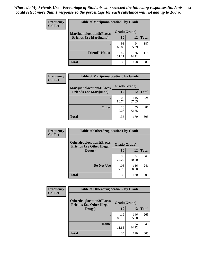| <b>Frequency</b> | <b>Table of Marijuanalocation5 by Grade</b> |              |             |              |
|------------------|---------------------------------------------|--------------|-------------|--------------|
| <b>Col Pct</b>   | <b>Marijuanalocation5</b> (Places           | Grade(Grade) |             |              |
|                  | <b>Friends Use Marijuana</b> )              | 10           | 12          | <b>Total</b> |
|                  |                                             | 93<br>68.89  | 94<br>55.29 | 187          |
|                  | <b>Friend's House</b>                       | 42<br>31.11  | 76<br>44.71 | 118          |
|                  | <b>Total</b>                                | 135          | 170         | 305          |

| <b>Frequency</b> | <b>Table of Marijuanalocation6 by Grade</b>                        |                    |              |              |
|------------------|--------------------------------------------------------------------|--------------------|--------------|--------------|
| <b>Col Pct</b>   | <b>Marijuanalocation6(Places</b><br><b>Friends Use Marijuana</b> ) | Grade(Grade)<br>10 | 12           | <b>Total</b> |
|                  |                                                                    |                    |              |              |
|                  |                                                                    | 109<br>80.74       | 115<br>67.65 | 224          |
|                  | <b>Other</b>                                                       | 26<br>19.26        | 55<br>32.35  | 81           |
|                  | <b>Total</b>                                                       | 135                | 170          | 305          |

| Frequency      | <b>Table of Otherdruglocation1 by Grade</b>                          |              |              |              |
|----------------|----------------------------------------------------------------------|--------------|--------------|--------------|
| <b>Col Pct</b> | <b>Otherdruglocation1(Places</b><br><b>Friends Use Other Illegal</b> | Grade(Grade) |              |              |
|                | Drugs)                                                               | 10           | 12           | <b>Total</b> |
|                |                                                                      | 30<br>22.22  | 34<br>20.00  | 64           |
|                | Do Not Use                                                           | 105<br>77.78 | 136<br>80.00 | 241          |
|                | <b>Total</b>                                                         | 135          | 170          | 305          |

| Frequency      | <b>Table of Otherdruglocation2 by Grade</b>                          |              |              |              |
|----------------|----------------------------------------------------------------------|--------------|--------------|--------------|
| <b>Col Pct</b> | <b>Otherdruglocation2(Places</b><br><b>Friends Use Other Illegal</b> | Grade(Grade) |              |              |
|                | Drugs)                                                               | 10           | 12           | <b>Total</b> |
|                |                                                                      | 119<br>88.15 | 146<br>85.88 | 265          |
|                | <b>Home</b>                                                          | 16<br>11.85  | 24<br>14.12  | 40           |
|                | <b>Total</b>                                                         | 135          | 170          | 305          |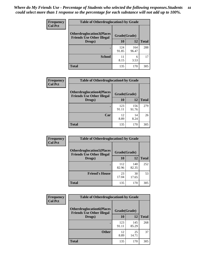| <b>Frequency</b> | <b>Table of Otherdruglocation 3 by Grade</b>                         |              |              |              |
|------------------|----------------------------------------------------------------------|--------------|--------------|--------------|
| <b>Col Pct</b>   | <b>Otherdruglocation3(Places</b><br><b>Friends Use Other Illegal</b> | Grade(Grade) |              |              |
|                  | Drugs)                                                               | 10           | 12           | <b>Total</b> |
|                  | $\bullet$                                                            | 124<br>91.85 | 164<br>96.47 | 288          |
|                  | <b>School</b>                                                        | 11<br>8.15   | 6<br>3.53    | 17           |
|                  | <b>Total</b>                                                         | 135          | 170          | 305          |

| Frequency      | <b>Table of Otherdruglocation4 by Grade</b>                          |              |              |              |
|----------------|----------------------------------------------------------------------|--------------|--------------|--------------|
| <b>Col Pct</b> | <b>Otherdruglocation4(Places</b><br><b>Friends Use Other Illegal</b> | Grade(Grade) |              |              |
|                | Drugs)                                                               | 10           | 12           | <b>Total</b> |
|                |                                                                      | 123<br>91.11 | 156<br>91.76 | 279          |
|                | Car                                                                  | 12<br>8.89   | 14<br>8.24   | 26           |
|                | <b>Total</b>                                                         | 135          | 170          | 305          |

| Frequency      | <b>Table of Otherdruglocation5 by Grade</b>                          |              |              |              |
|----------------|----------------------------------------------------------------------|--------------|--------------|--------------|
| <b>Col Pct</b> | <b>Otherdruglocation5(Places</b><br><b>Friends Use Other Illegal</b> | Grade(Grade) |              |              |
|                | Drugs)                                                               | 10           | 12           | <b>Total</b> |
|                |                                                                      | 112<br>82.96 | 140<br>82.35 | 252          |
|                | <b>Friend's House</b>                                                | 23<br>17.04  | 30<br>17.65  | 53           |
|                | <b>Total</b>                                                         | 135          | 170          | 305          |

| <b>Frequency</b> | <b>Table of Otherdruglocation6 by Grade</b>                          |              |              |              |
|------------------|----------------------------------------------------------------------|--------------|--------------|--------------|
| <b>Col Pct</b>   | <b>Otherdruglocation6(Places</b><br><b>Friends Use Other Illegal</b> | Grade(Grade) |              |              |
|                  | Drugs)                                                               | <b>10</b>    | 12           | <b>Total</b> |
|                  |                                                                      | 123<br>91.11 | 145<br>85.29 | 268          |
|                  | <b>Other</b>                                                         | 12<br>8.89   | 25<br>14.71  | 37           |
|                  | <b>Total</b>                                                         | 135          | 170          | 305          |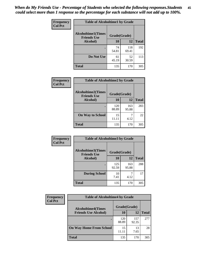| Frequency      | <b>Table of Alcoholtime1 by Grade</b>           |              |              |              |
|----------------|-------------------------------------------------|--------------|--------------|--------------|
| <b>Col Pct</b> | <b>Alcoholtime1(Times</b><br><b>Friends Use</b> | Grade(Grade) |              |              |
|                | Alcohol)                                        | 10           | 12           | <b>Total</b> |
|                |                                                 | 74<br>54.81  | 118<br>69.41 | 192          |
|                | Do Not Use                                      | 61<br>45.19  | 52<br>30.59  | 113          |
|                | <b>Total</b>                                    | 135          | 170          | 305          |

| Frequency      | <b>Table of Alcoholtime2 by Grade</b>           |              |              |              |
|----------------|-------------------------------------------------|--------------|--------------|--------------|
| <b>Col Pct</b> | <b>Alcoholtime2(Times</b><br><b>Friends Use</b> | Grade(Grade) |              |              |
|                | Alcohol)                                        | 10           | 12           | <b>Total</b> |
|                |                                                 | 120<br>88.89 | 163<br>95.88 | 283          |
|                | <b>On Way to School</b>                         | 15<br>11.11  | 7<br>4.12    | 22           |
|                | <b>Total</b>                                    | 135          | 170          | 305          |

| Frequency<br><b>Col Pct</b> | <b>Table of Alcoholtime3 by Grade</b>           |              |              |              |
|-----------------------------|-------------------------------------------------|--------------|--------------|--------------|
|                             | <b>Alcoholtime3(Times</b><br><b>Friends Use</b> | Grade(Grade) |              |              |
|                             | Alcohol)                                        | 10           | 12           | <b>Total</b> |
|                             |                                                 | 125<br>92.59 | 163<br>95.88 | 288          |
|                             | <b>During School</b>                            | 10<br>7.41   | 4.12         | 17           |
|                             | Total                                           | 135          | 170          | 305          |

| <b>Frequency</b> | <b>Table of Alcoholtime4 by Grade</b> |              |              |              |
|------------------|---------------------------------------|--------------|--------------|--------------|
| <b>Col Pct</b>   | <b>Alcoholtime4(Times</b>             | Grade(Grade) |              |              |
|                  | <b>Friends Use Alcohol)</b>           | 10           | 12           | <b>Total</b> |
|                  | ٠                                     | 120<br>88.89 | 157<br>92.35 | 277          |
|                  | <b>On Way Home From School</b>        | 15<br>11.11  | 13<br>7.65   | 28           |
|                  | <b>Total</b>                          | 135          | 170          | 305          |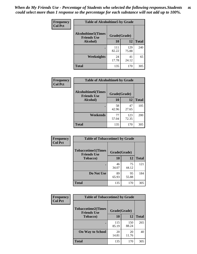*When do My Friends Use - Percentage of Students who selected the following responses.Students could select more than 1 response so the percentage for each substance will not add up to 100%.* **46**

| <b>Frequency</b> | <b>Table of Alcoholtime5 by Grade</b>           |              |              |              |
|------------------|-------------------------------------------------|--------------|--------------|--------------|
| <b>Col Pct</b>   | <b>Alcoholtime5(Times</b><br><b>Friends Use</b> | Grade(Grade) |              |              |
|                  | Alcohol)                                        | 10           | 12           | <b>Total</b> |
|                  |                                                 | 111<br>82.22 | 129<br>75.88 | 240          |
|                  | Weeknights                                      | 24<br>17.78  | 41<br>24.12  | 65           |
|                  | <b>Total</b>                                    | 135          | 170          | 305          |

| Frequency      | <b>Table of Alcoholtime6 by Grade</b>           |              |              |              |
|----------------|-------------------------------------------------|--------------|--------------|--------------|
| <b>Col Pct</b> | <b>Alcoholtime6(Times</b><br><b>Friends Use</b> | Grade(Grade) |              |              |
|                | Alcohol)                                        | 10           | 12           | <b>Total</b> |
|                |                                                 | 58<br>42.96  | 47<br>27.65  | 105          |
|                | Weekends                                        | 77<br>57.04  | 123<br>72.35 | 200          |
|                | <b>Total</b>                                    | 135          | 170          | 305          |

| Frequency<br><b>Col Pct</b> | <b>Table of Tobaccotime1 by Grade</b>           |              |             |              |
|-----------------------------|-------------------------------------------------|--------------|-------------|--------------|
|                             | <b>Tobaccotime1(Times</b><br><b>Friends Use</b> | Grade(Grade) |             |              |
|                             | <b>Tobacco</b> )                                | 10           | 12          | <b>Total</b> |
|                             |                                                 | 46<br>34.07  | 75<br>44.12 | 121          |
|                             | Do Not Use                                      | 89<br>65.93  | 95<br>55.88 | 184          |
|                             | <b>Total</b>                                    | 135          | 170         | 305          |

| Frequency      |                                                 | <b>Table of Tobaccotime2 by Grade</b> |              |              |  |  |
|----------------|-------------------------------------------------|---------------------------------------|--------------|--------------|--|--|
| <b>Col Pct</b> | <b>Tobaccotime2(Times</b><br><b>Friends Use</b> | Grade(Grade)                          |              |              |  |  |
|                | <b>Tobacco</b> )                                | 10                                    | 12           | <b>Total</b> |  |  |
|                |                                                 | 115<br>85.19                          | 150<br>88.24 | 265          |  |  |
|                | <b>On Way to School</b>                         | 20<br>14.81                           | 20<br>11.76  | 40           |  |  |
|                | <b>Total</b>                                    | 135                                   | 170          | 305          |  |  |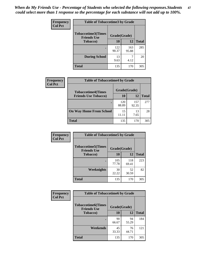*When do My Friends Use - Percentage of Students who selected the following responses.Students could select more than 1 response so the percentage for each substance will not add up to 100%.* **47**

| <b>Frequency</b> | <b>Table of Tobaccotime3 by Grade</b>           |              |              |              |  |
|------------------|-------------------------------------------------|--------------|--------------|--------------|--|
| <b>Col Pct</b>   | <b>Tobaccotime3(Times</b><br><b>Friends Use</b> |              | Grade(Grade) |              |  |
|                  | <b>Tobacco</b> )                                | 10           | 12           | <b>Total</b> |  |
|                  |                                                 | 122<br>90.37 | 163<br>95.88 | 285          |  |
|                  | <b>During School</b>                            | 13<br>9.63   | 4.12         | 20           |  |
|                  | <b>Total</b>                                    | 135          | 170          | 305          |  |

| Frequency<br><b>Col Pct</b> | <b>Table of Tobaccotime4 by Grade</b> |              |              |              |
|-----------------------------|---------------------------------------|--------------|--------------|--------------|
|                             | <b>Tobaccotime4(Times</b>             | Grade(Grade) |              |              |
|                             | <b>Friends Use Tobacco)</b>           | 10           | 12           | <b>Total</b> |
|                             |                                       | 120<br>88.89 | 157<br>92.35 | 277          |
|                             | <b>On Way Home From School</b>        | 15<br>11.11  | 13<br>7.65   | 28           |
|                             | Total                                 | 135          | 170          | 305          |

| <b>Frequency</b> | <b>Table of Tobaccotime5 by Grade</b>            |              |              |              |  |
|------------------|--------------------------------------------------|--------------|--------------|--------------|--|
| <b>Col Pct</b>   | <b>Tobaccotime5</b> (Times<br><b>Friends Use</b> | Grade(Grade) |              |              |  |
|                  | <b>Tobacco</b> )                                 | 10           | 12           | <b>Total</b> |  |
|                  |                                                  | 105<br>77.78 | 118<br>69.41 | 223          |  |
|                  | Weeknights                                       | 30<br>22.22  | 52<br>30.59  | 82           |  |
|                  | <b>Total</b>                                     | 135          | 170          | 305          |  |

| Frequency<br><b>Col Pct</b> | <b>Table of Tobaccotime6 by Grade</b>           |              |             |              |  |
|-----------------------------|-------------------------------------------------|--------------|-------------|--------------|--|
|                             | <b>Tobaccotime6(Times</b><br><b>Friends Use</b> | Grade(Grade) |             |              |  |
|                             | <b>Tobacco</b> )                                | 10           | 12          | <b>Total</b> |  |
|                             | $\bullet$                                       | 90<br>66.67  | 94<br>55.29 | 184          |  |
|                             | Weekends                                        | 45<br>33.33  | 76<br>44.71 | 121          |  |
|                             | <b>Total</b>                                    | 135          | 170         | 305          |  |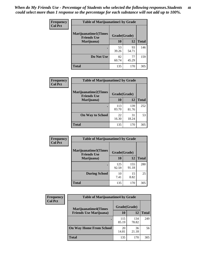| Frequency      | <b>Table of Marijuanatime1 by Grade</b>           |              |             |              |  |
|----------------|---------------------------------------------------|--------------|-------------|--------------|--|
| <b>Col Pct</b> | <b>Marijuanatime1(Times</b><br><b>Friends Use</b> | Grade(Grade) |             |              |  |
|                | Marijuana)                                        | 10           | 12          | <b>Total</b> |  |
|                |                                                   | 53<br>39.26  | 93<br>54.71 | 146          |  |
|                | Do Not Use                                        | 82<br>60.74  | 77<br>45.29 | 159          |  |
|                | <b>Total</b>                                      | 135          | 170         | 305          |  |

| <b>Frequency</b> | <b>Table of Marijuanatime2 by Grade</b>           |              |              |              |
|------------------|---------------------------------------------------|--------------|--------------|--------------|
| <b>Col Pct</b>   | <b>Marijuanatime2(Times</b><br><b>Friends Use</b> | Grade(Grade) |              |              |
|                  | Marijuana)                                        | 10           | 12           | <b>Total</b> |
|                  |                                                   | 113<br>83.70 | 139<br>81.76 | 252          |
|                  | <b>On Way to School</b>                           | 22<br>16.30  | 31<br>18.24  | 53           |
|                  | <b>Total</b>                                      | 135          | 170          | 305          |

| Frequency      | <b>Table of Marijuanatime3 by Grade</b>    |              |              |              |
|----------------|--------------------------------------------|--------------|--------------|--------------|
| <b>Col Pct</b> | Marijuanatime3(Times<br><b>Friends Use</b> | Grade(Grade) |              |              |
|                | Marijuana)                                 | 10           | 12           | <b>Total</b> |
|                |                                            | 125<br>92.59 | 155<br>91.18 | 280          |
|                | <b>During School</b>                       | 10<br>7.41   | 15<br>8.82   | 25           |
|                | <b>Total</b>                               | 135          | 170          | 305          |

| <b>Frequency</b> | <b>Table of Marijuanatime4 by Grade</b> |              |              |              |
|------------------|-----------------------------------------|--------------|--------------|--------------|
| <b>Col Pct</b>   | <b>Marijuanatime4(Times</b>             | Grade(Grade) |              |              |
|                  | <b>Friends Use Marijuana</b> )          | 10           | 12           | <b>Total</b> |
|                  | ٠                                       | 115<br>85.19 | 134<br>78.82 | 249          |
|                  | <b>On Way Home From School</b>          | 20<br>14.81  | 36<br>21.18  | 56           |
|                  | <b>Total</b>                            | 135          | 170          | 305          |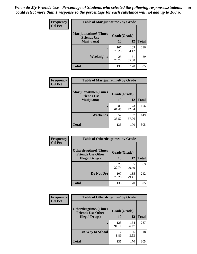| Frequency      | <b>Table of Marijuanatime5 by Grade</b>            |              |              |              |
|----------------|----------------------------------------------------|--------------|--------------|--------------|
| <b>Col Pct</b> | <b>Marijuanatime5</b> (Times<br><b>Friends Use</b> | Grade(Grade) |              |              |
|                | Marijuana)                                         | 10           | 12           | <b>Total</b> |
|                |                                                    | 107<br>79.26 | 109<br>64.12 | 216          |
|                | Weeknights                                         | 28<br>20.74  | 61<br>35.88  | 89           |
|                | <b>Total</b>                                       | 135          | 170          | 305          |

| Frequency      | <b>Table of Marijuanatime6 by Grade</b>            |              |             |              |
|----------------|----------------------------------------------------|--------------|-------------|--------------|
| <b>Col Pct</b> | <b>Marijuanatime6</b> (Times<br><b>Friends Use</b> | Grade(Grade) |             |              |
|                | Marijuana)                                         | 10           | 12          | <b>Total</b> |
|                |                                                    | 83<br>61.48  | 73<br>42.94 | 156          |
|                | Weekends                                           | 52<br>38.52  | 97<br>57.06 | 149          |
|                | <b>Total</b>                                       | 135          | 170         | 305          |

| Frequency      | <b>Table of Otherdrugtime1 by Grade</b>                 |              |              |              |  |
|----------------|---------------------------------------------------------|--------------|--------------|--------------|--|
| <b>Col Pct</b> | <b>Otherdrugtime1(Times</b><br><b>Friends Use Other</b> | Grade(Grade) |              |              |  |
|                | <b>Illegal Drugs</b> )                                  | 10           | 12           | <b>Total</b> |  |
|                |                                                         | 28<br>20.74  | 35<br>20.59  | 63           |  |
|                | Do Not Use                                              | 107<br>79.26 | 135<br>79.41 | 242          |  |
|                | <b>Total</b>                                            | 135          | 170          | 305          |  |

| Frequency      | <b>Table of Otherdrugtime2 by Grade</b>                 |              |              |              |  |  |  |
|----------------|---------------------------------------------------------|--------------|--------------|--------------|--|--|--|
| <b>Col Pct</b> | <b>Otherdrugtime2(Times</b><br><b>Friends Use Other</b> | Grade(Grade) |              |              |  |  |  |
|                | <b>Illegal Drugs</b> )                                  | 10           | 12           | <b>Total</b> |  |  |  |
|                |                                                         | 123<br>91.11 | 164<br>96.47 | 287          |  |  |  |
|                | <b>On Way to School</b>                                 | 12<br>8.89   | 6<br>3.53    | 18           |  |  |  |
|                | Total                                                   | 135          | 170          | 305          |  |  |  |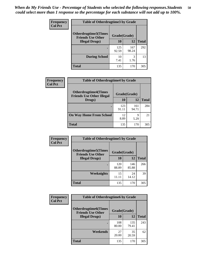| <b>Frequency</b> | <b>Table of Otherdrugtime3 by Grade</b>          |              |              |              |  |  |
|------------------|--------------------------------------------------|--------------|--------------|--------------|--|--|
| <b>Col Pct</b>   | Otherdrugtime3(Times<br><b>Friends Use Other</b> | Grade(Grade) |              |              |  |  |
|                  | <b>Illegal Drugs)</b>                            | 10           | 12           | <b>Total</b> |  |  |
|                  |                                                  | 125<br>92.59 | 167<br>98.24 | 292          |  |  |
|                  | <b>During School</b>                             | 10<br>7.41   | 3<br>1.76    | 13           |  |  |
|                  | <b>Total</b>                                     | 135          | 170          | 305          |  |  |

| Frequency      | <b>Table of Otherdrugtime4 by Grade</b>                         |              |              |              |  |  |
|----------------|-----------------------------------------------------------------|--------------|--------------|--------------|--|--|
| <b>Col Pct</b> | <b>Otherdrugtime4(Times</b><br><b>Friends Use Other Illegal</b> | Grade(Grade) |              |              |  |  |
|                | Drugs)                                                          | 10           | 12           | <b>Total</b> |  |  |
|                | ٠                                                               | 123<br>91.11 | 161<br>94.71 | 284          |  |  |
|                | <b>On Way Home From School</b>                                  | 12<br>8.89   | 9<br>5.29    | 21           |  |  |
|                | <b>Total</b>                                                    | 135          | 170          | 305          |  |  |

| <b>Frequency</b> | <b>Table of Otherdrugtime5 by Grade</b>                  |              |              |              |  |  |
|------------------|----------------------------------------------------------|--------------|--------------|--------------|--|--|
| <b>Col Pct</b>   | <b>Otherdrugtime5</b> (Times<br><b>Friends Use Other</b> | Grade(Grade) |              |              |  |  |
|                  | <b>Illegal Drugs)</b>                                    | 10           | 12           | <b>Total</b> |  |  |
|                  |                                                          | 120<br>88.89 | 146<br>85.88 | 266          |  |  |
|                  | Weeknights                                               | 15<br>11.11  | 24<br>14.12  | 39           |  |  |
|                  | <b>Total</b>                                             | 135          | 170          | 305          |  |  |

| Frequency      | <b>Table of Otherdrugtime6 by Grade</b>                 |              |              |              |  |  |
|----------------|---------------------------------------------------------|--------------|--------------|--------------|--|--|
| <b>Col Pct</b> | <b>Otherdrugtime6(Times</b><br><b>Friends Use Other</b> | Grade(Grade) |              |              |  |  |
|                | <b>Illegal Drugs</b> )                                  | 10           | 12           | <b>Total</b> |  |  |
|                |                                                         | 108<br>80.00 | 135<br>79.41 | 243          |  |  |
|                | Weekends                                                | 27<br>20.00  | 35<br>20.59  | 62           |  |  |
|                | Total                                                   | 135          | 170          | 305          |  |  |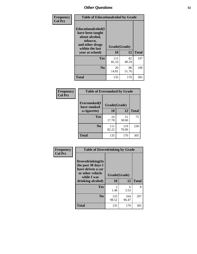| Frequency      | <b>Table of Educationalcohol by Grade</b>                                                                  |              |             |              |  |  |
|----------------|------------------------------------------------------------------------------------------------------------|--------------|-------------|--------------|--|--|
| <b>Col Pct</b> | Educationalcohol(I<br>have been taught<br>about alcohol,<br>tobacco,<br>and other drugs<br>within the last | Grade(Grade) |             |              |  |  |
|                | year at school)                                                                                            | 10           | 12          | <b>Total</b> |  |  |
|                | <b>Yes</b>                                                                                                 | 115<br>85.19 | 82<br>48.24 | 197          |  |  |
|                | N <sub>0</sub>                                                                                             | 20<br>14.81  | 88<br>51.76 | 108          |  |  |
|                | <b>Total</b>                                                                                               | 135          | 170         | 305          |  |  |

| Frequency      | <b>Table of Eversmoked by Grade</b> |              |              |              |  |  |  |
|----------------|-------------------------------------|--------------|--------------|--------------|--|--|--|
| <b>Col Pct</b> | Eversmoked(I<br>have smoked         | Grade(Grade) |              |              |  |  |  |
|                | a cigarette)                        | 10           | 12           | <b>Total</b> |  |  |  |
|                | <b>Yes</b>                          | 24<br>17.78  | 51<br>30.00  | 75           |  |  |  |
|                | N <sub>0</sub>                      | 111<br>82.22 | 119<br>70.00 | 230          |  |  |  |
|                | <b>Total</b>                        | 135          | 170          | 305          |  |  |  |

| Frequency      | <b>Table of Drovedrinking by Grade</b>                                                                              |                    |              |     |  |  |
|----------------|---------------------------------------------------------------------------------------------------------------------|--------------------|--------------|-----|--|--|
| <b>Col Pct</b> | Drovedrinking(In<br>the past 30 days I<br>have driven a car<br>or other vehicle<br>while I was<br>drinking alcohol) | Grade(Grade)<br>10 | <b>Total</b> |     |  |  |
|                | <b>Yes</b>                                                                                                          | 2<br>1.48          | 6<br>3.53    | 8   |  |  |
|                | N <sub>0</sub>                                                                                                      | 133<br>98.52       | 164<br>96.47 | 297 |  |  |
|                | <b>Total</b>                                                                                                        | 135                | 170          | 305 |  |  |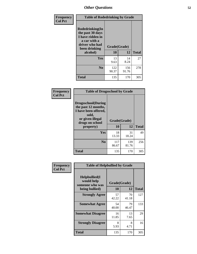| Frequency      | <b>Table of Rodedrinking by Grade</b>                                                                      |              |              |              |  |  |
|----------------|------------------------------------------------------------------------------------------------------------|--------------|--------------|--------------|--|--|
| <b>Col Pct</b> | Rodedrinking(In<br>the past 30 days<br>I have ridden in<br>a car with a<br>driver who had<br>been drinking | Grade(Grade) |              |              |  |  |
|                | alcohol)                                                                                                   | 10           | 12           | <b>Total</b> |  |  |
|                | <b>Yes</b>                                                                                                 | 13<br>9.63   | 14<br>8.24   | 27           |  |  |
|                | N <sub>0</sub>                                                                                             | 122<br>90.37 | 156<br>91.76 | 278          |  |  |
|                | <b>Total</b>                                                                                               | 135          | 170          | 305          |  |  |

#### **Frequency Col Pct**

| <b>Table of Drugsschool by Grade</b>                                                                                      |              |              |              |  |  |  |
|---------------------------------------------------------------------------------------------------------------------------|--------------|--------------|--------------|--|--|--|
| <b>Drugsschool</b> (During<br>the past 12 months,<br>I have been offered,<br>sold,<br>or given illegal<br>drugs on school | Grade(Grade) |              |              |  |  |  |
| property)                                                                                                                 | 10           | 12           | <b>Total</b> |  |  |  |
| <b>Yes</b>                                                                                                                | 18<br>13.33  | 31<br>18.24  | 49           |  |  |  |
| N <sub>0</sub>                                                                                                            | 117<br>86.67 | 139<br>81.76 | 256          |  |  |  |
| <b>Total</b>                                                                                                              | 135          | 170          | 305          |  |  |  |

| Frequency      | <b>Table of Helpbullied by Grade</b>                                   |                    |              |     |  |  |  |  |
|----------------|------------------------------------------------------------------------|--------------------|--------------|-----|--|--|--|--|
| <b>Col Pct</b> | $Helpb$ ullied $(I$<br>would help<br>someone who was<br>being bullied) | Grade(Grade)<br>10 | <b>Total</b> |     |  |  |  |  |
|                |                                                                        |                    | 12           |     |  |  |  |  |
|                | <b>Strongly Agree</b>                                                  | 57<br>42.22        | 70<br>41.18  | 127 |  |  |  |  |
|                | <b>Somewhat Agree</b>                                                  | 54<br>40.00        | 79<br>46.47  | 133 |  |  |  |  |
|                | <b>Somewhat Disagree</b>                                               | 16<br>11.85        | 13<br>7.65   | 29  |  |  |  |  |
|                | <b>Strongly Disagree</b>                                               | 8<br>5.93          | 8<br>4.71    | 16  |  |  |  |  |
|                | <b>Total</b>                                                           | 135                | 170          | 305 |  |  |  |  |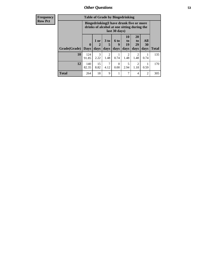| Frequency      |              | <b>Table of Grade by Bingedrinking</b> |                |                        |                     |                                                                                                         |                               |                   |              |
|----------------|--------------|----------------------------------------|----------------|------------------------|---------------------|---------------------------------------------------------------------------------------------------------|-------------------------------|-------------------|--------------|
| <b>Row Pct</b> |              |                                        |                |                        |                     | Bingedrinking(I have drunk five or more<br>drinks of alcohol at one sitting during the<br>last 30 days) |                               |                   |              |
|                | Grade(Grade) | $\mathbf{0}$<br><b>Days</b>            | $1$ or<br>days | 3 to<br>days           | $6$ to<br>9<br>days | 10<br>to<br>19<br>days                                                                                  | <b>20</b><br>to<br>29<br>days | All<br>30<br>days | <b>Total</b> |
|                | 10           | 124<br>91.85                           | 3<br>2.22      | $\overline{2}$<br>1.48 | 0.74                | $\overline{2}$<br>1.48                                                                                  | $\mathfrak{D}$<br>1.48        | 0.74              | 135          |
|                | 12           | 140<br>82.35                           | 15<br>8.82     | 7<br>4.12              | $\Omega$<br>0.00    | 5<br>2.94                                                                                               | $\mathfrak{D}$<br>1.18        | 0.59              | 170          |
|                | <b>Total</b> | 264                                    | 18             | 9                      | 1                   | 7                                                                                                       | 4                             | $\overline{2}$    | 305          |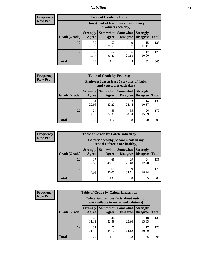### *Nutrition* **54**

| <b>Frequency</b><br>Row Pct |
|-----------------------------|
|                             |

| <b>Table of Grade by Dairy</b> |                          |                                                                 |                             |                                    |              |
|--------------------------------|--------------------------|-----------------------------------------------------------------|-----------------------------|------------------------------------|--------------|
|                                |                          | Dairy (I eat at least 3 servings of dairy<br>products each day) |                             |                                    |              |
| Grade(Grade)                   | <b>Strongly</b><br>Agree | <b>Somewhat</b><br>Agree                                        | <b>Somewhat</b><br>Disagree | <b>Strongly</b><br><b>Disagree</b> | <b>Total</b> |
| 10                             | 59<br>43.70              | 52<br>38.52                                                     | 9<br>6.67                   | 15<br>11.11                        | 135          |
| 12                             | 55<br>32.35              | 62<br>36.47                                                     | 36<br>21.18                 | 17<br>10.00                        | 170          |
| <b>Total</b>                   | 114                      | 114                                                             | 45                          | 32                                 | 305          |

| <b>Frequency</b> |  |
|------------------|--|
| <b>Row Pct</b>   |  |

| <b>Table of Grade by Fruitveg</b> |                          |                                                                          |                                    |                                    |              |
|-----------------------------------|--------------------------|--------------------------------------------------------------------------|------------------------------------|------------------------------------|--------------|
|                                   |                          | Fruitveg(I eat at least 5 servings of fruits<br>and vegetables each day) |                                    |                                    |              |
| Grade(Grade)                      | <b>Strongly</b><br>Agree | Somewhat  <br>Agree                                                      | <b>Somewhat</b><br><b>Disagree</b> | <b>Strongly</b><br><b>Disagree</b> | <b>Total</b> |
| 10                                | 31<br>22.96              | 57<br>42.22                                                              | 33<br>24.44                        | 14<br>10.37                        | 135          |
| 12                                | 24<br>14.12              | 55<br>32.35                                                              | 65<br>38.24                        | 26<br>15.29                        | 170          |
| <b>Total</b>                      | 55                       | 112                                                                      | 98                                 | 40                                 | 305          |

| <b>Frequency</b> | <b>Table of Grade by Cafeteriahealthy</b> |                                                                       |             |                                          |                                    |              |
|------------------|-------------------------------------------|-----------------------------------------------------------------------|-------------|------------------------------------------|------------------------------------|--------------|
| <b>Row Pct</b>   |                                           | Cafeteriahealthy (School meals in my<br>school cafeteria are healthy) |             |                                          |                                    |              |
|                  | Grade(Grade)                              | <b>Strongly</b><br>Agree                                              | Agree       | Somewhat   Somewhat  <br><b>Disagree</b> | <b>Strongly</b><br><b>Disagree</b> | <b>Total</b> |
|                  | <b>10</b>                                 | 17<br>12.59                                                           | 65<br>48.15 | 29<br>21.48                              | 24<br>17.78                        | 135          |
|                  | 12                                        | 12<br>7.06                                                            | 68<br>40.00 | 59<br>34.71                              | 31<br>18.24                        | 170          |
|                  | Total                                     | 29                                                                    | 133         | 88                                       | 55                                 | 305          |

| <b>Frequency</b> |
|------------------|
| <b>Row Pct</b>   |

| <b>Table of Grade by Cafeterianutrition</b> |                          |                                                                                           |                                    |                                    |              |  |
|---------------------------------------------|--------------------------|-------------------------------------------------------------------------------------------|------------------------------------|------------------------------------|--------------|--|
|                                             |                          | <b>Cafeterianutrition</b> (Facts about nutrition<br>are available in my school cafeteria) |                                    |                                    |              |  |
| Grade(Grade)                                | <b>Strongly</b><br>Agree | Somewhat<br>Agree                                                                         | <b>Somewhat</b><br><b>Disagree</b> | <b>Strongly</b><br><b>Disagree</b> | <b>Total</b> |  |
| 10                                          | 42<br>31.11              | 44<br>32.59                                                                               | 31<br>22.96                        | 18<br>13.33                        | 135          |  |
| 12                                          | 37<br>21.76              | 75<br>44.12                                                                               | 41<br>24.12                        | 17<br>10.00                        | 170          |  |
| <b>Total</b>                                | 79                       | 119                                                                                       | 72                                 | 35                                 | 305          |  |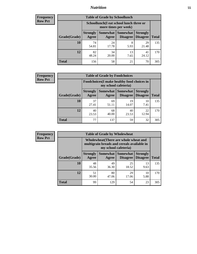### *Nutrition* **55**

| Frequency |
|-----------|
| Row Pct   |

| <b>Table of Grade by Schoollunch</b> |                          |                                                                 |                             |                                    |              |  |
|--------------------------------------|--------------------------|-----------------------------------------------------------------|-----------------------------|------------------------------------|--------------|--|
|                                      |                          | Schoollunch(I eat school lunch three or<br>more times per week) |                             |                                    |              |  |
| Grade(Grade)                         | <b>Strongly</b><br>Agree | Somewhat  <br>Agree                                             | <b>Somewhat</b><br>Disagree | <b>Strongly</b><br><b>Disagree</b> | <b>Total</b> |  |
| 10                                   | 74<br>54.81              | 24<br>17.78                                                     | 8<br>5.93                   | 29<br>21.48                        | 135          |  |
| 12                                   | 82<br>48.24              | 34<br>20.00                                                     | 13<br>7.65                  | 41<br>24.12                        | 170          |  |
| <b>Total</b>                         | 156                      | 58                                                              | 21                          | 70                                 | 305          |  |

| <b>Frequency</b> |  |
|------------------|--|
| <b>Row Pct</b>   |  |

| <b>Table of Grade by Foodchoices</b> |                          |                                                                            |                                      |                                    |              |
|--------------------------------------|--------------------------|----------------------------------------------------------------------------|--------------------------------------|------------------------------------|--------------|
|                                      |                          | <b>Foodchoices</b> (I make healthy food choices in<br>my school cafeteria) |                                      |                                    |              |
| Grade(Grade)                         | <b>Strongly</b><br>Agree | Agree                                                                      | Somewhat Somewhat<br><b>Disagree</b> | <b>Strongly</b><br><b>Disagree</b> | <b>Total</b> |
| 10                                   | 37<br>27.41              | 69<br>51.11                                                                | 19<br>14.07                          | 10<br>7.41                         | 135          |
| 12                                   | 40<br>23.53              | 68<br>40.00                                                                | 40<br>23.53                          | 22<br>12.94                        | 170          |
| <b>Total</b>                         | 77                       | 137                                                                        | 59                                   | 32                                 | 305          |

| <b>Frequency</b> |
|------------------|
| <b>Row Pct</b>   |

| <b>Table of Grade by Wholewheat</b> |                          |                                                                                                             |                                        |                                    |              |  |
|-------------------------------------|--------------------------|-------------------------------------------------------------------------------------------------------------|----------------------------------------|------------------------------------|--------------|--|
|                                     |                          | Wholewheat (There are whole wheat and<br>multigrain breads and cereals available in<br>my school cafeteria) |                                        |                                    |              |  |
| Grade(Grade)                        | <b>Strongly</b><br>Agree | Agree                                                                                                       | Somewhat   Somewhat<br><b>Disagree</b> | <b>Strongly</b><br><b>Disagree</b> | <b>Total</b> |  |
| 10                                  | 48<br>35.56              | 49<br>36.30                                                                                                 | 25<br>18.52                            | 13<br>9.63                         | 135          |  |
| 12                                  | 51<br>30.00              | 80<br>47.06                                                                                                 | 29<br>17.06                            | 10<br>5.88                         | 170          |  |
| <b>Total</b>                        | 99                       | 129                                                                                                         | 54                                     | 23                                 | 305          |  |

٦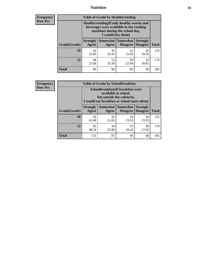### *Nutrition* **56**

**Frequency Row Pct**

| <b>Table of Grade by Healthyvending</b> |                                                                                                                                               |                          |                             |                                    |              |  |  |
|-----------------------------------------|-----------------------------------------------------------------------------------------------------------------------------------------------|--------------------------|-----------------------------|------------------------------------|--------------|--|--|
|                                         | Healthyvending (If only healthy snacks and<br>beverages were available in the vending<br>machines during the school day,<br>I would buy them) |                          |                             |                                    |              |  |  |
| Grade(Grade)                            | <b>Strongly</b><br>Agree                                                                                                                      | <b>Somewhat</b><br>Agree | <b>Somewhat</b><br>Disagree | <b>Strongly</b><br><b>Disagree</b> | <b>Total</b> |  |  |
| 10                                      | 43<br>31.85                                                                                                                                   | 45<br>33.33              | 21<br>15.56                 | 26<br>19.26                        | 135          |  |  |
| 12                                      | 46<br>27.06                                                                                                                                   | 53<br>31.18              | 39<br>22.94                 | 32<br>18.82                        | 170          |  |  |
| <b>Total</b>                            | 89                                                                                                                                            | 98                       | 60                          | 58                                 | 305          |  |  |

**Frequency Row Pct**

| <b>Table of Grade by Schoolbreakfast</b> |                                                                                                                                        |             |                                 |                                    |              |  |  |
|------------------------------------------|----------------------------------------------------------------------------------------------------------------------------------------|-------------|---------------------------------|------------------------------------|--------------|--|--|
|                                          | Schoolbreakfast(If breakfast were<br>available at school,<br>but outside the cafeteria,<br>I would eat breakfast at school more often) |             |                                 |                                    |              |  |  |
| Grade(Grade)                             | <b>Strongly</b><br>Agree                                                                                                               | Agree       | Somewhat   Somewhat<br>Disagree | <b>Strongly</b><br><b>Disagree</b> | <b>Total</b> |  |  |
| 10                                       | 56<br>41.48                                                                                                                            | 43<br>31.85 | 18<br>13.33                     | 18<br>13.33                        | 135          |  |  |
| 12                                       | 65<br>38.24                                                                                                                            | 44<br>25.88 | 31<br>18.24                     | 30<br>17.65                        | 170          |  |  |
| <b>Total</b>                             | 121                                                                                                                                    | 87          | 49                              | 48                                 | 305          |  |  |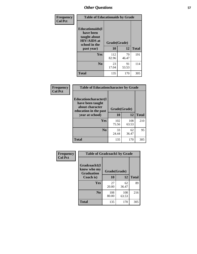| Frequency<br><b>Col Pct</b> | <b>Table of Educationaids by Grade</b>                                                                    |                    |             |              |
|-----------------------------|-----------------------------------------------------------------------------------------------------------|--------------------|-------------|--------------|
|                             | <b>Educationaids</b> (I<br>have been<br>taught about<br><b>HIV/AIDS</b> at<br>school in the<br>past year) | Grade(Grade)<br>10 | 12          | <b>Total</b> |
|                             | Yes                                                                                                       | 112<br>82.96       | 79<br>46.47 | 191          |
|                             | N <sub>0</sub>                                                                                            | 23<br>17.04        | 91<br>53.53 | 114          |
|                             | <b>Total</b>                                                                                              | 135                | 170         | 305          |

| <b>Frequency</b> | <b>Table of Educationcharacter by Grade</b>                                                                    |              |              |              |
|------------------|----------------------------------------------------------------------------------------------------------------|--------------|--------------|--------------|
| <b>Col Pct</b>   | <b>Educationcharacter(I</b><br>have been taught<br>about character<br>education in the past<br>year at school) | Grade(Grade) |              |              |
|                  |                                                                                                                | 10           | 12           | <b>Total</b> |
|                  | <b>Yes</b>                                                                                                     | 102<br>75.56 | 108<br>63.53 | 210          |
|                  | N <sub>0</sub>                                                                                                 | 33<br>24.44  | 62<br>36.47  | 95           |
|                  | <b>Total</b>                                                                                                   | 135          | 170          | 305          |

| Frequency<br><b>Col Pct</b> | <b>Table of Gradcoach1 by Grade</b> |              |              |              |  |
|-----------------------------|-------------------------------------|--------------|--------------|--------------|--|
|                             | Gradcoach1(I                        |              |              |              |  |
|                             | know who my<br><b>Graduation</b>    | Grade(Grade) |              |              |  |
|                             | Coach is)                           | 10           | 12           | <b>Total</b> |  |
|                             | Yes                                 | 27<br>20.00  | 62<br>36.47  | 89           |  |
|                             | N <sub>0</sub>                      | 108<br>80.00 | 108<br>63.53 | 216          |  |
|                             | <b>Total</b>                        | 135          | 170          | 305          |  |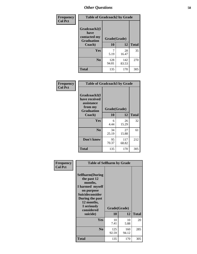| Frequency      | <b>Table of Gradcoach2 by Grade</b> |              |              |              |
|----------------|-------------------------------------|--------------|--------------|--------------|
| <b>Col Pct</b> | Gradcoach2(I<br>have                |              |              |              |
|                | contacted my<br><b>Graduation</b>   |              | Grade(Grade) |              |
|                | Coach)                              | 10           | 12           | <b>Total</b> |
|                | Yes                                 | 7<br>5.19    | 28<br>16.47  | 35           |
|                | N <sub>0</sub>                      | 128<br>94.81 | 142<br>83.53 | 270          |
|                | <b>Total</b>                        | 135          | 170          | 305          |

| Frequency<br><b>Col Pct</b> | <b>Table of Gradcoach3 by Grade</b>                                         |              |              |              |
|-----------------------------|-----------------------------------------------------------------------------|--------------|--------------|--------------|
|                             | Gradcoach3(I<br>have received<br>assistance<br>from my<br><b>Graduation</b> | Grade(Grade) |              |              |
|                             | Coach)                                                                      | 10           | 12           | <b>Total</b> |
|                             | Yes                                                                         | 6<br>4.44    | 26<br>15.29  | 32           |
|                             | N <sub>0</sub>                                                              | 34<br>25.19  | 27<br>15.88  | 61           |
|                             | Don't know                                                                  | 95<br>70.37  | 117<br>68.82 | 212          |
|                             | <b>Total</b>                                                                | 135          | 170          | 305          |

| Frequency      | <b>Table of Selfharm by Grade</b>                                                                                                                                                      |                    |              |              |  |
|----------------|----------------------------------------------------------------------------------------------------------------------------------------------------------------------------------------|--------------------|--------------|--------------|--|
| <b>Col Pct</b> | <b>Selfharm</b> (During<br>the past 12<br>months,<br>I harmed myself<br>on purpose<br><b>Suicideconsider</b><br>During the past<br>12 months,<br>I seriously<br>considered<br>suicide) | Grade(Grade)<br>10 | 12           | <b>Total</b> |  |
|                | Yes                                                                                                                                                                                    | 10<br>7.41         | 10<br>5.88   | 20           |  |
|                | N <sub>0</sub>                                                                                                                                                                         | 125<br>92.59       | 160<br>94.12 | 285          |  |
|                | Total                                                                                                                                                                                  | 135                | 170          | 305          |  |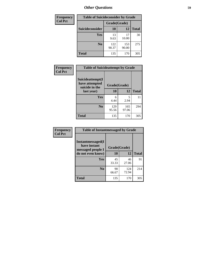| <b>Frequency</b> |                        |              | <b>Table of Suicideconsider by Grade</b> |              |  |
|------------------|------------------------|--------------|------------------------------------------|--------------|--|
| <b>Col Pct</b>   |                        | Grade(Grade) |                                          |              |  |
|                  | <b>Suicideconsider</b> | <b>10</b>    | 12                                       | <b>Total</b> |  |
|                  | Yes                    | 13<br>9.63   | 17<br>10.00                              | 30           |  |
|                  | N <sub>0</sub>         | 122<br>90.37 | 153<br>90.00                             | 275          |  |
|                  | Total                  | 135          | 170                                      | 305          |  |

| Frequency      | <b>Table of Suicideattempt by Grade</b>              |              |              |              |
|----------------|------------------------------------------------------|--------------|--------------|--------------|
| <b>Col Pct</b> | Suicideattempt(I<br>have attempted<br>suicide in the | Grade(Grade) |              |              |
|                | last year)                                           | 10           | 12           | <b>Total</b> |
|                | Yes                                                  | 6<br>4.44    | 5<br>2.94    | 11           |
|                | $\bf No$                                             | 129<br>95.56 | 165<br>97.06 | 294          |
|                | <b>Total</b>                                         | 135          | 170          | 305          |

| Frequency      | <b>Table of Instantmessaged by Grade</b>                       |              |              |              |  |
|----------------|----------------------------------------------------------------|--------------|--------------|--------------|--|
| <b>Col Pct</b> | <b>Instantmessaged</b> (I<br>have instant<br>messaged people I | Grade(Grade) |              |              |  |
|                | do not even know)                                              | 10           | 12           | <b>Total</b> |  |
|                | Yes                                                            | 45<br>33.33  | 46<br>27.06  | 91           |  |
|                | N <sub>0</sub>                                                 | 90<br>66.67  | 124<br>72.94 | 214          |  |
|                | <b>Total</b>                                                   | 135          | 170          | 305          |  |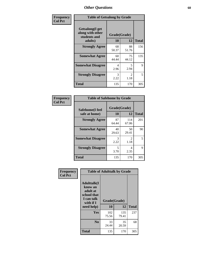| Frequency      | <b>Table of Getsalong by Grade</b>                          |              |                        |              |  |  |  |
|----------------|-------------------------------------------------------------|--------------|------------------------|--------------|--|--|--|
| <b>Col Pct</b> | <b>Getsalong</b> (I get<br>along with other<br>students and | Grade(Grade) |                        |              |  |  |  |
|                | adults)                                                     | 10           | 12                     | <b>Total</b> |  |  |  |
|                | <b>Strongly Agree</b>                                       | 68<br>50.37  | 88<br>51.76            | 156          |  |  |  |
|                | <b>Somewhat Agree</b>                                       | 60<br>44.44  | 75<br>44.12            | 135          |  |  |  |
|                | <b>Somewhat Disagree</b>                                    | 4<br>2.96    | 5<br>2.94              | 9            |  |  |  |
|                | <b>Strongly Disagree</b>                                    | 3<br>2.22    | $\mathfrak{D}$<br>1.18 | 5            |  |  |  |
|                | <b>Total</b>                                                | 135          | 170                    | 305          |  |  |  |

| Frequency      | <b>Table of Safehome by Grade</b> |                           |                        |              |  |  |  |
|----------------|-----------------------------------|---------------------------|------------------------|--------------|--|--|--|
| <b>Col Pct</b> | Safehome(I feel<br>safe at home)  | Grade(Grade)<br><b>10</b> | 12                     | <b>Total</b> |  |  |  |
|                | <b>Strongly Agree</b>             | 87<br>64.44               | 114<br>67.06           | 201          |  |  |  |
|                | <b>Somewhat Agree</b>             | 40<br>29.63               | 50<br>29.41            | 90           |  |  |  |
|                | <b>Somewhat Disagree</b>          | 3<br>2.22                 | $\mathfrak{D}$<br>1.18 | 5            |  |  |  |
|                | <b>Strongly Disagree</b>          | 5<br>3.70                 | 4<br>2.35              | 9            |  |  |  |
|                | <b>Total</b>                      | 135                       | 170                    | 305          |  |  |  |

| Frequency<br><b>Col Pct</b> |                                                                                     | <b>Table of Adulttalk by Grade</b> |              |              |
|-----------------------------|-------------------------------------------------------------------------------------|------------------------------------|--------------|--------------|
|                             | <b>Adulttalk(I</b><br>know an<br>adult at<br>school that<br>I can talk<br>with if I | Grade(Grade)                       |              |              |
|                             | need help)                                                                          | 10                                 | 12           | <b>Total</b> |
|                             | <b>Yes</b>                                                                          | 102<br>75.56                       | 135<br>79.41 | 237          |
|                             | N <sub>0</sub>                                                                      | 33<br>24.44                        | 35<br>20.59  | 68           |
|                             | <b>Total</b>                                                                        | 135                                | 170          | 305          |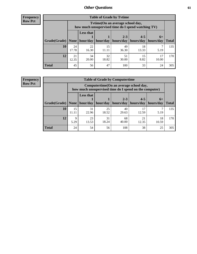**Frequency Row Pct**

| <b>Table of Grade by Tvtime</b> |             |                                                                                         |             |             |             |             |              |  |  |  |
|---------------------------------|-------------|-----------------------------------------------------------------------------------------|-------------|-------------|-------------|-------------|--------------|--|--|--|
|                                 |             | Tytime (On an average school day,<br>how much unsupervised time do I spend watching TV) |             |             |             |             |              |  |  |  |
|                                 |             | <b>Less that</b><br>$2 - 3$<br>$4 - 5$<br>$6+$                                          |             |             |             |             |              |  |  |  |
| Grade(Grade)   None             |             | hour/day                                                                                | hour/day    | hours/day   | hours/day   | hours/day   | <b>Total</b> |  |  |  |
| 10                              | 24<br>17.78 | 22<br>16.30                                                                             | 15<br>11.11 | 49<br>36.30 | 18<br>13.33 | 5.19        | 135          |  |  |  |
| 12                              | 21<br>12.35 | 34<br>20.00                                                                             | 32<br>18.82 | 51<br>30.00 | 15<br>8.82  | 17<br>10.00 | 170          |  |  |  |
| <b>Total</b>                    | 45          | 56                                                                                      | 47          | 100         | 33          | 24          | 305          |  |  |  |

**Frequency Row Pct**

| <b>Table of Grade by Computertime</b> |             |                                                                                                                               |             |             |             |      |     |  |  |  |
|---------------------------------------|-------------|-------------------------------------------------------------------------------------------------------------------------------|-------------|-------------|-------------|------|-----|--|--|--|
|                                       |             | Computertime (On an average school day,<br>how much unsupervised time do I spend on the computer)                             |             |             |             |      |     |  |  |  |
| Grade(Grade)                          | None        | <b>Less that</b><br>$4 - 5$<br>$2 - 3$<br>$6+$<br>hour/day<br>hours/day<br>hour/day<br>hours/day<br>hours/day<br><b>Total</b> |             |             |             |      |     |  |  |  |
| 10                                    | 15<br>11.11 | 31<br>22.96                                                                                                                   | 25<br>18.52 | 40<br>29.63 | 17<br>12.59 | 5.19 | 135 |  |  |  |
| 12                                    | Q<br>5.29   | 23<br>31<br>68<br>21<br>18<br>18.24<br>40.00<br>12.35<br>13.53<br>10.59                                                       |             |             |             |      |     |  |  |  |
| <b>Total</b>                          | 24          | 54                                                                                                                            | 56          | 108         | 38          | 25   | 305 |  |  |  |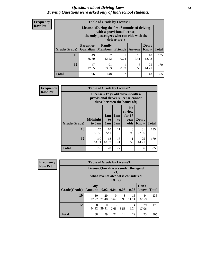#### *Questions about Driving Laws* **62** *Driving Questions were asked only of high school students.*

| <b>Frequency</b> |
|------------------|
| <b>Row Pct</b>   |

| <b>Table of Grade by License1</b> |                                     |                                                                                                                                           |                |            |                      |              |  |  |  |  |
|-----------------------------------|-------------------------------------|-------------------------------------------------------------------------------------------------------------------------------------------|----------------|------------|----------------------|--------------|--|--|--|--|
|                                   |                                     | License1(During the first 6 months of driving<br>with a provisional license,<br>the only passengers who can ride with the<br>driver are:) |                |            |                      |              |  |  |  |  |
| <b>Grade</b> (Grade)              | <b>Parent or</b><br><b>Guardian</b> | Family<br>  Members                                                                                                                       | Friends        | Anyone     | Don't<br><b>Know</b> | <b>Total</b> |  |  |  |  |
| 10                                | 49<br>36.30                         | 57<br>42.22                                                                                                                               | 0.74           | 10<br>7.41 | 18<br>13.33          | 135          |  |  |  |  |
| 12                                | 47<br>27.65                         | 25<br>91<br>6<br>14.71<br>53.53<br>0.59<br>3.53                                                                                           |                |            |                      |              |  |  |  |  |
| <b>Total</b>                      | 96                                  | 148                                                                                                                                       | $\overline{c}$ | 16         | 43                   | 305          |  |  |  |  |

| <b>Frequency</b> |                                                                                                          | <b>Table of Grade by License2</b> |                  |                         |                                                      |                      |              |  |  |
|------------------|----------------------------------------------------------------------------------------------------------|-----------------------------------|------------------|-------------------------|------------------------------------------------------|----------------------|--------------|--|--|
| <b>Row Pct</b>   | License2(17 yr old drivers with a<br>provisional driver's license cannot<br>drive between the hours of:) |                                   |                  |                         |                                                      |                      |              |  |  |
|                  | Grade(Grade)                                                                                             | <b>Midnight</b><br>to 6am         | 1am<br>to<br>5am | 1am<br>to<br><b>6am</b> | N <sub>0</sub><br>curfew<br>for $17$<br>year<br>olds | Don't<br><b>Know</b> | <b>Total</b> |  |  |
|                  | 10                                                                                                       | 75<br>55.56                       | 10<br>7.41       | 11<br>8.15              | 8<br>5.93                                            | 31<br>22.96          | 135          |  |  |
|                  | 12                                                                                                       | 110<br>64.71                      | 18<br>10.59      | 16<br>9.41              | 0.59                                                 | 25<br>14.71          | 170          |  |  |
|                  | <b>Total</b>                                                                                             | 185                               | 28               | 27                      | 9                                                    | 56                   | 305          |  |  |

| Frequency      |              | <b>Table of Grade by License3</b>     |             |                 |           |                                     |               |              |
|----------------|--------------|---------------------------------------|-------------|-----------------|-----------|-------------------------------------|---------------|--------------|
| <b>Row Pct</b> |              | License3(For drivers under the age of |             | 21,<br>$DUI$ ?) |           | what level of alcohol is considered |               |              |
|                | Grade(Grade) | Any<br><b>Amount</b>                  | 0.02        | 0.04            | 0.06      | 0.08                                | Don't<br>know | <b>Total</b> |
|                | <b>10</b>    | 30<br>22.22                           | 29<br>21.48 | 9<br>6.67       | 8<br>5.93 | 15<br>11.11                         | 44<br>32.59   | 135          |
|                | 12           | 58<br>34.12                           | 50<br>29.41 | 13<br>7.65      | 6<br>3.53 | 14<br>8.24                          | 29<br>17.06   | 170          |
|                | <b>Total</b> | 88                                    | 79          | 22              | 14        | 29                                  | 73            | 305          |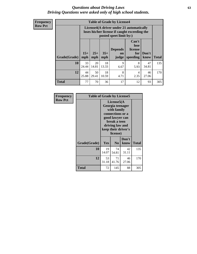#### *Questions about Driving Laws* **63** *Driving Questions were asked only of high school students.*

**Frequency Row Pct**

| <b>Table of Grade by License4</b> |             |                                                                                                                                                                                                                                                                                       |             |           |           |             |     |  |  |
|-----------------------------------|-------------|---------------------------------------------------------------------------------------------------------------------------------------------------------------------------------------------------------------------------------------------------------------------------------------|-------------|-----------|-----------|-------------|-----|--|--|
|                                   |             | License4(A driver under 21 automatically<br>loses his/her license if caught exceeding the<br>posted speet limit by:)<br>Can't<br>lose<br><b>Depends</b><br>license<br>$15+$<br>$25+$<br>$35+$<br>Don't<br>for<br><b>on</b><br>speeding<br><b>Total</b><br>mph<br>know<br>mph<br>judge |             |           |           |             |     |  |  |
| Grade(Grade)                      | mph         |                                                                                                                                                                                                                                                                                       |             |           |           |             |     |  |  |
| 10                                | 33<br>24.44 | 20<br>14.81                                                                                                                                                                                                                                                                           | 18<br>13.33 | 9<br>6.67 | 8<br>5.93 | 47<br>34.81 | 135 |  |  |
| 12                                | 44<br>25.88 | 8<br>50<br>18<br>46<br>4<br>29.41<br>2.35<br>27.06<br>10.59<br>4.71                                                                                                                                                                                                                   |             |           |           |             |     |  |  |
| <b>Total</b>                      | 77          | 70                                                                                                                                                                                                                                                                                    | 36          | 17        | 12        | 93          | 305 |  |  |

| Frequency<br><b>Row Pct</b> | <b>Table of Grade by License5</b> |             |                                                                                                                                                             |               |       |  |
|-----------------------------|-----------------------------------|-------------|-------------------------------------------------------------------------------------------------------------------------------------------------------------|---------------|-------|--|
|                             |                                   |             | License5(A)<br>Georgia teenager<br>with family<br>connections or a<br>good lawyer can<br>break a teen<br>driving law and<br>keep their driver's<br>license) |               |       |  |
|                             | Grade(Grade)                      | Yes         | N <sub>0</sub>                                                                                                                                              | Don't<br>know | Total |  |
|                             | 10                                | 19<br>14.07 | 74<br>54.81                                                                                                                                                 | 42<br>31.11   | 135   |  |
|                             | 12                                | 53<br>31.18 | 71<br>41.76                                                                                                                                                 | 46<br>27.06   | 170   |  |
|                             | <b>Total</b>                      | 72          | 145                                                                                                                                                         | 88            | 305   |  |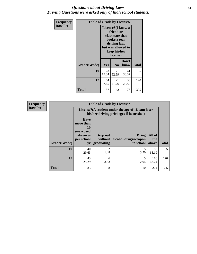#### *Questions about Driving Laws* **64** *Driving Questions were asked only of high school students.*

| <b>Frequency</b> | <b>Table of Grade by License6</b> |                                                                                                                                                 |                |               |              |
|------------------|-----------------------------------|-------------------------------------------------------------------------------------------------------------------------------------------------|----------------|---------------|--------------|
| <b>Row Pct</b>   |                                   | License <sub>6</sub> (I know a<br>friend or<br>classmate that<br>broke a teen<br>driving law,<br>but was allowed to<br>keep his/her<br>license) |                |               |              |
|                  | Grade(Grade)                      | Yes                                                                                                                                             | N <sub>0</sub> | Don't<br>know | <b>Total</b> |
|                  | 10                                | 23<br>71<br>41<br>17.04<br>52.59<br>30.37                                                                                                       |                |               | 135          |
|                  | 12                                | 64<br>71<br>35<br>37.65<br>41.76<br>20.59                                                                                                       |                |               | 170          |
|                  | <b>Total</b>                      | 87                                                                                                                                              | 142            | 76            | 305          |

| <b>Frequency</b> | <b>Table of Grade by License7</b> |                                                                                               |                                     |                                                   |                        |              |
|------------------|-----------------------------------|-----------------------------------------------------------------------------------------------|-------------------------------------|---------------------------------------------------|------------------------|--------------|
| <b>Row Pct</b>   |                                   | License7(A student under the age of 18 cam loser<br>his/her driving privileges if he or she:) |                                     |                                                   |                        |              |
|                  | Grade(Grade)                      | <b>Have</b><br>more than<br>10<br>unexcused<br>absences<br>per school<br>yr                   | Drop out<br>without  <br>graduating | <b>Bring</b><br>alcohol/drugs/weapon<br>to school | All of<br>the<br>above | <b>Total</b> |
|                  | 10                                | 40<br>29.63                                                                                   | $\overline{2}$<br>1.48              | 3.70                                              | 88<br>65.19            | 135          |
|                  | 12                                | 43<br>25.29                                                                                   | 6<br>3.53                           | 2.94                                              | 116<br>68.24           | 170          |
|                  | <b>Total</b>                      | 83                                                                                            | 8                                   | 10                                                | 204                    | 305          |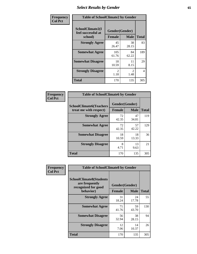# *Select Results by Gender* **65**

| Frequency      | <b>Table of SchoolClimate2 by Gender</b>          |                                 |                        |                |
|----------------|---------------------------------------------------|---------------------------------|------------------------|----------------|
| <b>Col Pct</b> | SchoolClimate2(I<br>feel successful at<br>school) | Gender(Gender)<br><b>Female</b> | <b>Male</b>            | <b>Total</b>   |
|                | <b>Strongly Agree</b>                             | 45<br>26.47                     | 38<br>28.15            | 83             |
|                | <b>Somewhat Agree</b>                             | 105<br>61.76                    | 84<br>62.22            | 189            |
|                | <b>Somewhat Disagree</b>                          | 18<br>10.59                     | 11<br>8.15             | 29             |
|                | <b>Strongly Disagree</b>                          | $\mathcal{L}$<br>1.18           | $\mathfrak{D}$<br>1.48 | $\overline{4}$ |
|                | <b>Total</b>                                      | 170                             | 135                    | 305            |

| Frequency      | <b>Table of SchoolClimate6 by Gender</b>                 |             |                               |              |  |
|----------------|----------------------------------------------------------|-------------|-------------------------------|--------------|--|
| <b>Col Pct</b> | <b>SchoolClimate6(Teachers</b><br>treat me with respect) | Female      | Gender(Gender)<br><b>Male</b> | <b>Total</b> |  |
|                | <b>Strongly Agree</b>                                    | 72<br>42.35 | 47<br>34.81                   | 119          |  |
|                | <b>Somewhat Agree</b>                                    | 72<br>42.35 | 57<br>42.22                   | 129          |  |
|                | <b>Somewhat Disagree</b>                                 | 18<br>10.59 | 18<br>13.33                   | 36           |  |
|                | <b>Strongly Disagree</b>                                 | 8<br>4.71   | 13<br>9.63                    | 21           |  |
|                | <b>Total</b>                                             | 170         | 135                           | 305          |  |

| Frequency      | <b>Table of SchoolClimate8 by Gender</b>                                             |                                 |             |              |
|----------------|--------------------------------------------------------------------------------------|---------------------------------|-------------|--------------|
| <b>Col Pct</b> | <b>SchoolClimate8(Students</b><br>are frequently<br>recognized for good<br>behavior) | Gender(Gender)<br><b>Female</b> | <b>Male</b> | <b>Total</b> |
|                | <b>Strongly Agree</b>                                                                | 31<br>18.24                     | 24<br>17.78 | 55           |
|                | <b>Somewhat Agree</b>                                                                | 71<br>41.76                     | 59<br>43.70 | 130          |
|                | <b>Somewhat Disagree</b>                                                             | 56<br>32.94                     | 38<br>28.15 | 94           |
|                | <b>Strongly Disagree</b>                                                             | 12<br>7.06                      | 14<br>10.37 | 26           |
|                | Total                                                                                | 170                             | 135         | 305          |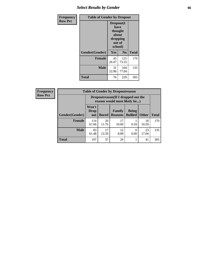# *Select Results by Gender* **66**

| Frequency      | <b>Table of Gender by Dropout</b> |                                                                        |                |              |
|----------------|-----------------------------------|------------------------------------------------------------------------|----------------|--------------|
| <b>Row Pct</b> |                                   | Dropout(I<br>have<br>thought<br>about<br>dropping<br>out of<br>school) |                |              |
|                | Gender(Gender)                    | Yes                                                                    | N <sub>0</sub> | <b>Total</b> |
|                | <b>Female</b>                     | 45<br>26.47                                                            | 125<br>73.53   | 170          |
|                | <b>Male</b>                       | 31<br>22.96                                                            | 104<br>77.04   | 135          |
|                | <b>Total</b>                      | 76                                                                     | 229            | 305          |

| <b>Frequency</b> | <b>Table of Gender by Dropoutreason</b> |                                                                    |              |                                 |                                |              |              |
|------------------|-----------------------------------------|--------------------------------------------------------------------|--------------|---------------------------------|--------------------------------|--------------|--------------|
| <b>Row Pct</b>   |                                         | Dropoutreason(If I dropped out the<br>reason would most likely be) |              |                                 |                                |              |              |
|                  | Gender(Gender)                          | Won't<br>Drop<br>out                                               | <b>Bored</b> | <b>Family</b><br><b>Reasons</b> | <b>Being</b><br><b>Bullied</b> | <b>Other</b> | <b>Total</b> |
|                  | Female                                  | 114<br>67.06                                                       | 20<br>11.76  | 17<br>10.00                     | 0.59                           | 18<br>10.59  | 170          |
|                  | <b>Male</b>                             | 83<br>61.48                                                        | 17<br>12.59  | 12<br>8.89                      | 0.00                           | 23<br>17.04  | 135          |
|                  | <b>Total</b>                            | 197                                                                | 37           | 29                              |                                | 41           | 305          |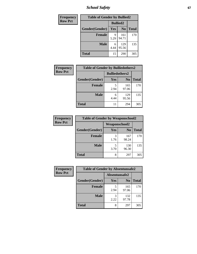*School Safety* **67**

| Frequency      | <b>Table of Gender by Bullied2</b> |                 |                |              |
|----------------|------------------------------------|-----------------|----------------|--------------|
| <b>Row Pct</b> |                                    | <b>Bullied2</b> |                |              |
|                | Gender(Gender)                     | Yes             | N <sub>0</sub> | <b>Total</b> |
|                | <b>Female</b>                      | 9<br>5.29       | 161<br>94.71   | 170          |
|                | <b>Male</b>                        | 6<br>4.44       | 129<br>95.56   | 135          |
|                | <b>Total</b>                       | 15              | 290            | 305          |

| <b>Frequency</b> | <b>Table of Gender by Bulliedothers2</b> |                       |                |       |
|------------------|------------------------------------------|-----------------------|----------------|-------|
| <b>Row Pct</b>   |                                          | <b>Bulliedothers2</b> |                |       |
|                  | Gender(Gender)                           | <b>Yes</b>            | N <sub>0</sub> | Total |
|                  | <b>Female</b>                            | 2.94                  | 165<br>97.06   | 170   |
|                  | <b>Male</b>                              | 6<br>4.44             | 129<br>95.56   | 135   |
|                  | <b>Total</b>                             |                       | 294            | 305   |

| Frequency      | <b>Table of Gender by Weaponschool2</b> |                      |                |              |
|----------------|-----------------------------------------|----------------------|----------------|--------------|
| <b>Row Pct</b> |                                         | <b>Weaponschool2</b> |                |              |
|                | Gender(Gender)                          | <b>Yes</b>           | N <sub>0</sub> | <b>Total</b> |
|                | <b>Female</b>                           | 3<br>1.76            | 167<br>98.24   | 170          |
|                | <b>Male</b>                             | 5<br>3.70            | 130<br>96.30   | 135          |
|                | <b>Total</b>                            | 8                    | 297            | 305          |

| Frequency      |                | <b>Table of Gender by Absentunsafe2</b> |                |              |  |
|----------------|----------------|-----------------------------------------|----------------|--------------|--|
| <b>Row Pct</b> |                | Absentunsafe2                           |                |              |  |
|                | Gender(Gender) | Yes                                     | N <sub>0</sub> | <b>Total</b> |  |
|                | <b>Female</b>  | 2.94                                    | 165<br>97.06   | 170          |  |
|                | <b>Male</b>    | 2.22                                    | 132<br>97.78   | 135          |  |
|                | <b>Total</b>   | 8                                       | 297            | 305          |  |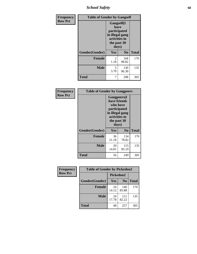*School Safety* **68**

| Frequency      | <b>Table of Gender by Gangself</b> |                                                                                                |                |              |  |
|----------------|------------------------------------|------------------------------------------------------------------------------------------------|----------------|--------------|--|
| <b>Row Pct</b> |                                    | Gangself(I<br>have<br>participated<br>in illegal gang<br>activities in<br>the past 30<br>days) |                |              |  |
|                | Gender(Gender)                     | Yes                                                                                            | N <sub>0</sub> | <b>Total</b> |  |
|                | <b>Female</b>                      | 2<br>1.18                                                                                      | 168<br>98.82   | 170          |  |
|                | <b>Male</b>                        | 5<br>3.70                                                                                      | 130<br>96.30   | 135          |  |
|                | <b>Total</b>                       | 7                                                                                              | 298            | 305          |  |

| Frequency      | <b>Table of Gender by Gangpeers</b> |                                                                                                                             |                |              |
|----------------|-------------------------------------|-----------------------------------------------------------------------------------------------------------------------------|----------------|--------------|
| <b>Row Pct</b> |                                     | <b>Gangpeers</b> (I<br>have friends<br>who have<br>participated<br>in illegal gang<br>activities in<br>the past 30<br>days) |                |              |
|                | Gender(Gender)                      | Yes                                                                                                                         | N <sub>0</sub> | <b>Total</b> |
|                | <b>Female</b>                       | 36<br>21.18                                                                                                                 | 134<br>78.82   | 170          |
|                | <b>Male</b>                         | 20<br>14.81                                                                                                                 | 115<br>85.19   | 135          |
|                | Total                               | 56                                                                                                                          | 249            | 305          |

| Frequency      | <b>Table of Gender by Pickedon2</b> |             |                |              |
|----------------|-------------------------------------|-------------|----------------|--------------|
| <b>Row Pct</b> |                                     | Pickedon2   |                |              |
|                | Gender(Gender)                      | <b>Yes</b>  | N <sub>0</sub> | <b>Total</b> |
|                | <b>Female</b>                       | 24<br>14.12 | 146<br>85.88   | 170          |
|                | <b>Male</b>                         | 24<br>17.78 | 111<br>82.22   | 135          |
|                | <b>Total</b>                        | 48          | 257            | 305          |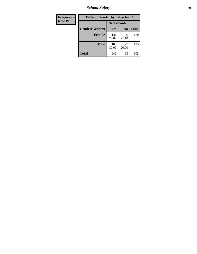*School Safety* **69**

| Frequency      | <b>Table of Gender by Safeschool2</b> |              |                |              |
|----------------|---------------------------------------|--------------|----------------|--------------|
| <b>Row Pct</b> |                                       | Safeschool2  |                |              |
|                | Gender(Gender)                        | Yes          | N <sub>0</sub> | <b>Total</b> |
|                | <b>Female</b>                         | 134<br>78.82 | 36<br>21.18    | 170          |
|                | <b>Male</b>                           | 108<br>80.00 | 27<br>20.00    | 135          |
|                | <b>Total</b>                          | 242          | 63             | 305          |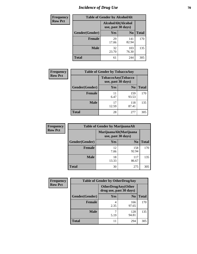# *Incidence of Drug Use* **70**

| <b>Frequency</b> | <b>Table of Gender by AlcoholAlt</b>     |             |                |              |  |
|------------------|------------------------------------------|-------------|----------------|--------------|--|
| <b>Row Pct</b>   | AlcoholAlt(Alcohol<br>use, past 30 days) |             |                |              |  |
|                  | Gender(Gender)                           | <b>Yes</b>  | N <sub>0</sub> | <b>Total</b> |  |
|                  | <b>Female</b>                            | 29<br>17.06 | 141<br>82.94   | 170          |  |
|                  | <b>Male</b>                              | 32<br>23.70 | 103<br>76.30   | 135          |  |
|                  | <b>Total</b>                             | 61          | 244            | 305          |  |

| <b>Frequency</b> | <b>Table of Gender by TobaccoAny</b> |                    |                    |              |
|------------------|--------------------------------------|--------------------|--------------------|--------------|
| <b>Row Pct</b>   |                                      | use, past 30 days) | TobaccoAny(Tobacco |              |
|                  | Gender(Gender)                       | Yes                | N <sub>0</sub>     | <b>Total</b> |
|                  | <b>Female</b>                        | 11<br>6.47         | 159<br>93.53       | 170          |
|                  | <b>Male</b>                          | 17<br>12.59        | 118<br>87.41       | 135          |
|                  | <b>Total</b>                         | 28                 | 277                | 305          |

| <b>Frequency</b> | <b>Table of Gender by MarijuanaAlt</b> |                                              |                |              |  |
|------------------|----------------------------------------|----------------------------------------------|----------------|--------------|--|
| <b>Row Pct</b>   |                                        | MarijuanaAlt(Marijuana<br>use, past 30 days) |                |              |  |
|                  | Gender(Gender)                         | <b>Yes</b>                                   | N <sub>0</sub> | <b>Total</b> |  |
|                  | <b>Female</b>                          | 12<br>7.06                                   | 158<br>92.94   | 170          |  |
|                  | <b>Male</b>                            | 18<br>13.33                                  | 117<br>86.67   | 135          |  |
|                  | <b>Total</b>                           | 30                                           | 275            | 305          |  |

| <b>Frequency</b> | <b>Table of Gender by OtherDrugAny</b> |                                                      |                |              |  |
|------------------|----------------------------------------|------------------------------------------------------|----------------|--------------|--|
| <b>Row Pct</b>   |                                        | <b>OtherDrugAny(Other</b><br>drug use, past 30 days) |                |              |  |
|                  | Gender(Gender)                         | <b>Yes</b>                                           | N <sub>0</sub> | <b>Total</b> |  |
|                  | <b>Female</b>                          | 2.35                                                 | 166<br>97.65   | 170          |  |
|                  | <b>Male</b>                            | 5.19                                                 | 128<br>94.81   | 135          |  |
|                  | <b>Total</b>                           |                                                      | 294            | 305          |  |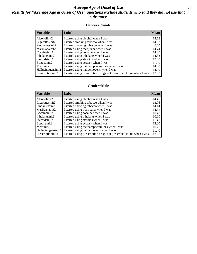#### *Average Age at Onset of Use* **71** *Results for "Average Age at Onset of Use" questions exclude students who said they did not use that substance*

#### **Gender=Female**

| <b>Variable</b>                 | <b>Label</b>                                                       | <b>Mean</b> |
|---------------------------------|--------------------------------------------------------------------|-------------|
| Alcoholinit2                    | I started using alcohol when I was                                 | 13.68       |
| Cigarettesinit2                 | I started smoking tobacco when I was                               | 14.37       |
| Smokelessinit2                  | I started chewing tobacco when I was                               | 8.00        |
| Marijuanainit2                  | I started using marijuana when I was                               | 14.74       |
| Cocaineinit2                    | I started using cocaine when I was                                 | 14.00       |
| Inhalantsinit2                  | I started using inhalants when I was                               | 14.33       |
| Steroidsinit2                   | I started using steroids when I was                                | 12.50       |
| Ecstasyinit2                    | I started using ecstasy when I was                                 | 11.00       |
| Methinit2                       | I started using methamphetamines when I was                        | 14.00       |
| Hallucinogensinit2              | I started using hallucinogens when I was                           | 14.00       |
| Prescription in it <sub>2</sub> | I started using prescription drugs not prescribed to me when I was | 12.00       |

#### **Gender=Male**

| <b>Variable</b>    | Label                                                              | <b>Mean</b> |
|--------------------|--------------------------------------------------------------------|-------------|
| Alcoholinit2       | I started using alcohol when I was                                 | 14.40       |
| Cigarettesinit2    | I started smoking tobacco when I was                               | 13.96       |
| Smokelessinit2     | I started chewing tobacco when I was                               | 14.14       |
| Marijuanainit2     | I started using marijuana when I was                               | 14.61       |
| Cocaineinit2       | I started using cocaine when I was                                 | 10.40       |
| Inhalantsinit2     | I started using inhalants when I was                               | 10.00       |
| Steroidsinit2      | I started using steroids when I was                                | 11.40       |
| Ecstasyinit2       | I started using ecstasy when I was                                 | 12.00       |
| Methinit2          | I started using methamphetamines when I was                        | 10.25       |
| Hallucinogensinit2 | I started using hallucinogens when I was                           | 11.40       |
| Prescriptioninit2  | I started using prescription drugs not prescribed to me when I was | 12.60       |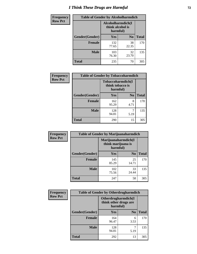# *I Think These Drugs are Harmful* **72**

| <b>Frequency</b> | <b>Table of Gender by Alcoholharmdich</b> |                                                   |                |              |
|------------------|-------------------------------------------|---------------------------------------------------|----------------|--------------|
| <b>Row Pct</b>   |                                           | Alcoholharmdich(I<br>think alcohol is<br>harmful) |                |              |
|                  | Gender(Gender)                            | <b>Yes</b>                                        | N <sub>0</sub> | <b>Total</b> |
|                  | <b>Female</b>                             | 132<br>77.65                                      | 38<br>22.35    | 170          |
|                  | <b>Male</b>                               | 103<br>76.30                                      | 32<br>23.70    | 135          |
|                  | <b>Total</b>                              | 235                                               | 70             | 305          |

| Frequency      | <b>Table of Gender by Tobaccoharmdich</b> |                  |                               |              |  |
|----------------|-------------------------------------------|------------------|-------------------------------|--------------|--|
| <b>Row Pct</b> |                                           | think tobacco is | Tobaccoharmdich(I<br>harmful) |              |  |
|                | Gender(Gender)                            | Yes              | N <sub>0</sub>                | <b>Total</b> |  |
|                | <b>Female</b>                             | 162<br>95.29     | 8<br>4.71                     | 170          |  |
|                | <b>Male</b>                               | 128<br>94.81     | 5.19                          | 135          |  |
|                | <b>Total</b>                              | 290              | 15                            | 305          |  |

| Frequency      | <b>Table of Gender by Marijuanaharmdich</b> |                                                       |                |              |  |
|----------------|---------------------------------------------|-------------------------------------------------------|----------------|--------------|--|
| <b>Row Pct</b> |                                             | Marijuanaharmdich(I<br>think marijuana is<br>harmful) |                |              |  |
|                | Gender(Gender)                              | <b>Yes</b>                                            | N <sub>0</sub> | <b>Total</b> |  |
|                | <b>Female</b>                               | 145<br>85.29                                          | 25<br>14.71    | 170          |  |
|                | <b>Male</b>                                 | 102<br>75.56                                          | 33<br>24.44    | 135          |  |
|                | <b>Total</b>                                | 247                                                   | 58             | 305          |  |

| Frequency      | <b>Table of Gender by Otherdrugharmdich</b> |                                                          |                |              |  |
|----------------|---------------------------------------------|----------------------------------------------------------|----------------|--------------|--|
| <b>Row Pct</b> |                                             | Otherdrugharmdich(I<br>think other drugs are<br>harmful) |                |              |  |
|                | Gender(Gender)                              | <b>Yes</b>                                               | N <sub>0</sub> | <b>Total</b> |  |
|                | <b>Female</b>                               | 164<br>96.47                                             | 6<br>3.53      | 170          |  |
|                | <b>Male</b>                                 | 128<br>94.81                                             | 5.19           | 135          |  |
|                | <b>Total</b>                                | 292                                                      | 13             | 305          |  |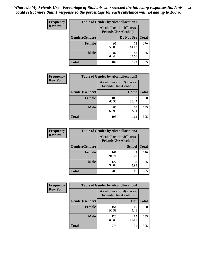| <b>Frequency</b> | <b>Table of Gender by Alcohollocation1</b> |                                                               |             |              |
|------------------|--------------------------------------------|---------------------------------------------------------------|-------------|--------------|
| <b>Row Pct</b>   |                                            | <b>Alcohollocation1(Places</b><br><b>Friends Use Alcohol)</b> |             |              |
|                  | Gender(Gender)                             |                                                               | Do Not Use  | <b>Total</b> |
|                  | <b>Female</b>                              | 95<br>55.88                                                   | 75<br>44.12 | 170          |
|                  | <b>Male</b>                                | 87<br>64.44                                                   | 48<br>35.56 | 135          |
|                  | <b>Total</b>                               | 182                                                           | 123         | 305          |

| <b>Frequency</b> | <b>Table of Gender by Alcohollocation2</b> |              |                                                               |              |
|------------------|--------------------------------------------|--------------|---------------------------------------------------------------|--------------|
| <b>Row Pct</b>   |                                            |              | <b>Alcohollocation2(Places</b><br><b>Friends Use Alcohol)</b> |              |
|                  | Gender(Gender)                             |              | Home                                                          | <b>Total</b> |
|                  | Female                                     | 108<br>63.53 | 62<br>36.47                                                   | 170          |
|                  | <b>Male</b>                                | 85<br>62.96  | 50<br>37.04                                                   | 135          |
|                  | <b>Total</b>                               | 193          | 112                                                           | 305          |

| Frequency      | <b>Table of Gender by Alcohollocation3</b> |                             |                                |              |
|----------------|--------------------------------------------|-----------------------------|--------------------------------|--------------|
| <b>Row Pct</b> |                                            | <b>Friends Use Alcohol)</b> | <b>Alcohollocation3(Places</b> |              |
|                | Gender(Gender)                             |                             | <b>School</b>                  | <b>Total</b> |
|                | <b>Female</b>                              | 161<br>94.71                | q<br>5.29                      | 170          |
|                | <b>Male</b>                                | 127<br>94.07                | 8<br>5.93                      | 135          |
|                | <b>Total</b>                               | 288                         | 17                             | 305          |

| Frequency      | <b>Table of Gender by Alcohollocation4</b> |                                                               |             |              |
|----------------|--------------------------------------------|---------------------------------------------------------------|-------------|--------------|
| <b>Row Pct</b> |                                            | <b>Alcohollocation4(Places</b><br><b>Friends Use Alcohol)</b> |             |              |
|                | Gender(Gender)                             |                                                               | Car         | <b>Total</b> |
|                | <b>Female</b>                              | 154<br>90.59                                                  | 16<br>9.41  | 170          |
|                | <b>Male</b>                                | 120<br>88.89                                                  | 15<br>11.11 | 135          |
|                | <b>Total</b>                               | 274                                                           | 31          | 305          |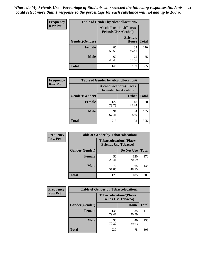| <b>Frequency</b> | <b>Table of Gender by Alcohollocation5</b> |             |                                                                |              |
|------------------|--------------------------------------------|-------------|----------------------------------------------------------------|--------------|
| <b>Row Pct</b>   |                                            |             | <b>Alcohollocation5</b> (Places<br><b>Friends Use Alcohol)</b> |              |
|                  | Gender(Gender)                             | $\bullet$   | <b>Friend's</b><br>House                                       | <b>Total</b> |
|                  | <b>Female</b>                              | 86<br>50.59 | 84<br>49.41                                                    | 170          |
|                  | <b>Male</b>                                | 60<br>44.44 | 75<br>55.56                                                    | 135          |
|                  | <b>Total</b>                               | 146         | 159                                                            | 305          |

| <b>Frequency</b> | <b>Table of Gender by Alcohollocation6</b> |                                                               |              |              |
|------------------|--------------------------------------------|---------------------------------------------------------------|--------------|--------------|
| <b>Row Pct</b>   |                                            | <b>Alcohollocation6(Places</b><br><b>Friends Use Alcohol)</b> |              |              |
|                  | <b>Gender</b> (Gender)                     |                                                               | <b>Other</b> | <b>Total</b> |
|                  | <b>Female</b>                              | 122<br>71.76                                                  | 48<br>28.24  | 170          |
|                  | <b>Male</b>                                | 91<br>67.41                                                   | 44<br>32.59  | 135          |
|                  | <b>Total</b>                               | 213                                                           | 92           | 305          |

| Frequency      | <b>Table of Gender by Tobaccolocation1</b> |                                                               |              |              |  |
|----------------|--------------------------------------------|---------------------------------------------------------------|--------------|--------------|--|
| <b>Row Pct</b> |                                            | <b>Tobaccolocation1(Places</b><br><b>Friends Use Tobacco)</b> |              |              |  |
|                | Gender(Gender)                             |                                                               | Do Not Use   | <b>Total</b> |  |
|                | Female                                     | 50<br>29.41                                                   | 120<br>70.59 | 170          |  |
|                | <b>Male</b>                                | 70<br>51.85                                                   | 65<br>48.15  | 135          |  |
|                | <b>Total</b>                               | 120                                                           | 185          | 305          |  |

| <b>Frequency</b> | <b>Table of Gender by Tobaccolocation2</b> |                                                               |             |              |
|------------------|--------------------------------------------|---------------------------------------------------------------|-------------|--------------|
| <b>Row Pct</b>   |                                            | <b>Tobaccolocation2(Places</b><br><b>Friends Use Tobacco)</b> |             |              |
|                  | Gender(Gender)                             |                                                               | Home        | <b>Total</b> |
|                  | Female                                     | 135<br>79.41                                                  | 35<br>20.59 | 170          |
|                  | <b>Male</b>                                | 95<br>70.37                                                   | 40<br>29.63 | 135          |
|                  | <b>Total</b>                               | 230                                                           | 75          | 305          |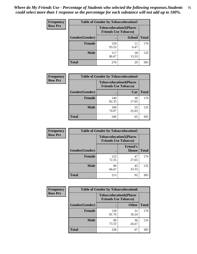| <b>Frequency</b> | <b>Table of Gender by Tobaccolocation3</b> |              |                                                               |              |
|------------------|--------------------------------------------|--------------|---------------------------------------------------------------|--------------|
| <b>Row Pct</b>   |                                            |              | <b>Tobaccolocation3(Places</b><br><b>Friends Use Tobacco)</b> |              |
|                  | Gender(Gender)                             |              | <b>School</b>                                                 | <b>Total</b> |
|                  | <b>Female</b>                              | 159<br>93.53 | 11<br>6.47                                                    | 170          |
|                  | <b>Male</b>                                | 117<br>86.67 | 18<br>13.33                                                   | 135          |
|                  | Total                                      | 276          | 29                                                            | 305          |

| <b>Frequency</b> | <b>Table of Gender by Tobaccolocation4</b> |                             |                                |              |
|------------------|--------------------------------------------|-----------------------------|--------------------------------|--------------|
| <b>Row Pct</b>   |                                            | <b>Friends Use Tobacco)</b> | <b>Tobaccolocation4(Places</b> |              |
|                  | Gender(Gender)                             | с                           | Car                            | <b>Total</b> |
|                  | <b>Female</b>                              | 140<br>82.35                | 30<br>17.65                    | 170          |
|                  | <b>Male</b>                                | 100<br>74.07                | 35<br>25.93                    | 135          |
|                  | <b>Total</b>                               | 240                         | 65                             | 305          |

| <b>Frequency</b> | <b>Table of Gender by Tobaccolocation5</b> |                                                               |                                 |              |
|------------------|--------------------------------------------|---------------------------------------------------------------|---------------------------------|--------------|
| <b>Row Pct</b>   |                                            | <b>Tobaccolocation5(Places</b><br><b>Friends Use Tobacco)</b> |                                 |              |
|                  | Gender(Gender)                             |                                                               | <b>Friend's</b><br><b>House</b> | <b>Total</b> |
|                  | <b>Female</b>                              | 123<br>72.35                                                  | 47<br>27.65                     | 170          |
|                  | <b>Male</b>                                | 90<br>66.67                                                   | 45<br>33.33                     | 135          |
|                  | <b>Total</b>                               | 213                                                           | 92                              | 305          |

| <b>Frequency</b> | <b>Table of Gender by Tobaccolocation6</b> |                                                               |              |              |
|------------------|--------------------------------------------|---------------------------------------------------------------|--------------|--------------|
| <b>Row Pct</b>   |                                            | <b>Tobaccolocation6(Places</b><br><b>Friends Use Tobacco)</b> |              |              |
|                  | Gender(Gender)                             |                                                               | <b>Other</b> | <b>Total</b> |
|                  | Female                                     | 139<br>81.76                                                  | 31<br>18.24  | 170          |
|                  | <b>Male</b>                                | 99<br>73.33                                                   | 36<br>26.67  | 135          |
|                  | <b>Total</b>                               | 238                                                           | 67           | 305          |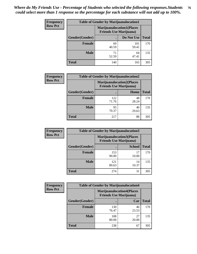| <b>Frequency</b> | <b>Table of Gender by Marijuanalocation1</b> |                                |                                  |              |
|------------------|----------------------------------------------|--------------------------------|----------------------------------|--------------|
| <b>Row Pct</b>   |                                              | <b>Friends Use Marijuana</b> ) | <b>Marijuanalocation1(Places</b> |              |
|                  | Gender(Gender)                               |                                | Do Not Use                       | <b>Total</b> |
|                  | <b>Female</b>                                | 69<br>40.59                    | 101<br>59.41                     | 170          |
|                  | <b>Male</b>                                  | 71<br>52.59                    | 64<br>47.41                      | 135          |
|                  | <b>Total</b>                                 | 140                            | 165                              | 305          |

| <b>Frequency</b> | <b>Table of Gender by Marijuanalocation2</b> |                                                                    |             |              |
|------------------|----------------------------------------------|--------------------------------------------------------------------|-------------|--------------|
| <b>Row Pct</b>   |                                              | <b>Marijuanalocation2(Places</b><br><b>Friends Use Marijuana</b> ) |             |              |
|                  | Gender(Gender)                               |                                                                    | Home        | <b>Total</b> |
|                  | Female                                       | 122<br>71.76                                                       | 48<br>28.24 | 170          |
|                  | <b>Male</b>                                  | 95<br>70.37                                                        | 40<br>29.63 | 135          |
|                  | <b>Total</b>                                 | 217                                                                | 88          | 305          |

| Frequency      | <b>Table of Gender by Marijuanalocation3</b> |                                                                    |               |              |
|----------------|----------------------------------------------|--------------------------------------------------------------------|---------------|--------------|
| <b>Row Pct</b> |                                              | <b>Marijuanalocation3(Places</b><br><b>Friends Use Marijuana</b> ) |               |              |
|                | Gender(Gender)                               |                                                                    | <b>School</b> | <b>Total</b> |
|                | Female                                       | 153<br>90.00                                                       | 17<br>10.00   | 170          |
|                | <b>Male</b>                                  | 121<br>89.63                                                       | 14<br>10.37   | 135          |
|                | <b>Total</b>                                 | 274                                                                | 31            | 305          |

| Frequency      | <b>Table of Gender by Marijuanalocation4</b> |                                |                                  |              |  |
|----------------|----------------------------------------------|--------------------------------|----------------------------------|--------------|--|
| <b>Row Pct</b> |                                              | <b>Friends Use Marijuana</b> ) | <b>Marijuanalocation4(Places</b> |              |  |
|                | Gender(Gender)                               |                                | Car                              | <b>Total</b> |  |
|                | <b>Female</b>                                | 130<br>76.47                   | 40<br>23.53                      | 170          |  |
|                | <b>Male</b>                                  | 108<br>80.00                   | 27<br>20.00                      | 135          |  |
|                | <b>Total</b>                                 | 238                            | 67                               | 305          |  |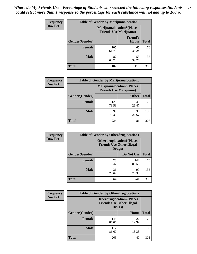| <b>Frequency</b> | <b>Table of Gender by Marijuanalocation5</b> |                                                                     |                                 |              |
|------------------|----------------------------------------------|---------------------------------------------------------------------|---------------------------------|--------------|
| <b>Row Pct</b>   |                                              | <b>Marijuanalocation5</b> (Places<br><b>Friends Use Marijuana</b> ) |                                 |              |
|                  | Gender(Gender)                               |                                                                     | <b>Friend's</b><br><b>House</b> | <b>Total</b> |
|                  | <b>Female</b>                                | 105<br>61.76                                                        | 65<br>38.24                     | 170          |
|                  | <b>Male</b>                                  | 82<br>60.74                                                         | 53<br>39.26                     | 135          |
|                  | <b>Total</b>                                 | 187                                                                 | 118                             | 305          |

| <b>Frequency</b> | <b>Table of Gender by Marijuanalocation6</b> |                                                                    |              |              |  |
|------------------|----------------------------------------------|--------------------------------------------------------------------|--------------|--------------|--|
| <b>Row Pct</b>   |                                              | <b>Marijuanalocation6(Places</b><br><b>Friends Use Marijuana</b> ) |              |              |  |
|                  | <b>Gender</b> (Gender)                       |                                                                    | <b>Other</b> | <b>Total</b> |  |
|                  | <b>Female</b>                                | 125<br>73.53                                                       | 45<br>26.47  | 170          |  |
|                  | <b>Male</b>                                  | 99<br>73.33                                                        | 36<br>26.67  | 135          |  |
|                  | Total                                        | 224                                                                | 81           | 305          |  |

| <b>Frequency</b> | <b>Table of Gender by Otherdruglocation1</b> |                                                                                |              |              |
|------------------|----------------------------------------------|--------------------------------------------------------------------------------|--------------|--------------|
| <b>Row Pct</b>   |                                              | <b>Otherdruglocation1(Places</b><br><b>Friends Use Other Illegal</b><br>Drugs) |              |              |
|                  | Gender(Gender)                               |                                                                                | Do Not Use   | <b>Total</b> |
|                  | <b>Female</b>                                | 28<br>16.47                                                                    | 142<br>83.53 | 170          |
|                  | <b>Male</b>                                  | 36<br>26.67                                                                    | 99<br>73.33  | 135          |
|                  | <b>Total</b>                                 | 64                                                                             | 241          | 305          |

| <b>Frequency</b> | <b>Table of Gender by Otherdruglocation2</b><br><b>Otherdruglocation2(Places</b><br><b>Friends Use Other Illegal</b><br>Drugs) |              |             |              |
|------------------|--------------------------------------------------------------------------------------------------------------------------------|--------------|-------------|--------------|
| <b>Row Pct</b>   |                                                                                                                                |              |             |              |
|                  | Gender(Gender)                                                                                                                 |              | Home        | <b>Total</b> |
|                  | <b>Female</b>                                                                                                                  | 148<br>87.06 | 22<br>12.94 | 170          |
|                  | <b>Male</b>                                                                                                                    | 117<br>86.67 | 18<br>13.33 | 135          |
|                  | <b>Total</b>                                                                                                                   | 265          | 40          | 305          |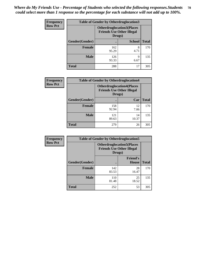| <b>Frequency</b> | <b>Table of Gender by Otherdruglocation3</b> |                                                                                |               |              |
|------------------|----------------------------------------------|--------------------------------------------------------------------------------|---------------|--------------|
| <b>Row Pct</b>   |                                              | <b>Otherdruglocation3(Places</b><br><b>Friends Use Other Illegal</b><br>Drugs) |               |              |
|                  | Gender(Gender)                               |                                                                                | <b>School</b> | <b>Total</b> |
|                  | <b>Female</b>                                | 162<br>95.29                                                                   | 8<br>4.71     | 170          |
|                  | <b>Male</b>                                  | 126<br>93.33                                                                   | q<br>6.67     | 135          |
|                  | <b>Total</b>                                 | 288                                                                            | 17            | 305          |

| Frequency      | <b>Table of Gender by Otherdruglocation4</b> |                                                                                |             |              |
|----------------|----------------------------------------------|--------------------------------------------------------------------------------|-------------|--------------|
| <b>Row Pct</b> |                                              | <b>Otherdruglocation4(Places</b><br><b>Friends Use Other Illegal</b><br>Drugs) |             |              |
|                | Gender(Gender)                               |                                                                                | Car         | <b>Total</b> |
|                | <b>Female</b>                                | 158<br>92.94                                                                   | 12<br>7.06  | 170          |
|                | <b>Male</b>                                  | 121<br>89.63                                                                   | 14<br>10.37 | 135          |
|                | <b>Total</b>                                 | 279                                                                            | 26          | 305          |

| <b>Frequency</b> | <b>Table of Gender by Otherdruglocation5</b> |                                            |                                  |              |
|------------------|----------------------------------------------|--------------------------------------------|----------------------------------|--------------|
| <b>Row Pct</b>   |                                              | <b>Friends Use Other Illegal</b><br>Drugs) | <b>Otherdruglocation5(Places</b> |              |
|                  | Gender(Gender)                               |                                            | <b>Friend's</b><br>House         | <b>Total</b> |
|                  | <b>Female</b>                                | 142<br>83.53                               | 28<br>16.47                      | 170          |
|                  | <b>Male</b>                                  | 110<br>81.48                               | 25<br>18.52                      | 135          |
|                  | <b>Total</b>                                 | 252                                        | 53                               | 305          |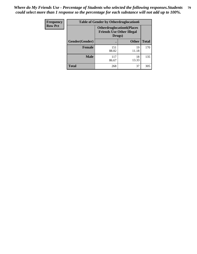| <b>Frequency</b> | <b>Table of Gender by Otherdruglocation6</b> |                                                                                |              |              |
|------------------|----------------------------------------------|--------------------------------------------------------------------------------|--------------|--------------|
| <b>Row Pct</b>   |                                              | <b>Otherdruglocation6(Places</b><br><b>Friends Use Other Illegal</b><br>Drugs) |              |              |
|                  | Gender(Gender)                               |                                                                                | <b>Other</b> | <b>Total</b> |
|                  | <b>Female</b>                                | 151<br>88.82                                                                   | 19<br>11.18  | 170          |
|                  | <b>Male</b>                                  | 117<br>86.67                                                                   | 18<br>13.33  | 135          |
|                  | <b>Total</b>                                 | 268                                                                            | 37           | 305          |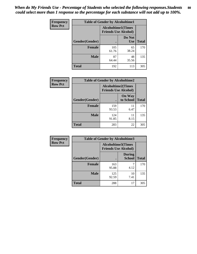| <b>Frequency</b> | <b>Table of Gender by Alcoholtime1</b> |                                                          |                      |              |
|------------------|----------------------------------------|----------------------------------------------------------|----------------------|--------------|
| <b>Row Pct</b>   |                                        | <b>Alcoholtime1(Times</b><br><b>Friends Use Alcohol)</b> |                      |              |
|                  | Gender(Gender)                         | ٠                                                        | Do Not<br><b>Use</b> | <b>Total</b> |
|                  | <b>Female</b>                          | 105<br>61.76                                             | 65<br>38.24          | 170          |
|                  | <b>Male</b>                            | 87<br>64.44                                              | 48<br>35.56          | 135          |
|                  | <b>Total</b>                           | 192                                                      | 113                  | 305          |

| <b>Frequency</b> | <b>Table of Gender by Alcoholtime2</b> |                                                          |                            |              |
|------------------|----------------------------------------|----------------------------------------------------------|----------------------------|--------------|
| <b>Row Pct</b>   |                                        | <b>Alcoholtime2(Times</b><br><b>Friends Use Alcohol)</b> |                            |              |
|                  | Gender(Gender)                         |                                                          | <b>On Way</b><br>to School | <b>Total</b> |
|                  | <b>Female</b>                          | 159<br>93.53                                             | 11<br>6.47                 | 170          |
|                  | <b>Male</b>                            | 124<br>91.85                                             | 11<br>8.15                 | 135          |
|                  | Total                                  | 283                                                      | 22                         | 305          |

| <b>Frequency</b> | <b>Table of Gender by Alcoholtime3</b> |                                                   |                                |              |
|------------------|----------------------------------------|---------------------------------------------------|--------------------------------|--------------|
| <b>Row Pct</b>   |                                        | Alcoholtime3(Times<br><b>Friends Use Alcohol)</b> |                                |              |
|                  | Gender(Gender)                         |                                                   | <b>During</b><br><b>School</b> | <b>Total</b> |
|                  | Female                                 | 163<br>95.88                                      | 4.12                           | 170          |
|                  | <b>Male</b>                            | 125<br>92.59                                      | 10<br>7.41                     | 135          |
|                  | <b>Total</b>                           | 288                                               | 17                             | 305          |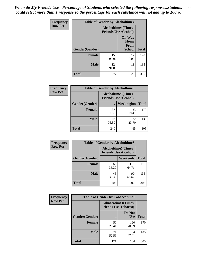*When do My Friends Use - Percentage of Students who selected the following responses.Students could select more than 1 response so the percentage for each substance will not add up to 100%.* **81**

| <b>Frequency</b> | <b>Table of Gender by Alcoholtime4</b> |                                                          |                                                |              |
|------------------|----------------------------------------|----------------------------------------------------------|------------------------------------------------|--------------|
| <b>Row Pct</b>   |                                        | <b>Alcoholtime4(Times</b><br><b>Friends Use Alcohol)</b> |                                                |              |
|                  | Gender(Gender)                         |                                                          | <b>On Way</b><br>Home<br>From<br><b>School</b> | <b>Total</b> |
|                  | <b>Female</b>                          | 153<br>90.00                                             | 17<br>10.00                                    | 170          |
|                  | <b>Male</b>                            | 124<br>91.85                                             | 11<br>8.15                                     | 135          |
|                  | <b>Total</b>                           | 277                                                      | 28                                             | 305          |

| <b>Frequency</b> | <b>Table of Gender by Alcoholtime5</b> |                                                           |             |              |
|------------------|----------------------------------------|-----------------------------------------------------------|-------------|--------------|
| <b>Row Pct</b>   |                                        | <b>Alcoholtime5</b> (Times<br><b>Friends Use Alcohol)</b> |             |              |
|                  | Gender(Gender)                         |                                                           | Weeknights  | <b>Total</b> |
|                  | <b>Female</b>                          | 137<br>80.59                                              | 33<br>19.41 | 170          |
|                  | <b>Male</b>                            | 103<br>76.30                                              | 32<br>23.70 | 135          |
|                  | <b>Total</b>                           | 240                                                       | 65          | 305          |

| <b>Frequency</b> | <b>Table of Gender by Alcoholtime6</b> |             |                                                           |              |  |
|------------------|----------------------------------------|-------------|-----------------------------------------------------------|--------------|--|
| <b>Row Pct</b>   |                                        |             | <b>Alcoholtime6</b> (Times<br><b>Friends Use Alcohol)</b> |              |  |
|                  | Gender(Gender)                         |             | Weekends                                                  | <b>Total</b> |  |
|                  | Female                                 | 60<br>35.29 | 110<br>64.71                                              | 170          |  |
|                  | <b>Male</b>                            | 45<br>33.33 | 90<br>66.67                                               | 135          |  |
|                  | <b>Total</b>                           | 105         | 200                                                       | 305          |  |

| Frequency      | <b>Table of Gender by Tobaccotime1</b> |                                                          |                      |              |
|----------------|----------------------------------------|----------------------------------------------------------|----------------------|--------------|
| <b>Row Pct</b> |                                        | <b>Tobaccotime1(Times</b><br><b>Friends Use Tobacco)</b> |                      |              |
|                | Gender(Gender)                         |                                                          | Do Not<br><b>Use</b> | <b>Total</b> |
|                | <b>Female</b>                          | 50<br>29.41                                              | 120<br>70.59         | 170          |
|                | <b>Male</b>                            | 71<br>52.59                                              | 64<br>47.41          | 135          |
|                | <b>Total</b>                           | 121                                                      | 184                  | 305          |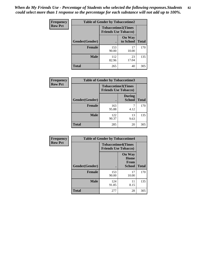*When do My Friends Use - Percentage of Students who selected the following responses.Students could select more than 1 response so the percentage for each substance will not add up to 100%.* **82**

| Frequency      | <b>Table of Gender by Tobaccotime2</b> |                                                          |                            |              |
|----------------|----------------------------------------|----------------------------------------------------------|----------------------------|--------------|
| <b>Row Pct</b> |                                        | <b>Tobaccotime2(Times</b><br><b>Friends Use Tobacco)</b> |                            |              |
|                | Gender(Gender)                         | $\bullet$                                                | <b>On Way</b><br>to School | <b>Total</b> |
|                | <b>Female</b>                          | 153<br>90.00                                             | 17<br>10.00                | 170          |
|                | <b>Male</b>                            | 112<br>82.96                                             | 23<br>17.04                | 135          |
|                | <b>Total</b>                           | 265                                                      | 40                         | 305          |

| <b>Frequency</b> | <b>Table of Gender by Tobaccotime3</b> |                                                          |                                |              |
|------------------|----------------------------------------|----------------------------------------------------------|--------------------------------|--------------|
| <b>Row Pct</b>   |                                        | <b>Tobaccotime3(Times</b><br><b>Friends Use Tobacco)</b> |                                |              |
|                  | Gender(Gender)                         |                                                          | <b>During</b><br><b>School</b> | <b>Total</b> |
|                  | Female                                 | 163<br>95.88                                             | 4.12                           | 170          |
|                  | <b>Male</b>                            | 122<br>90.37                                             | 13<br>9.63                     | 135          |
|                  | <b>Total</b>                           | 285                                                      | 20                             | 305          |

| Frequency      | <b>Table of Gender by Tobaccotime4</b> |                                                          |                                                |              |
|----------------|----------------------------------------|----------------------------------------------------------|------------------------------------------------|--------------|
| <b>Row Pct</b> |                                        | <b>Tobaccotime4(Times</b><br><b>Friends Use Tobacco)</b> |                                                |              |
|                | Gender(Gender)                         |                                                          | <b>On Way</b><br>Home<br>From<br><b>School</b> | <b>Total</b> |
|                | <b>Female</b>                          | 153<br>90.00                                             | 17<br>10.00                                    | 170          |
|                | <b>Male</b>                            | 124<br>91.85                                             | 11<br>8.15                                     | 135          |
|                | <b>Total</b>                           | 277                                                      | 28                                             | 305          |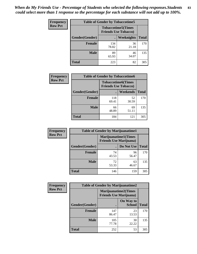| <b>Frequency</b> | <b>Table of Gender by Tobaccotime5</b> |              |                                                          |              |  |
|------------------|----------------------------------------|--------------|----------------------------------------------------------|--------------|--|
| <b>Row Pct</b>   |                                        |              | <b>Tobaccotime5(Times</b><br><b>Friends Use Tobacco)</b> |              |  |
|                  | Gender(Gender)                         |              | Weeknights                                               | <b>Total</b> |  |
|                  | <b>Female</b>                          | 134<br>78.82 | 36<br>21.18                                              | 170          |  |
|                  | <b>Male</b>                            | 89<br>65.93  | 46<br>34.07                                              | 135          |  |
|                  | <b>Total</b>                           | 223          | 82                                                       | 305          |  |

| Frequency      | <b>Table of Gender by Tobaccotime6</b> |                                                          |                 |              |
|----------------|----------------------------------------|----------------------------------------------------------|-----------------|--------------|
| <b>Row Pct</b> |                                        | <b>Tobaccotime6(Times</b><br><b>Friends Use Tobacco)</b> |                 |              |
|                | Gender(Gender)                         |                                                          | <b>Weekends</b> | <b>Total</b> |
|                | Female                                 | 118<br>69.41                                             | 52<br>30.59     | 170          |
|                | <b>Male</b>                            | 66<br>48.89                                              | 69<br>51.11     | 135          |
|                | <b>Total</b>                           | 184                                                      | 121             | 305          |

| Frequency      | <b>Table of Gender by Marijuanatime1</b> |                                                                |             |              |  |
|----------------|------------------------------------------|----------------------------------------------------------------|-------------|--------------|--|
| <b>Row Pct</b> |                                          | <b>Marijuanatime1</b> (Times<br><b>Friends Use Marijuana</b> ) |             |              |  |
|                | Gender(Gender)                           |                                                                | Do Not Use  | <b>Total</b> |  |
|                | <b>Female</b>                            | 74<br>43.53                                                    | 96<br>56.47 | 170          |  |
|                | <b>Male</b>                              | 72<br>53.33                                                    | 63<br>46.67 | 135          |  |
|                | <b>Total</b>                             | 146                                                            | 159         | 305          |  |

| <b>Frequency</b> | <b>Table of Gender by Marijuanatime2</b> |                                                        |                            |              |
|------------------|------------------------------------------|--------------------------------------------------------|----------------------------|--------------|
| <b>Row Pct</b>   |                                          | Marijuanatime2(Times<br><b>Friends Use Marijuana</b> ) |                            |              |
|                  | Gender(Gender)                           |                                                        | On Way to<br><b>School</b> | <b>Total</b> |
|                  | Female                                   | 147<br>86.47                                           | 23<br>13.53                | 170          |
|                  | <b>Male</b>                              | 105<br>77.78                                           | 30<br>22.22                | 135          |
|                  | <b>Total</b>                             | 252                                                    | 53                         | 305          |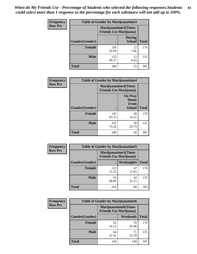*When do My Friends Use - Percentage of Students who selected the following responses.Students could select more than 1 response so the percentage for each substance will not add up to 100%.* **84**

| <b>Frequency</b> | Table of Gender by Marijuanatime3 |                                                                |                                |              |
|------------------|-----------------------------------|----------------------------------------------------------------|--------------------------------|--------------|
| <b>Row Pct</b>   |                                   | <b>Marijuanatime3</b> (Times<br><b>Friends Use Marijuana</b> ) |                                |              |
|                  | Gender(Gender)                    |                                                                | <b>During</b><br><b>School</b> | <b>Total</b> |
|                  | <b>Female</b>                     | 158<br>92.94                                                   | 12<br>7.06                     | 170          |
|                  | <b>Male</b>                       | 122<br>90.37                                                   | 13<br>9.63                     | 135          |
|                  | <b>Total</b>                      | 280                                                            | 25                             | 305          |

| Frequency      | <b>Table of Gender by Marijuanatime4</b> |              |                                                                |              |
|----------------|------------------------------------------|--------------|----------------------------------------------------------------|--------------|
| <b>Row Pct</b> |                                          |              | <b>Marijuanatime4</b> (Times<br><b>Friends Use Marijuana</b> ) |              |
|                |                                          |              | <b>On Way</b><br>Home<br><b>From</b>                           |              |
|                | <b>Gender</b> (Gender)                   |              | <b>School</b>                                                  | <b>Total</b> |
|                | <b>Female</b>                            | 142<br>83.53 | 28<br>16.47                                                    | 170          |
|                | <b>Male</b>                              | 107<br>79.26 | 28<br>20.74                                                    | 135          |
|                | <b>Total</b>                             | 249          | 56                                                             | 305          |

| Frequency      | <b>Table of Gender by Marijuanatime5</b> |                                                                |             |              |
|----------------|------------------------------------------|----------------------------------------------------------------|-------------|--------------|
| <b>Row Pct</b> |                                          | <b>Marijuanatime5</b> (Times<br><b>Friends Use Marijuana</b> ) |             |              |
|                | Gender(Gender)                           |                                                                | Weeknights  | <b>Total</b> |
|                | <b>Female</b>                            | 123<br>72.35                                                   | 47<br>27.65 | 170          |
|                | <b>Male</b>                              | 93<br>68.89                                                    | 42<br>31.11 | 135          |
|                | <b>Total</b>                             | 216                                                            | 89          | 305          |

| <b>Frequency</b> | <b>Table of Gender by Marijuanatime6</b> |                                                               |                 |              |  |
|------------------|------------------------------------------|---------------------------------------------------------------|-----------------|--------------|--|
| <b>Row Pct</b>   |                                          | <b>Marijuanatime6(Times</b><br><b>Friends Use Marijuana</b> ) |                 |              |  |
|                  | Gender(Gender)                           |                                                               | <b>Weekends</b> | <b>Total</b> |  |
|                  | <b>Female</b>                            | 92<br>54.12                                                   | 78<br>45.88     | 170          |  |
|                  | <b>Male</b>                              | 64<br>47.41                                                   | 71<br>52.59     | 135          |  |
|                  | <b>Total</b>                             | 156                                                           | 149             | 305          |  |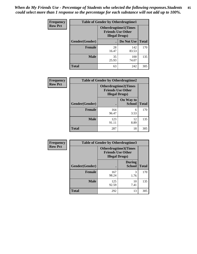*When do My Friends Use - Percentage of Students who selected the following responses.Students could select more than 1 response so the percentage for each substance will not add up to 100%.* **85**

| <b>Frequency</b> | <b>Table of Gender by Otherdrugtime1</b> |                                                                                    |              |              |
|------------------|------------------------------------------|------------------------------------------------------------------------------------|--------------|--------------|
| <b>Row Pct</b>   |                                          | <b>Otherdrugtime1</b> (Times<br><b>Friends Use Other</b><br><b>Illegal Drugs</b> ) |              |              |
|                  | Gender(Gender)                           |                                                                                    | Do Not Use   | <b>Total</b> |
|                  | Female                                   | 28<br>16.47                                                                        | 142<br>83.53 | 170          |
|                  | <b>Male</b>                              | 35<br>25.93                                                                        | 100<br>74.07 | 135          |
|                  | <b>Total</b>                             | 63                                                                                 | 242          | 305          |

| Frequency      | <b>Table of Gender by Otherdrugtime2</b> |                        |                                                         |              |
|----------------|------------------------------------------|------------------------|---------------------------------------------------------|--------------|
| <b>Row Pct</b> |                                          | <b>Illegal Drugs</b> ) | <b>Otherdrugtime2(Times</b><br><b>Friends Use Other</b> |              |
|                | Gender(Gender)                           |                        | On Way to<br><b>School</b>                              | <b>Total</b> |
|                | <b>Female</b>                            | 164<br>96.47           | 6<br>3.53                                               | 170          |
|                | <b>Male</b>                              | 123<br>91.11           | 12<br>8.89                                              | 135          |
|                | <b>Total</b>                             | 287                    | 18                                                      | 305          |

| <b>Frequency</b> | <b>Table of Gender by Otherdrugtime3</b> |                        |                                                  |              |
|------------------|------------------------------------------|------------------------|--------------------------------------------------|--------------|
| <b>Row Pct</b>   |                                          | <b>Illegal Drugs</b> ) | Otherdrugtime3(Times<br><b>Friends Use Other</b> |              |
|                  | Gender(Gender)                           |                        | <b>During</b><br><b>School</b>                   | <b>Total</b> |
|                  | <b>Female</b>                            | 167<br>98.24           | 3<br>1.76                                        | 170          |
|                  | <b>Male</b>                              | 125<br>92.59           | 10<br>7.41                                       | 135          |
|                  | <b>Total</b>                             | 292                    | 13                                               | 305          |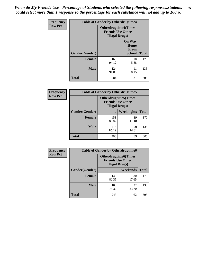*When do My Friends Use - Percentage of Students who selected the following responses.Students could select more than 1 response so the percentage for each substance will not add up to 100%.* **86**

| <b>Frequency</b> | <b>Table of Gender by Otherdrugtime4</b> |                                                    |                                                |              |
|------------------|------------------------------------------|----------------------------------------------------|------------------------------------------------|--------------|
| <b>Row Pct</b>   |                                          | <b>Friends Use Other</b><br><b>Illegal Drugs</b> ) | <b>Otherdrugtime4(Times</b>                    |              |
|                  | Gender(Gender)                           |                                                    | <b>On Way</b><br>Home<br><b>From</b><br>School | <b>Total</b> |
|                  | <b>Female</b>                            | 160<br>94.12                                       | 10<br>5.88                                     | 170          |
|                  | <b>Male</b>                              | 124<br>91.85                                       | 11<br>8.15                                     | 135          |
|                  | <b>Total</b>                             | 284                                                | 21                                             | 305          |

| Frequency      | <b>Table of Gender by Otherdrugtime5</b> |                                                                                    |             |              |
|----------------|------------------------------------------|------------------------------------------------------------------------------------|-------------|--------------|
| <b>Row Pct</b> |                                          | <b>Otherdrugtime5</b> (Times<br><b>Friends Use Other</b><br><b>Illegal Drugs</b> ) |             |              |
|                | Gender(Gender)                           |                                                                                    | Weeknights  | <b>Total</b> |
|                | <b>Female</b>                            | 151<br>88.82                                                                       | 19<br>11.18 | 170          |
|                | <b>Male</b>                              | 115<br>85.19                                                                       | 20<br>14.81 | 135          |
|                | <b>Total</b>                             | 266                                                                                | 39          | 305          |

| <b>Frequency</b> | <b>Table of Gender by Otherdrugtime6</b> |                                                                                   |             |              |
|------------------|------------------------------------------|-----------------------------------------------------------------------------------|-------------|--------------|
| <b>Row Pct</b>   |                                          | <b>Otherdrugtime6(Times</b><br><b>Friends Use Other</b><br><b>Illegal Drugs</b> ) |             |              |
|                  | Gender(Gender)                           |                                                                                   | Weekends    | <b>Total</b> |
|                  | <b>Female</b>                            | 140<br>82.35                                                                      | 30<br>17.65 | 170          |
|                  | <b>Male</b>                              | 103<br>76.30                                                                      | 32<br>23.70 | 135          |
|                  | <b>Total</b>                             | 243                                                                               | 62          | 305          |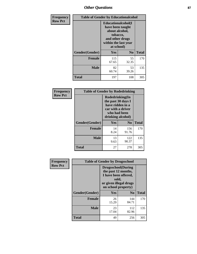## *Other Questions* **87**

| <b>Frequency</b> | <b>Table of Gender by Educationalcohol</b> |                                                                                                                                       |             |              |  |
|------------------|--------------------------------------------|---------------------------------------------------------------------------------------------------------------------------------------|-------------|--------------|--|
| <b>Row Pct</b>   |                                            | <b>Educationalcohol</b> (I<br>have been taught<br>about alcohol,<br>tobacco,<br>and other drugs<br>within the last year<br>at school) |             |              |  |
|                  | Gender(Gender)                             | <b>Yes</b>                                                                                                                            | No          | <b>Total</b> |  |
|                  | <b>Female</b>                              | 115<br>67.65                                                                                                                          | 55<br>32.35 | 170          |  |
|                  | <b>Male</b>                                | 82<br>60.74                                                                                                                           | 53<br>39.26 | 135          |  |
|                  | <b>Total</b>                               | 197                                                                                                                                   | 108         | 305          |  |

| Frequency      | <b>Table of Gender by Rodedrinking</b> |                                                                                                                     |                |              |  |
|----------------|----------------------------------------|---------------------------------------------------------------------------------------------------------------------|----------------|--------------|--|
| <b>Row Pct</b> |                                        | Rodedrinking(In<br>the past 30 days I<br>have ridden in a<br>car with a driver<br>who had been<br>drinking alcohol) |                |              |  |
|                | Gender(Gender)                         | Yes                                                                                                                 | N <sub>0</sub> | <b>Total</b> |  |
|                | <b>Female</b>                          | 14<br>8.24                                                                                                          | 156<br>91.76   | 170          |  |
|                | <b>Male</b>                            | 13<br>9.63                                                                                                          | 122<br>90.37   | 135          |  |
|                | <b>Total</b>                           | 27                                                                                                                  | 278            | 305          |  |

| Frequency      | <b>Table of Gender by Drugsschool</b> |                                                                                                                                     |                |              |  |
|----------------|---------------------------------------|-------------------------------------------------------------------------------------------------------------------------------------|----------------|--------------|--|
| <b>Row Pct</b> |                                       | <b>Drugsschool</b> (During<br>the past 12 months,<br>I have been offered,<br>sold,<br>or given illegal drugs<br>on school property) |                |              |  |
|                | Gender(Gender)                        | Yes                                                                                                                                 | N <sub>0</sub> | <b>Total</b> |  |
|                | <b>Female</b>                         | 26<br>15.29                                                                                                                         | 144<br>84.71   | 170          |  |
|                | <b>Male</b>                           | 23<br>17.04                                                                                                                         | 112<br>82.96   | 135          |  |
|                | <b>Total</b>                          | 49                                                                                                                                  | 256            | 305          |  |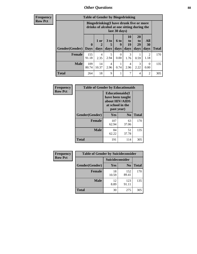### *Other Questions* **88**

**Frequency Row Pct**

| <b>Table of Gender by Bingedrinking</b> |                             |                                                                                                                |                   |                   |                        |                        |                        |              |
|-----------------------------------------|-----------------------------|----------------------------------------------------------------------------------------------------------------|-------------------|-------------------|------------------------|------------------------|------------------------|--------------|
|                                         |                             | <b>Bingedrinking(I have drunk five or more</b><br>drinks of alcohol at one sitting during the<br>last 30 days) |                   |                   |                        |                        |                        |              |
| <b>Gender</b> (Gender)                  | $\mathbf{0}$<br><b>Days</b> | 1 or<br>days                                                                                                   | 3 to<br>5<br>days | 6 to<br>q<br>days | 10<br>to<br>19<br>days | 20<br>to<br>29<br>days | All<br>30<br>days      | <b>Total</b> |
| <b>Female</b>                           | 155<br>91.18                | 4<br>2.35                                                                                                      | 5<br>2.94         | 0<br>0.00         | 3<br>1.76              | 0.59                   | $\mathfrak{D}$<br>1.18 | 170          |
|                                         |                             |                                                                                                                |                   |                   |                        |                        |                        |              |
| <b>Male</b>                             | 109<br>80.74                | 14<br>10.37                                                                                                    | 4<br>2.96         | 0.74              | 4<br>2.96              | 3<br>2.22              | 0<br>0.00              | 135          |

| Frequency      | <b>Table of Gender by Educationaids</b> |                                                                                                 |                |              |  |  |
|----------------|-----------------------------------------|-------------------------------------------------------------------------------------------------|----------------|--------------|--|--|
| <b>Row Pct</b> |                                         | <b>Educationaids</b> (I<br>have been taught<br>about HIV/AIDS<br>at school in the<br>past year) |                |              |  |  |
|                | Gender(Gender)                          | Yes                                                                                             | N <sub>0</sub> | <b>Total</b> |  |  |
|                | <b>Female</b>                           | 107<br>62.94                                                                                    | 63<br>37.06    | 170          |  |  |
|                | <b>Male</b>                             | 84<br>62.22                                                                                     | 51<br>37.78    | 135          |  |  |
|                | <b>Total</b>                            | 191                                                                                             | 114            | 305          |  |  |

| Frequency      | <b>Table of Gender by Suicideconsider</b> |                 |                |       |  |
|----------------|-------------------------------------------|-----------------|----------------|-------|--|
| <b>Row Pct</b> |                                           | Suicideconsider |                |       |  |
|                | Gender(Gender)                            | Yes             | N <sub>0</sub> | Total |  |
|                | <b>Female</b>                             | 18<br>10.59     | 152<br>89.41   | 170   |  |
|                | <b>Male</b>                               | 12<br>8.89      | 123<br>91.11   | 135   |  |
|                | <b>Total</b>                              | 30              | 275            | 305   |  |